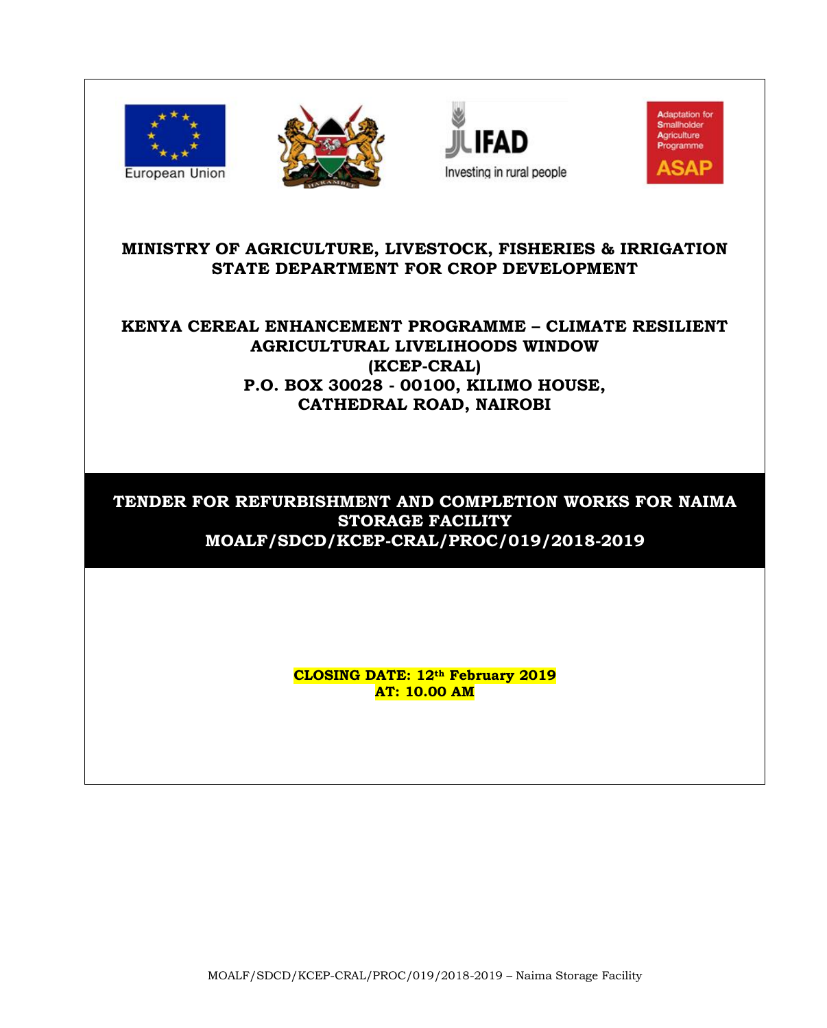







# **MINISTRY OF AGRICULTURE, LIVESTOCK, FISHERIES & IRRIGATION STATE DEPARTMENT FOR CROP DEVELOPMENT**

# **KENYA CEREAL ENHANCEMENT PROGRAMME – CLIMATE RESILIENT AGRICULTURAL LIVELIHOODS WINDOW (KCEP-CRAL) P.O. BOX 30028 - 00100, KILIMO HOUSE, CATHEDRAL ROAD, NAIROBI**

# **TENDER FOR REFURBISHMENT AND COMPLETION WORKS FOR NAIMA STORAGE FACILITY MOALF/SDCD/KCEP-CRAL/PROC/019/2018-2019**

**CLOSING DATE: 12th February 2019 AT: 10.00 AM**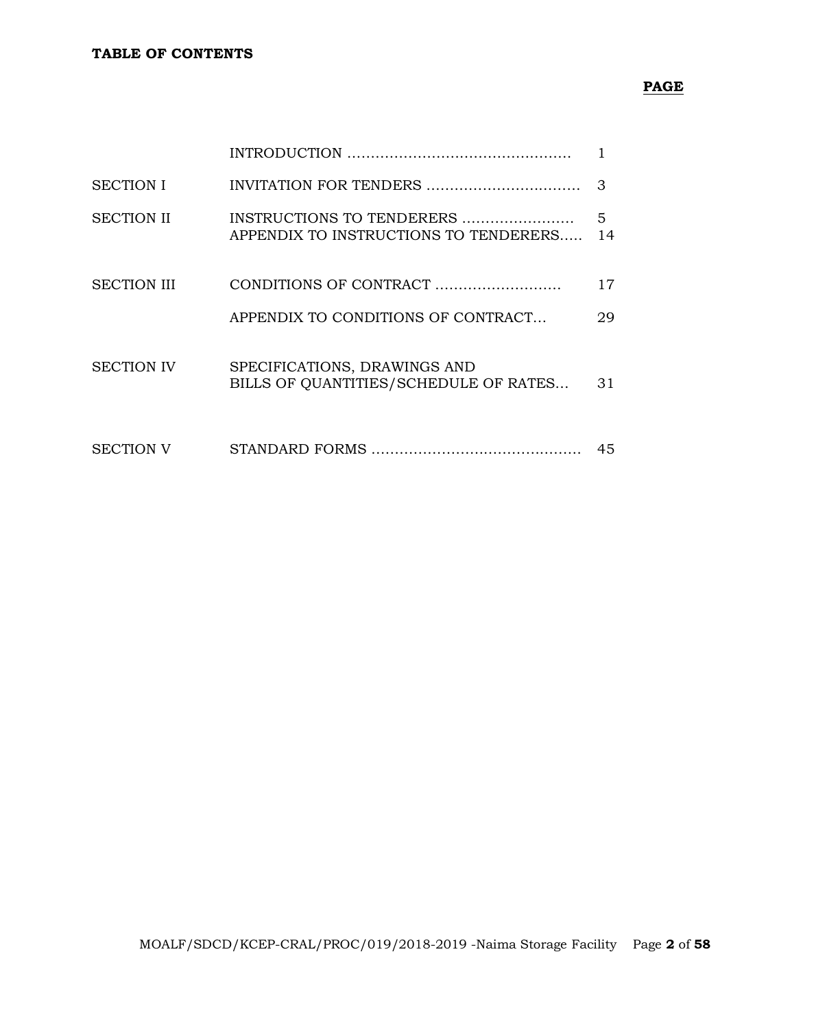# **PAGE**

| <b>SECTION I</b>   |                                                                       | З       |
|--------------------|-----------------------------------------------------------------------|---------|
| <b>SECTION II</b>  | INSTRUCTIONS TO TENDERERS<br>APPENDIX TO INSTRUCTIONS TO TENDERERS    | 5<br>14 |
| <b>SECTION III</b> |                                                                       | 17      |
|                    | APPENDIX TO CONDITIONS OF CONTRACT                                    | 29      |
| <b>SECTION IV</b>  | SPECIFICATIONS, DRAWINGS AND<br>BILLS OF QUANTITIES/SCHEDULE OF RATES | 31      |
| <b>SECTION V</b>   |                                                                       | 45      |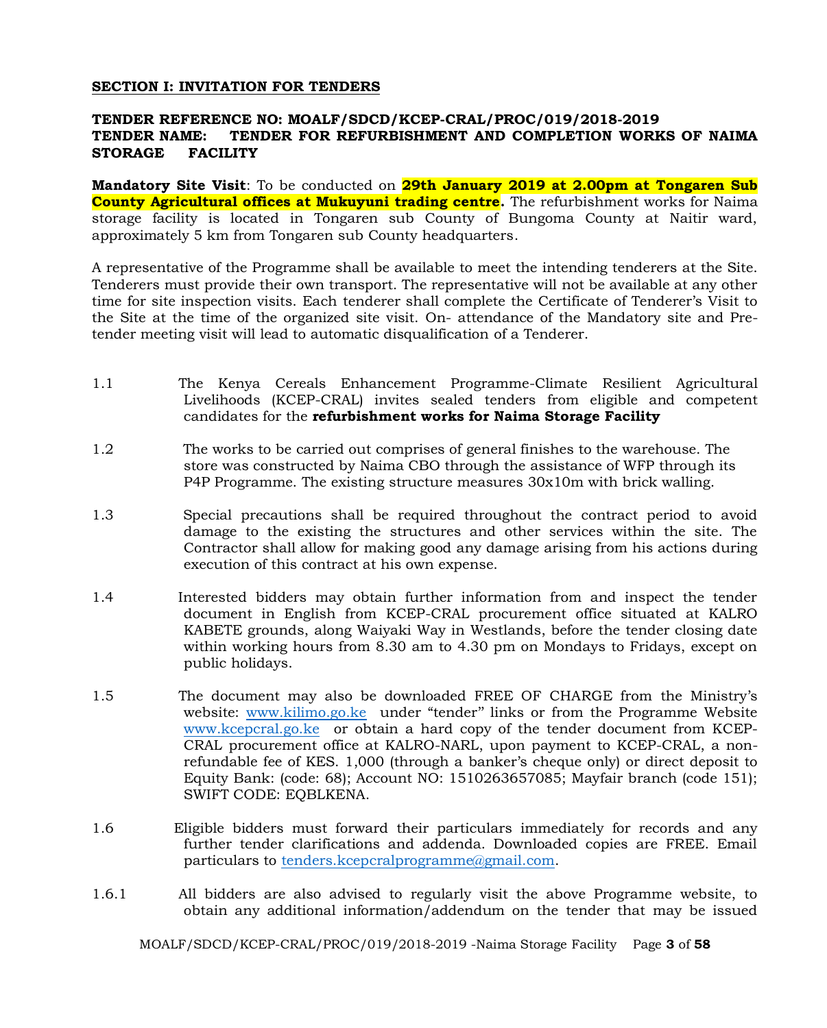## **SECTION I: INVITATION FOR TENDERS**

## **TENDER REFERENCE NO: MOALF/SDCD/KCEP-CRAL/PROC/019/2018-2019 TENDER NAME: TENDER FOR REFURBISHMENT AND COMPLETION WORKS OF NAIMA STORAGE FACILITY**

**Mandatory Site Visit**: To be conducted on **29th January 2019 at 2.00pm at Tongaren Sub County Agricultural offices at Mukuyuni trading centre.** The refurbishment works for Naima storage facility is located in Tongaren sub County of Bungoma County at Naitir ward, approximately 5 km from Tongaren sub County headquarters.

A representative of the Programme shall be available to meet the intending tenderers at the Site. Tenderers must provide their own transport. The representative will not be available at any other time for site inspection visits. Each tenderer shall complete the Certificate of Tenderer's Visit to the Site at the time of the organized site visit. On- attendance of the Mandatory site and Pretender meeting visit will lead to automatic disqualification of a Tenderer.

- 1.1 The Kenya Cereals Enhancement Programme-Climate Resilient Agricultural Livelihoods (KCEP-CRAL) invites sealed tenders from eligible and competent candidates for the **refurbishment works for Naima Storage Facility**
- 1.2 The works to be carried out comprises of general finishes to the warehouse. The store was constructed by Naima CBO through the assistance of WFP through its P4P Programme. The existing structure measures 30x10m with brick walling.
- 1.3 Special precautions shall be required throughout the contract period to avoid damage to the existing the structures and other services within the site. The Contractor shall allow for making good any damage arising from his actions during execution of this contract at his own expense.
- 1.4 Interested bidders may obtain further information from and inspect the tender document in English from KCEP-CRAL procurement office situated at KALRO KABETE grounds, along Waiyaki Way in Westlands, before the tender closing date within working hours from 8.30 am to 4.30 pm on Mondays to Fridays, except on public holidays.
- 1.5 The document may also be downloaded FREE OF CHARGE from the Ministry's website: [www.kilimo.go.ke](http://www.kilimo.go.ke/) under "tender" links or from the Programme Website [www.kcepcral.go.ke](http://www.kcepcral.go.ke/) or obtain a hard copy of the tender document from KCEP-CRAL procurement office at KALRO-NARL, upon payment to KCEP-CRAL, a nonrefundable fee of KES. 1,000 (through a banker's cheque only) or direct deposit to Equity Bank: (code: 68); Account NO: 1510263657085; Mayfair branch (code 151); SWIFT CODE: EQBLKENA.
- 1.6 Eligible bidders must forward their particulars immediately for records and any further tender clarifications and addenda. Downloaded copies are FREE. Email particulars to [tenders.kcepcralprogramme@gmail.com.](mailto:tenders.kcepcralprogramme@gmail.com)
- 1.6.1 All bidders are also advised to regularly visit the above Programme website, to obtain any additional information/addendum on the tender that may be issued

MOALF/SDCD/KCEP-CRAL/PROC/019/2018-2019 -Naima Storage Facility Page **3** of **58**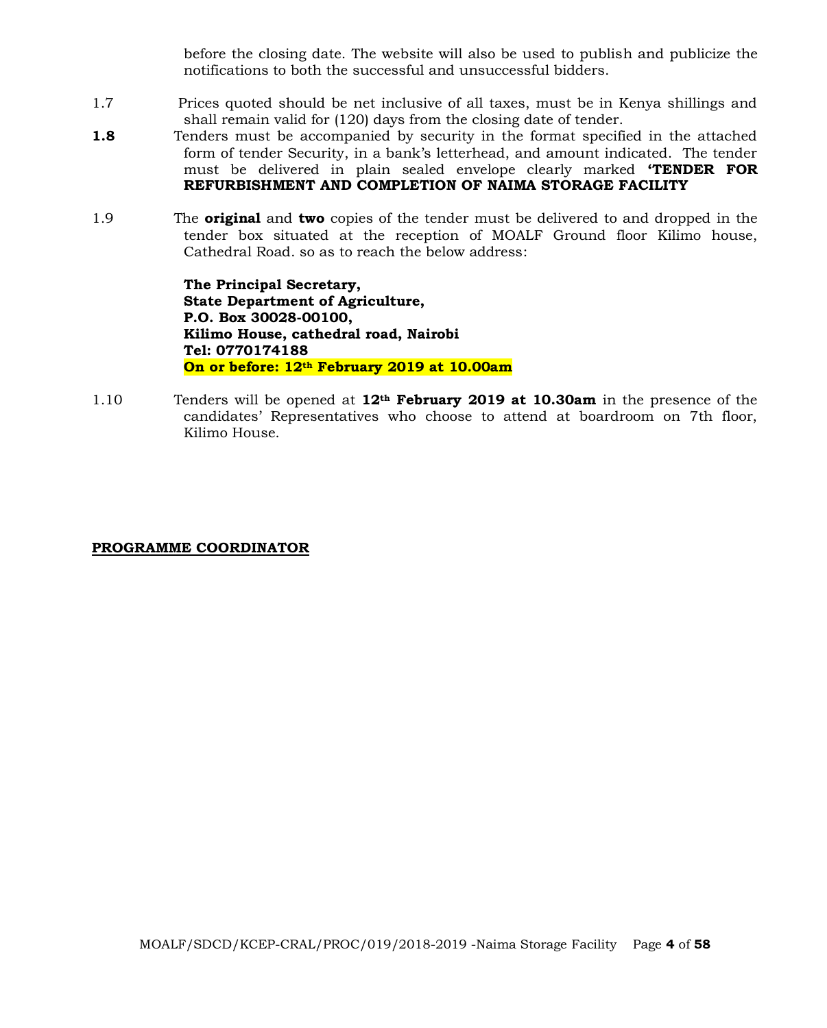before the closing date. The website will also be used to publish and publicize the notifications to both the successful and unsuccessful bidders.

- 1.7 Prices quoted should be net inclusive of all taxes, must be in Kenya shillings and shall remain valid for (120) days from the closing date of tender.
- **1.8** Tenders must be accompanied by security in the format specified in the attached form of tender Security, in a bank's letterhead, and amount indicated. The tender must be delivered in plain sealed envelope clearly marked **'TENDER FOR REFURBISHMENT AND COMPLETION OF NAIMA STORAGE FACILITY**
- 1.9 The **original** and **two** copies of the tender must be delivered to and dropped in the tender box situated at the reception of MOALF Ground floor Kilimo house, Cathedral Road. so as to reach the below address:

**The Principal Secretary, State Department of Agriculture, P.O. Box 30028-00100, Kilimo House, cathedral road, Nairobi Tel: 0770174188 On or before: 12th February 2019 at 10.00am**

1.10 Tenders will be opened at **12th February 2019 at 10.30am** in the presence of the candidates' Representatives who choose to attend at boardroom on 7th floor, Kilimo House.

#### **PROGRAMME COORDINATOR**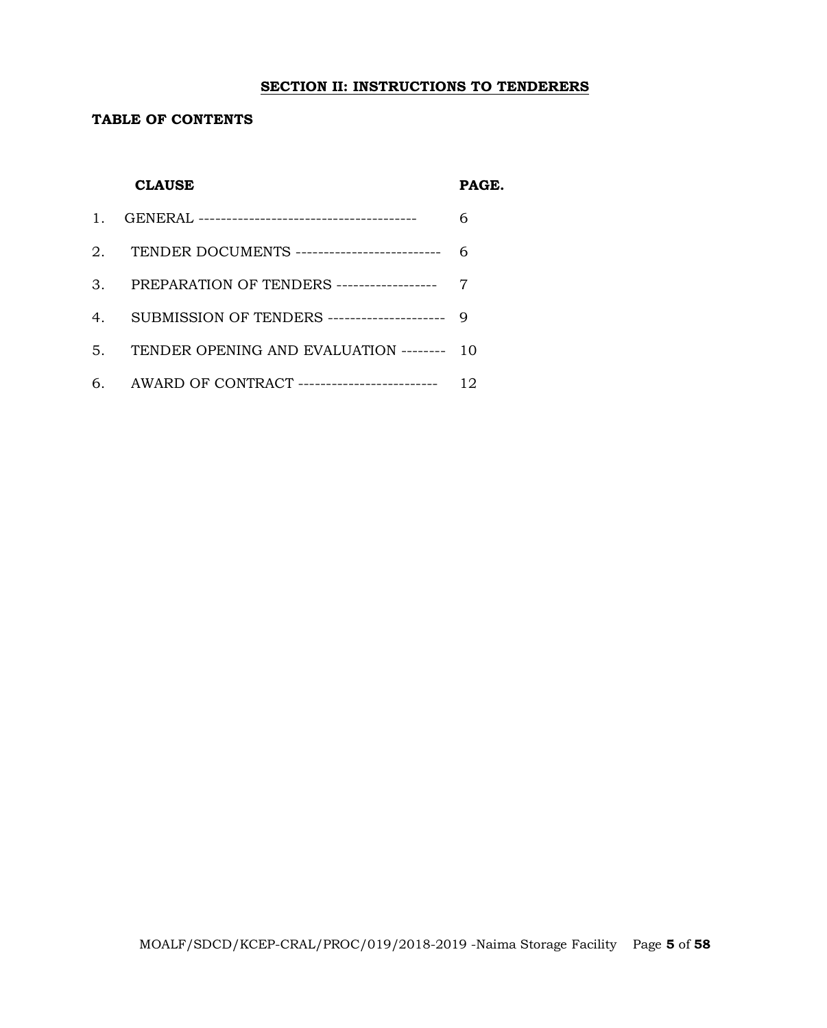#### **SECTION II: INSTRUCTIONS TO TENDERERS**

# **TABLE OF CONTENTS**

### **CLAUSE PAGE.**

| 2. TENDER DOCUMENTS --------------------------- 6 |    |
|---------------------------------------------------|----|
| 3. PREPARATION OF TENDERS ------------------- 7   |    |
| 4. SUBMISSION OF TENDERS ---------------------- 9 |    |
| 5. TENDER OPENING AND EVALUATION -------- 10      |    |
| 6. AWARD OF CONTRACT ---------------------------  | 12 |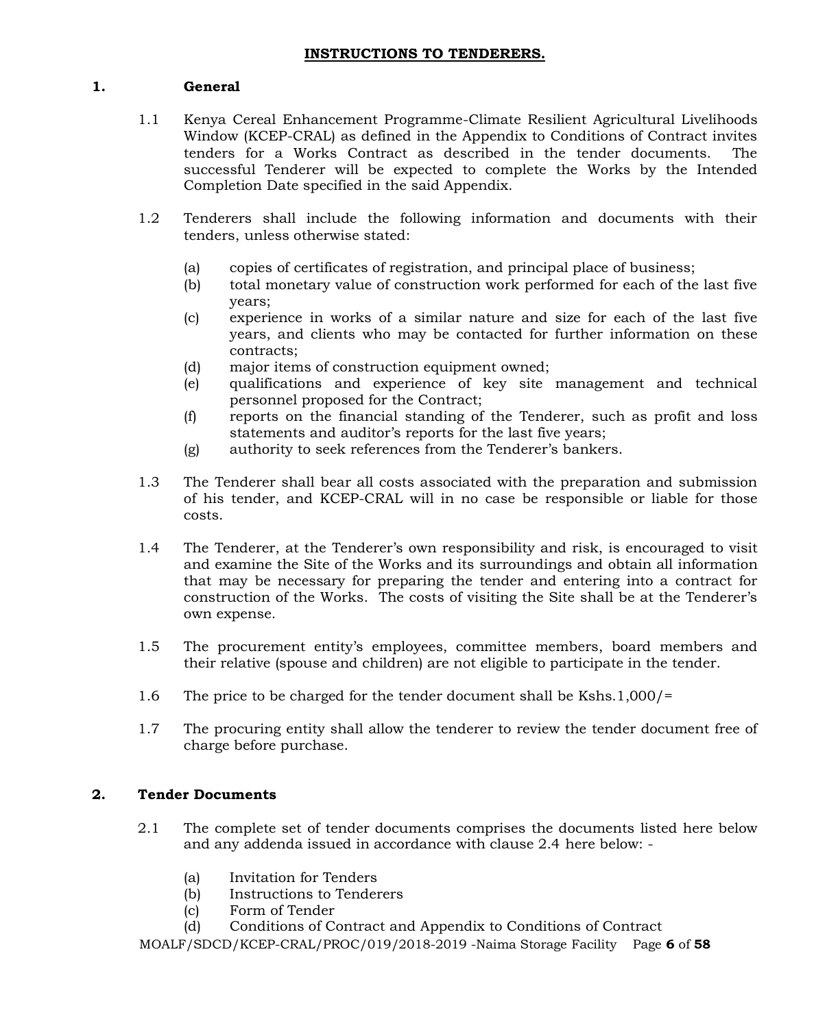# **1. General**

- 1.1 Kenya Cereal Enhancement Programme-Climate Resilient Agricultural Livelihoods Window (KCEP-CRAL) as defined in the Appendix to Conditions of Contract invites tenders for a Works Contract as described in the tender documents. The successful Tenderer will be expected to complete the Works by the Intended Completion Date specified in the said Appendix.
- 1.2 Tenderers shall include the following information and documents with their tenders, unless otherwise stated:
	- (a) copies of certificates of registration, and principal place of business;
	- (b) total monetary value of construction work performed for each of the last five years;
	- (c) experience in works of a similar nature and size for each of the last five years, and clients who may be contacted for further information on these contracts;
	- (d) major items of construction equipment owned;
	- (e) qualifications and experience of key site management and technical personnel proposed for the Contract;
	- (f) reports on the financial standing of the Tenderer, such as profit and loss statements and auditor's reports for the last five years;
	- (g) authority to seek references from the Tenderer's bankers.
- 1.3 The Tenderer shall bear all costs associated with the preparation and submission of his tender, and KCEP-CRAL will in no case be responsible or liable for those costs.
- 1.4 The Tenderer, at the Tenderer's own responsibility and risk, is encouraged to visit and examine the Site of the Works and its surroundings and obtain all information that may be necessary for preparing the tender and entering into a contract for construction of the Works. The costs of visiting the Site shall be at the Tenderer's own expense.
- 1.5 The procurement entity's employees, committee members, board members and their relative (spouse and children) are not eligible to participate in the tender.
- 1.6 The price to be charged for the tender document shall be Kshs.1,000/=
- 1.7 The procuring entity shall allow the tenderer to review the tender document free of charge before purchase.

# **2. Tender Documents**

- 2.1 The complete set of tender documents comprises the documents listed here below and any addenda issued in accordance with clause 2.4 here below: -
	- (a) Invitation for Tenders
	- (b) Instructions to Tenderers
	- (c) Form of Tender
	- (d) Conditions of Contract and Appendix to Conditions of Contract

MOALF/SDCD/KCEP-CRAL/PROC/019/2018-2019 -Naima Storage Facility Page **6** of **58**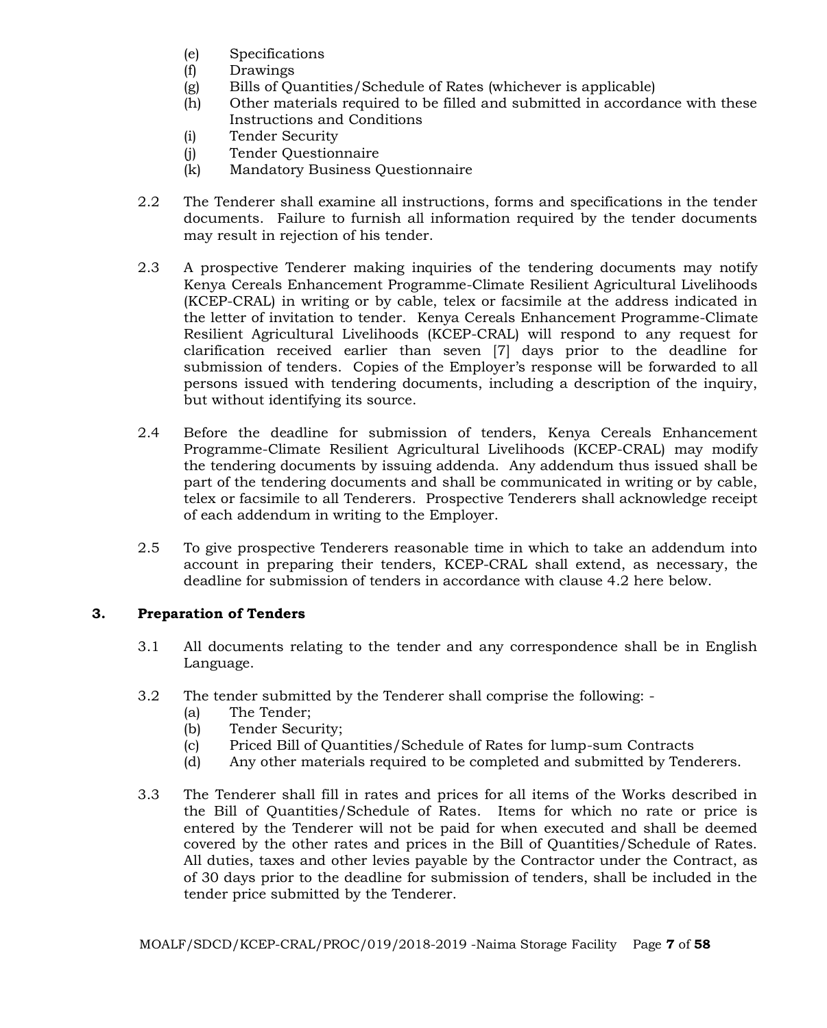- (e) Specifications
- (f) Drawings
- (g) Bills of Quantities/Schedule of Rates (whichever is applicable)
- (h) Other materials required to be filled and submitted in accordance with these Instructions and Conditions
- (i) Tender Security
- (j) Tender Questionnaire
- (k) Mandatory Business Questionnaire
- 2.2 The Tenderer shall examine all instructions, forms and specifications in the tender documents. Failure to furnish all information required by the tender documents may result in rejection of his tender.
- 2.3 A prospective Tenderer making inquiries of the tendering documents may notify Kenya Cereals Enhancement Programme-Climate Resilient Agricultural Livelihoods (KCEP-CRAL) in writing or by cable, telex or facsimile at the address indicated in the letter of invitation to tender. Kenya Cereals Enhancement Programme-Climate Resilient Agricultural Livelihoods (KCEP-CRAL) will respond to any request for clarification received earlier than seven [7] days prior to the deadline for submission of tenders. Copies of the Employer's response will be forwarded to all persons issued with tendering documents, including a description of the inquiry, but without identifying its source.
- 2.4 Before the deadline for submission of tenders, Kenya Cereals Enhancement Programme-Climate Resilient Agricultural Livelihoods (KCEP-CRAL) may modify the tendering documents by issuing addenda. Any addendum thus issued shall be part of the tendering documents and shall be communicated in writing or by cable, telex or facsimile to all Tenderers. Prospective Tenderers shall acknowledge receipt of each addendum in writing to the Employer.
- 2.5 To give prospective Tenderers reasonable time in which to take an addendum into account in preparing their tenders, KCEP-CRAL shall extend, as necessary, the deadline for submission of tenders in accordance with clause 4.2 here below.

# **3. Preparation of Tenders**

- 3.1 All documents relating to the tender and any correspondence shall be in English Language.
- 3.2 The tender submitted by the Tenderer shall comprise the following:
	- (a) The Tender;
	- (b) Tender Security;
	- (c) Priced Bill of Quantities/Schedule of Rates for lump-sum Contracts
	- (d) Any other materials required to be completed and submitted by Tenderers.
- 3.3 The Tenderer shall fill in rates and prices for all items of the Works described in the Bill of Quantities/Schedule of Rates. Items for which no rate or price is entered by the Tenderer will not be paid for when executed and shall be deemed covered by the other rates and prices in the Bill of Quantities/Schedule of Rates. All duties, taxes and other levies payable by the Contractor under the Contract, as of 30 days prior to the deadline for submission of tenders, shall be included in the tender price submitted by the Tenderer.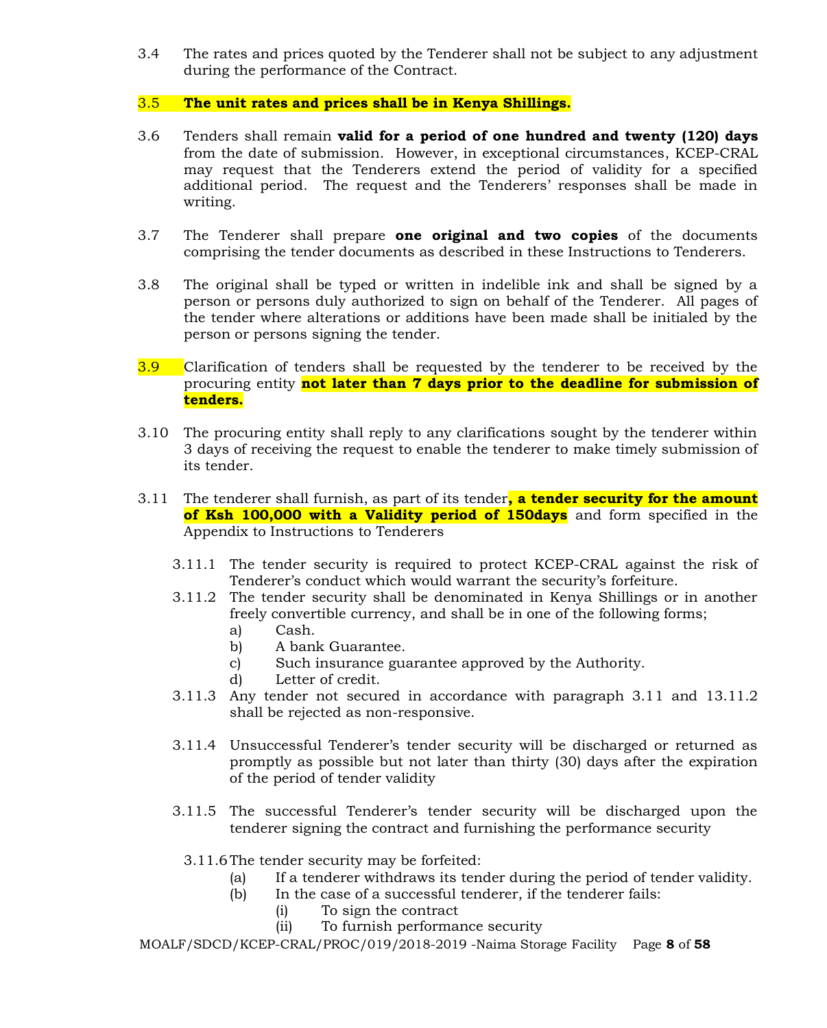3.4 The rates and prices quoted by the Tenderer shall not be subject to any adjustment during the performance of the Contract.

# 3.5 **The unit rates and prices shall be in Kenya Shillings.**

- 3.6 Tenders shall remain **valid for a period of one hundred and twenty (120) days** from the date of submission. However, in exceptional circumstances, KCEP-CRAL may request that the Tenderers extend the period of validity for a specified additional period. The request and the Tenderers' responses shall be made in writing.
- 3.7 The Tenderer shall prepare **one original and two copies** of the documents comprising the tender documents as described in these Instructions to Tenderers.
- 3.8 The original shall be typed or written in indelible ink and shall be signed by a person or persons duly authorized to sign on behalf of the Tenderer. All pages of the tender where alterations or additions have been made shall be initialed by the person or persons signing the tender.
- 3.9 Clarification of tenders shall be requested by the tenderer to be received by the procuring entity **not later than 7 days prior to the deadline for submission of tenders.**
- 3.10 The procuring entity shall reply to any clarifications sought by the tenderer within 3 days of receiving the request to enable the tenderer to make timely submission of its tender.
- 3.11 The tenderer shall furnish, as part of its tender**, a tender security for the amount of Ksh 100,000 with a Validity period of 150days** and form specified in the Appendix to Instructions to Tenderers
	- 3.11.1 The tender security is required to protect KCEP-CRAL against the risk of Tenderer's conduct which would warrant the security's forfeiture.
	- 3.11.2 The tender security shall be denominated in Kenya Shillings or in another freely convertible currency, and shall be in one of the following forms;
		- a) Cash.
		- b) A bank Guarantee.
		- c) Such insurance guarantee approved by the Authority.
		- d) Letter of credit.
	- 3.11.3 Any tender not secured in accordance with paragraph 3.11 and 13.11.2 shall be rejected as non-responsive.
	- 3.11.4 Unsuccessful Tenderer's tender security will be discharged or returned as promptly as possible but not later than thirty (30) days after the expiration of the period of tender validity
	- 3.11.5 The successful Tenderer's tender security will be discharged upon the tenderer signing the contract and furnishing the performance security
		- 3.11.6The tender security may be forfeited:
			- (a) If a tenderer withdraws its tender during the period of tender validity.
			- (b) In the case of a successful tenderer, if the tenderer fails:
				- (i) To sign the contract
				- (ii) To furnish performance security

MOALF/SDCD/KCEP-CRAL/PROC/019/2018-2019 -Naima Storage Facility Page **8** of **58**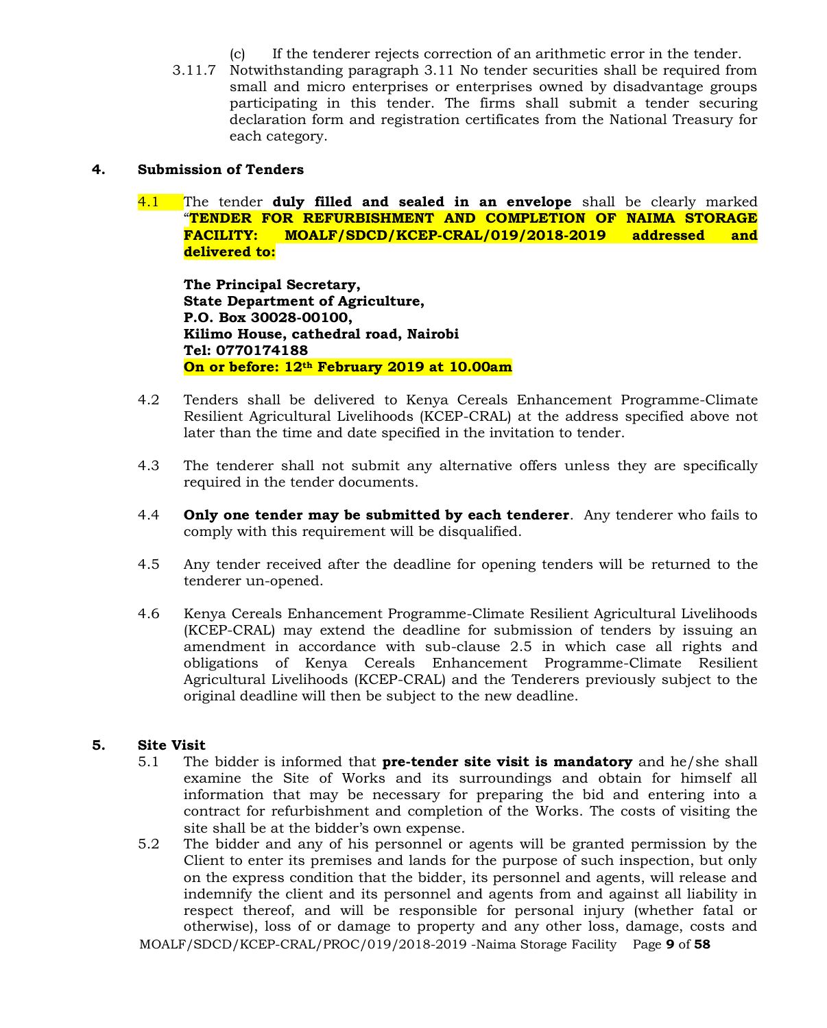- (c) If the tenderer rejects correction of an arithmetic error in the tender.
- 3.11.7 Notwithstanding paragraph 3.11 No tender securities shall be required from small and micro enterprises or enterprises owned by disadvantage groups participating in this tender. The firms shall submit a tender securing declaration form and registration certificates from the National Treasury for each category.

### **4. Submission of Tenders**

4.1 The tender **duly filled and sealed in an envelope** shall be clearly marked "**TENDER FOR REFURBISHMENT AND COMPLETION OF NAIMA STORAGE FACILITY: MOALF/SDCD/KCEP-CRAL/019/2018-2019 addressed and delivered to:**

**The Principal Secretary, State Department of Agriculture, P.O. Box 30028-00100, Kilimo House, cathedral road, Nairobi Tel: 0770174188 On or before: 12th February 2019 at 10.00am**

- 4.2 Tenders shall be delivered to Kenya Cereals Enhancement Programme-Climate Resilient Agricultural Livelihoods (KCEP-CRAL) at the address specified above not later than the time and date specified in the invitation to tender.
- 4.3 The tenderer shall not submit any alternative offers unless they are specifically required in the tender documents.
- 4.4 **Only one tender may be submitted by each tenderer**. Any tenderer who fails to comply with this requirement will be disqualified.
- 4.5 Any tender received after the deadline for opening tenders will be returned to the tenderer un-opened.
- 4.6 Kenya Cereals Enhancement Programme-Climate Resilient Agricultural Livelihoods (KCEP-CRAL) may extend the deadline for submission of tenders by issuing an amendment in accordance with sub-clause 2.5 in which case all rights and obligations of Kenya Cereals Enhancement Programme-Climate Resilient Agricultural Livelihoods (KCEP-CRAL) and the Tenderers previously subject to the original deadline will then be subject to the new deadline.

#### **5. Site Visit**

- 5.1 The bidder is informed that **pre-tender site visit is mandatory** and he/she shall examine the Site of Works and its surroundings and obtain for himself all information that may be necessary for preparing the bid and entering into a contract for refurbishment and completion of the Works. The costs of visiting the site shall be at the bidder's own expense.
- 5.2 The bidder and any of his personnel or agents will be granted permission by the Client to enter its premises and lands for the purpose of such inspection, but only on the express condition that the bidder, its personnel and agents, will release and indemnify the client and its personnel and agents from and against all liability in respect thereof, and will be responsible for personal injury (whether fatal or otherwise), loss of or damage to property and any other loss, damage, costs and

MOALF/SDCD/KCEP-CRAL/PROC/019/2018-2019 -Naima Storage Facility Page **9** of **58**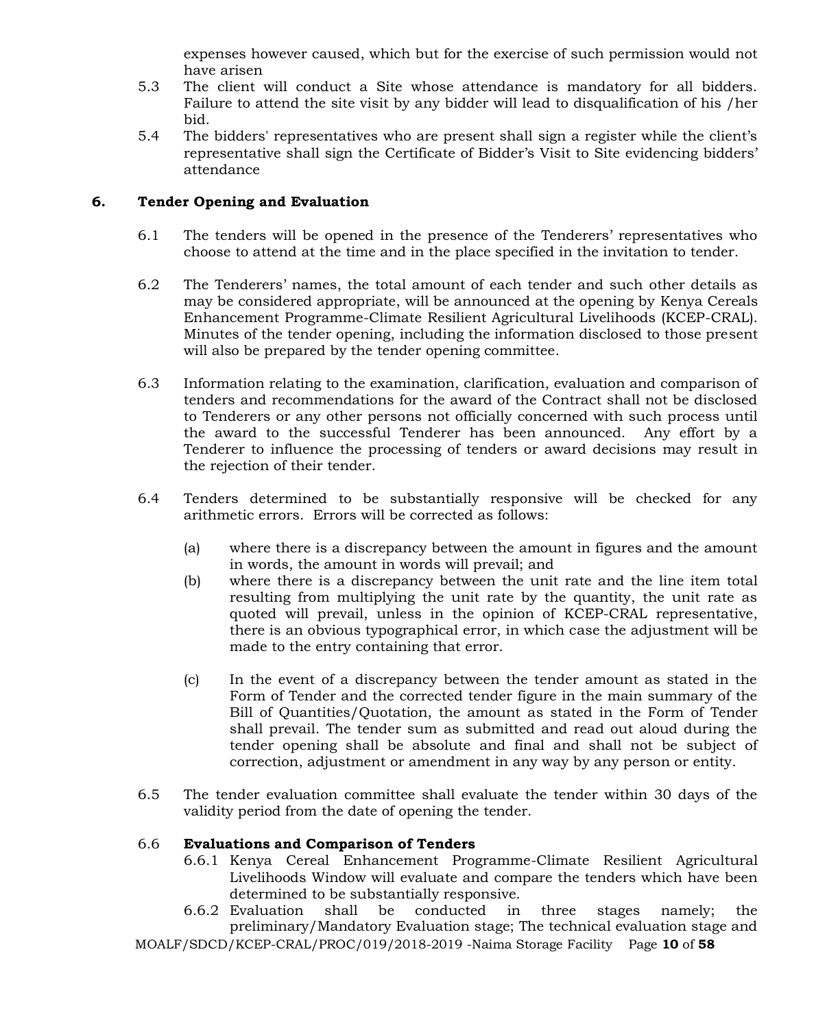expenses however caused, which but for the exercise of such permission would not have arisen

- 5.3 The client will conduct a Site whose attendance is mandatory for all bidders. Failure to attend the site visit by any bidder will lead to disqualification of his /her bid.
- 5.4 The bidders' representatives who are present shall sign a register while the client's representative shall sign the Certificate of Bidder's Visit to Site evidencing bidders' attendance

## **6. Tender Opening and Evaluation**

- 6.1 The tenders will be opened in the presence of the Tenderers' representatives who choose to attend at the time and in the place specified in the invitation to tender.
- 6.2 The Tenderers' names, the total amount of each tender and such other details as may be considered appropriate, will be announced at the opening by Kenya Cereals Enhancement Programme-Climate Resilient Agricultural Livelihoods (KCEP-CRAL). Minutes of the tender opening, including the information disclosed to those present will also be prepared by the tender opening committee.
- 6.3 Information relating to the examination, clarification, evaluation and comparison of tenders and recommendations for the award of the Contract shall not be disclosed to Tenderers or any other persons not officially concerned with such process until the award to the successful Tenderer has been announced. Any effort by a Tenderer to influence the processing of tenders or award decisions may result in the rejection of their tender.
- 6.4 Tenders determined to be substantially responsive will be checked for any arithmetic errors. Errors will be corrected as follows:
	- (a) where there is a discrepancy between the amount in figures and the amount in words, the amount in words will prevail; and
	- (b) where there is a discrepancy between the unit rate and the line item total resulting from multiplying the unit rate by the quantity, the unit rate as quoted will prevail, unless in the opinion of KCEP-CRAL representative, there is an obvious typographical error, in which case the adjustment will be made to the entry containing that error.
	- (c) In the event of a discrepancy between the tender amount as stated in the Form of Tender and the corrected tender figure in the main summary of the Bill of Quantities/Quotation, the amount as stated in the Form of Tender shall prevail. The tender sum as submitted and read out aloud during the tender opening shall be absolute and final and shall not be subject of correction, adjustment or amendment in any way by any person or entity.
- 6.5 The tender evaluation committee shall evaluate the tender within 30 days of the validity period from the date of opening the tender.

#### 6.6 **Evaluations and Comparison of Tenders**

- 6.6.1 Kenya Cereal Enhancement Programme-Climate Resilient Agricultural Livelihoods Window will evaluate and compare the tenders which have been determined to be substantially responsive.
- 6.6.2 Evaluation shall be conducted in three stages namely; the preliminary/Mandatory Evaluation stage; The technical evaluation stage and

MOALF/SDCD/KCEP-CRAL/PROC/019/2018-2019 -Naima Storage Facility Page **10** of **58**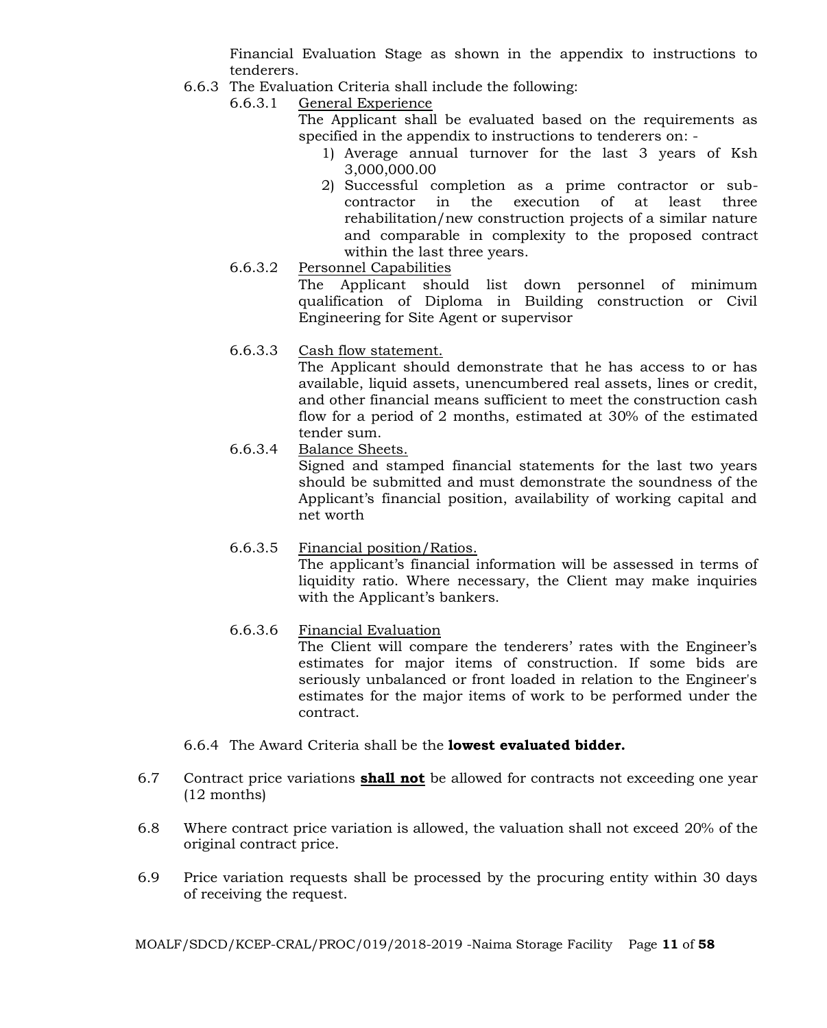Financial Evaluation Stage as shown in the appendix to instructions to tenderers.

- 6.6.3 The Evaluation Criteria shall include the following:
	- 6.6.3.1 General Experience
		- The Applicant shall be evaluated based on the requirements as specified in the appendix to instructions to tenderers on: -
			- 1) Average annual turnover for the last 3 years of Ksh 3,000,000.00
			- 2) Successful completion as a prime contractor or subcontractor in the execution of at least three rehabilitation/new construction projects of a similar nature and comparable in complexity to the proposed contract within the last three years.
	- 6.6.3.2 Personnel Capabilities The Applicant should list down personnel of minimum qualification of Diploma in Building construction or Civil Engineering for Site Agent or supervisor
	- 6.6.3.3 Cash flow statement.

The Applicant should demonstrate that he has access to or has available, liquid assets, unencumbered real assets, lines or credit, and other financial means sufficient to meet the construction cash flow for a period of 2 months, estimated at 30% of the estimated tender sum.

6.6.3.4 Balance Sheets.

Signed and stamped financial statements for the last two years should be submitted and must demonstrate the soundness of the Applicant's financial position, availability of working capital and net worth

6.6.3.5 Financial position/Ratios. The applicant's financial information will be assessed in terms of liquidity ratio. Where necessary, the Client may make inquiries with the Applicant's bankers.

# 6.6.3.6 Financial Evaluation

The Client will compare the tenderers' rates with the Engineer's estimates for major items of construction. If some bids are seriously unbalanced or front loaded in relation to the Engineer's estimates for the major items of work to be performed under the contract.

- 6.6.4 The Award Criteria shall be the **lowest evaluated bidder.**
- 6.7 Contract price variations **shall not** be allowed for contracts not exceeding one year (12 months)
- 6.8 Where contract price variation is allowed, the valuation shall not exceed 20% of the original contract price.
- 6.9 Price variation requests shall be processed by the procuring entity within 30 days of receiving the request.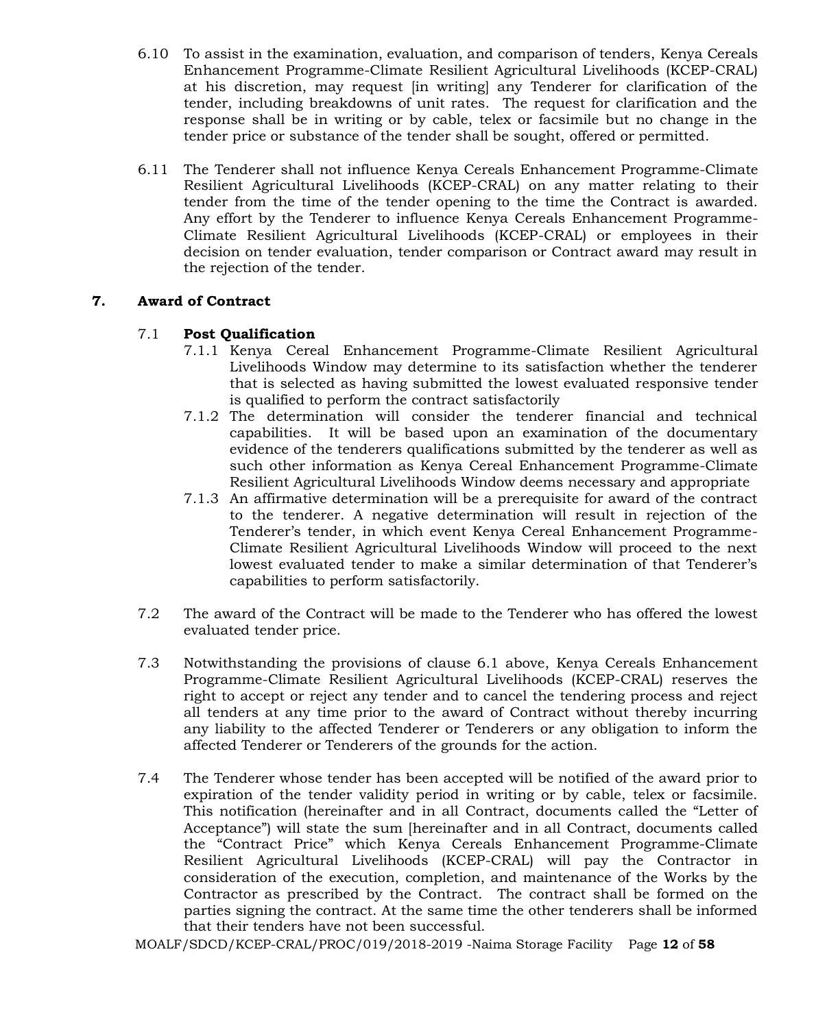- 6.10 To assist in the examination, evaluation, and comparison of tenders, Kenya Cereals Enhancement Programme-Climate Resilient Agricultural Livelihoods (KCEP-CRAL) at his discretion, may request [in writing] any Tenderer for clarification of the tender, including breakdowns of unit rates. The request for clarification and the response shall be in writing or by cable, telex or facsimile but no change in the tender price or substance of the tender shall be sought, offered or permitted.
- 6.11 The Tenderer shall not influence Kenya Cereals Enhancement Programme-Climate Resilient Agricultural Livelihoods (KCEP-CRAL) on any matter relating to their tender from the time of the tender opening to the time the Contract is awarded. Any effort by the Tenderer to influence Kenya Cereals Enhancement Programme-Climate Resilient Agricultural Livelihoods (KCEP-CRAL) or employees in their decision on tender evaluation, tender comparison or Contract award may result in the rejection of the tender.

# **7. Award of Contract**

# 7.1 **Post Qualification**

- 7.1.1 Kenya Cereal Enhancement Programme-Climate Resilient Agricultural Livelihoods Window may determine to its satisfaction whether the tenderer that is selected as having submitted the lowest evaluated responsive tender is qualified to perform the contract satisfactorily
- 7.1.2 The determination will consider the tenderer financial and technical capabilities. It will be based upon an examination of the documentary evidence of the tenderers qualifications submitted by the tenderer as well as such other information as Kenya Cereal Enhancement Programme-Climate Resilient Agricultural Livelihoods Window deems necessary and appropriate
- 7.1.3 An affirmative determination will be a prerequisite for award of the contract to the tenderer. A negative determination will result in rejection of the Tenderer's tender, in which event Kenya Cereal Enhancement Programme-Climate Resilient Agricultural Livelihoods Window will proceed to the next lowest evaluated tender to make a similar determination of that Tenderer's capabilities to perform satisfactorily.
- 7.2 The award of the Contract will be made to the Tenderer who has offered the lowest evaluated tender price.
- 7.3 Notwithstanding the provisions of clause 6.1 above, Kenya Cereals Enhancement Programme-Climate Resilient Agricultural Livelihoods (KCEP-CRAL) reserves the right to accept or reject any tender and to cancel the tendering process and reject all tenders at any time prior to the award of Contract without thereby incurring any liability to the affected Tenderer or Tenderers or any obligation to inform the affected Tenderer or Tenderers of the grounds for the action.
- 7.4 The Tenderer whose tender has been accepted will be notified of the award prior to expiration of the tender validity period in writing or by cable, telex or facsimile. This notification (hereinafter and in all Contract, documents called the "Letter of Acceptance") will state the sum [hereinafter and in all Contract, documents called the "Contract Price" which Kenya Cereals Enhancement Programme-Climate Resilient Agricultural Livelihoods (KCEP-CRAL) will pay the Contractor in consideration of the execution, completion, and maintenance of the Works by the Contractor as prescribed by the Contract. The contract shall be formed on the parties signing the contract. At the same time the other tenderers shall be informed that their tenders have not been successful.

MOALF/SDCD/KCEP-CRAL/PROC/019/2018-2019 -Naima Storage Facility Page **12** of **58**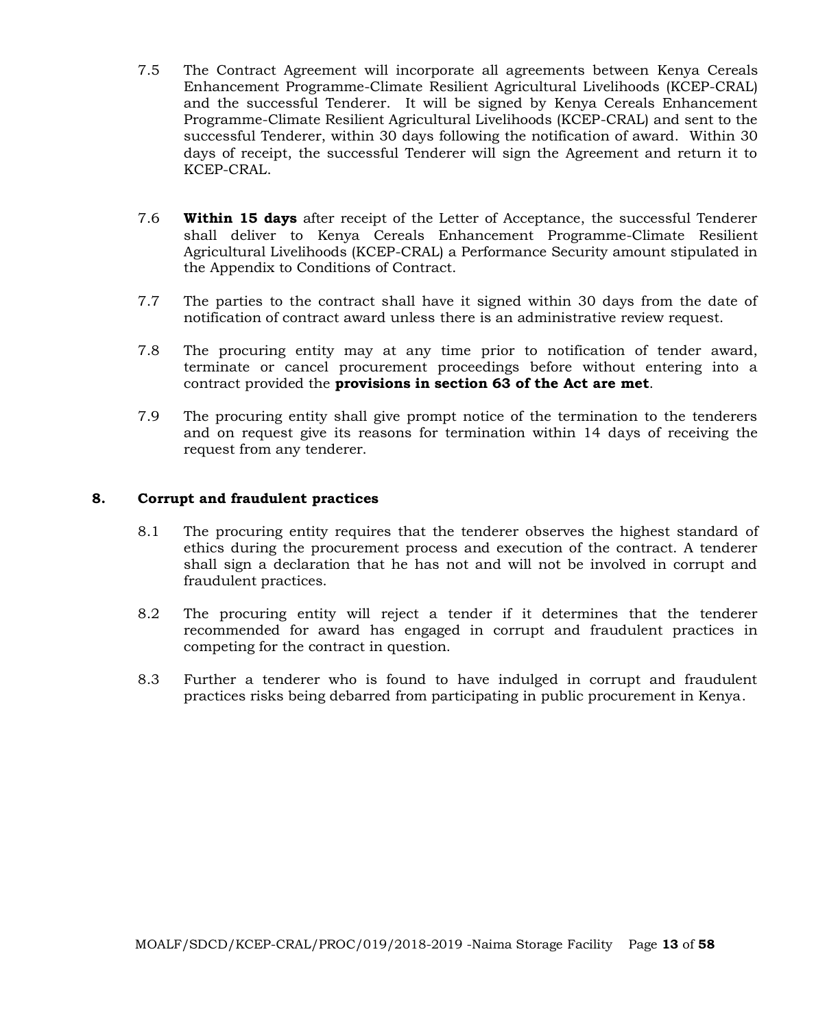- 7.5 The Contract Agreement will incorporate all agreements between Kenya Cereals Enhancement Programme-Climate Resilient Agricultural Livelihoods (KCEP-CRAL) and the successful Tenderer. It will be signed by Kenya Cereals Enhancement Programme-Climate Resilient Agricultural Livelihoods (KCEP-CRAL) and sent to the successful Tenderer, within 30 days following the notification of award. Within 30 days of receipt, the successful Tenderer will sign the Agreement and return it to KCEP-CRAL.
- 7.6 **Within 15 days** after receipt of the Letter of Acceptance, the successful Tenderer shall deliver to Kenya Cereals Enhancement Programme-Climate Resilient Agricultural Livelihoods (KCEP-CRAL) a Performance Security amount stipulated in the Appendix to Conditions of Contract.
- 7.7 The parties to the contract shall have it signed within 30 days from the date of notification of contract award unless there is an administrative review request.
- 7.8 The procuring entity may at any time prior to notification of tender award, terminate or cancel procurement proceedings before without entering into a contract provided the **provisions in section 63 of the Act are met**.
- 7.9 The procuring entity shall give prompt notice of the termination to the tenderers and on request give its reasons for termination within 14 days of receiving the request from any tenderer.

#### **8. Corrupt and fraudulent practices**

- 8.1 The procuring entity requires that the tenderer observes the highest standard of ethics during the procurement process and execution of the contract. A tenderer shall sign a declaration that he has not and will not be involved in corrupt and fraudulent practices.
- 8.2 The procuring entity will reject a tender if it determines that the tenderer recommended for award has engaged in corrupt and fraudulent practices in competing for the contract in question.
- 8.3 Further a tenderer who is found to have indulged in corrupt and fraudulent practices risks being debarred from participating in public procurement in Kenya.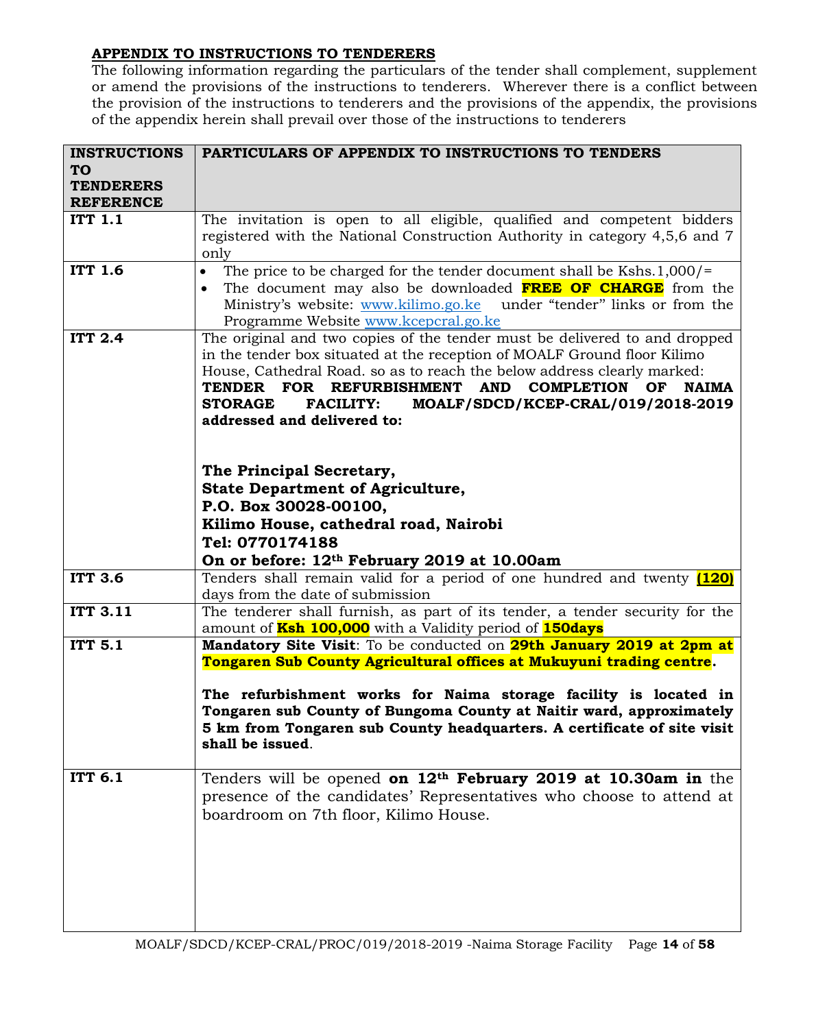# **APPENDIX TO INSTRUCTIONS TO TENDERERS**

The following information regarding the particulars of the tender shall complement, supplement or amend the provisions of the instructions to tenderers. Wherever there is a conflict between the provision of the instructions to tenderers and the provisions of the appendix, the provisions of the appendix herein shall prevail over those of the instructions to tenderers

| <b>INSTRUCTIONS</b> | PARTICULARS OF APPENDIX TO INSTRUCTIONS TO TENDERS                                    |
|---------------------|---------------------------------------------------------------------------------------|
| <b>TO</b>           |                                                                                       |
| <b>TENDERERS</b>    |                                                                                       |
| <b>REFERENCE</b>    |                                                                                       |
| <b>ITT 1.1</b>      | The invitation is open to all eligible, qualified and competent bidders               |
|                     | registered with the National Construction Authority in category 4,5,6 and 7           |
|                     | only                                                                                  |
| <b>ITT 1.6</b>      | The price to be charged for the tender document shall be Kshs.1,000/=<br>$\bullet$    |
|                     | • The document may also be downloaded <b>FREE OF CHARGE</b> from the                  |
|                     | Ministry's website: www.kilimo.go.ke under "tender" links or from the                 |
|                     | Programme Website www.kcepcral.go.ke                                                  |
| <b>ITT 2.4</b>      | The original and two copies of the tender must be delivered to and dropped            |
|                     | in the tender box situated at the reception of MOALF Ground floor Kilimo              |
|                     | House, Cathedral Road. so as to reach the below address clearly marked:               |
|                     | TENDER FOR REFURBISHMENT AND COMPLETION OF<br><b>NAIMA</b>                            |
|                     | <b>STORAGE</b>                                                                        |
|                     | MOALF/SDCD/KCEP-CRAL/019/2018-2019<br><b>FACILITY:</b><br>addressed and delivered to: |
|                     |                                                                                       |
|                     |                                                                                       |
|                     |                                                                                       |
|                     | The Principal Secretary,                                                              |
|                     | <b>State Department of Agriculture,</b>                                               |
|                     | P.O. Box 30028-00100,                                                                 |
|                     | Kilimo House, cathedral road, Nairobi                                                 |
|                     | Tel: 0770174188                                                                       |
|                     | On or before: 12th February 2019 at 10.00am                                           |
| <b>ITT 3.6</b>      | Tenders shall remain valid for a period of one hundred and twenty (120)               |
|                     | days from the date of submission                                                      |
| <b>ITT 3.11</b>     | The tenderer shall furnish, as part of its tender, a tender security for the          |
|                     | amount of <b>Ksh 100,000</b> with a Validity period of <b>150days</b>                 |
| <b>ITT 5.1</b>      | Mandatory Site Visit: To be conducted on 29th January 2019 at 2pm at                  |
|                     | Tongaren Sub County Agricultural offices at Mukuyuni trading centre.                  |
|                     |                                                                                       |
|                     | The refurbishment works for Naima storage facility is located in                      |
|                     | Tongaren sub County of Bungoma County at Naitir ward, approximately                   |
|                     | 5 km from Tongaren sub County headquarters. A certificate of site visit               |
|                     | shall be issued.                                                                      |
|                     |                                                                                       |
| <b>ITT 6.1</b>      | Tenders will be opened on 12 <sup>th</sup> February 2019 at 10.30am in the            |
|                     | presence of the candidates' Representatives who choose to attend at                   |
|                     | boardroom on 7th floor, Kilimo House.                                                 |
|                     |                                                                                       |
|                     |                                                                                       |
|                     |                                                                                       |
|                     |                                                                                       |
|                     |                                                                                       |
|                     |                                                                                       |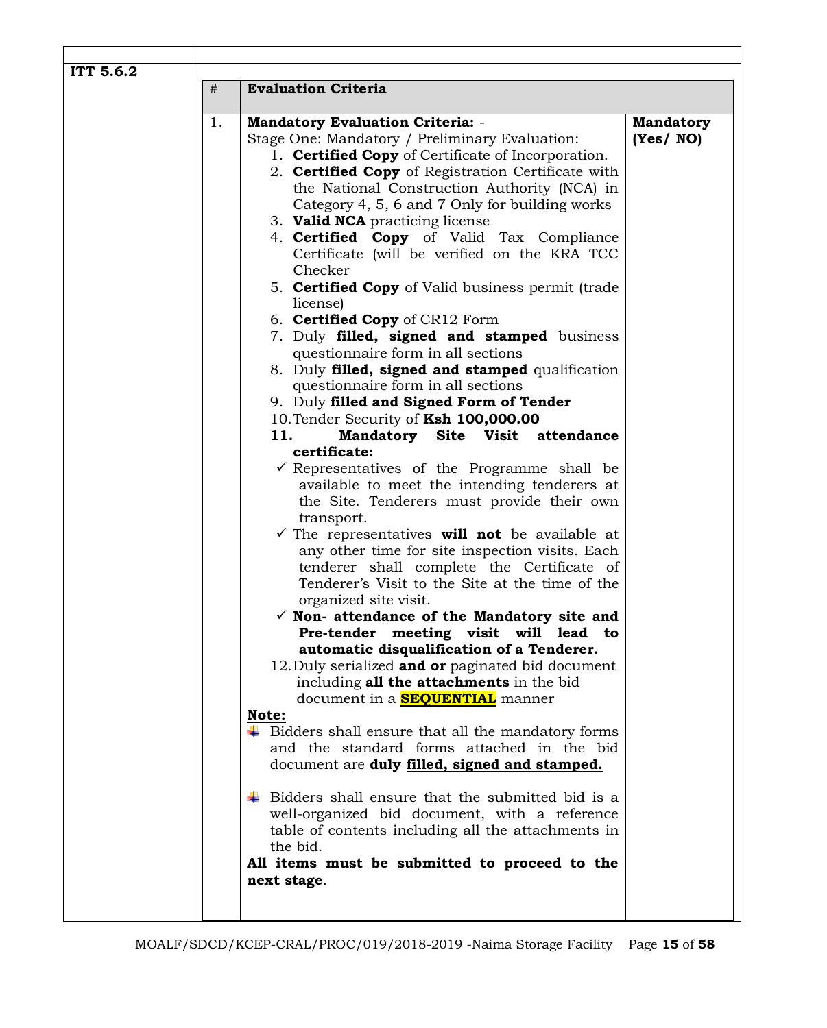| #  | <b>Evaluation Criteria</b>                                  |                  |
|----|-------------------------------------------------------------|------------------|
| 1. | <b>Mandatory Evaluation Criteria: -</b>                     | <b>Mandatory</b> |
|    | Stage One: Mandatory / Preliminary Evaluation:              | (Yes/NO)         |
|    | 1. <b>Certified Copy</b> of Certificate of Incorporation.   |                  |
|    | 2. <b>Certified Copy</b> of Registration Certificate with   |                  |
|    | the National Construction Authority (NCA) in                |                  |
|    | Category 4, 5, 6 and 7 Only for building works              |                  |
|    | 3. Valid NCA practicing license                             |                  |
|    |                                                             |                  |
|    | 4. <b>Certified Copy</b> of Valid Tax Compliance            |                  |
|    | Certificate (will be verified on the KRA TCC                |                  |
|    | Checker                                                     |                  |
|    | 5. <b>Certified Copy</b> of Valid business permit (trade    |                  |
|    | license)                                                    |                  |
|    | 6. Certified Copy of CR12 Form                              |                  |
|    | 7. Duly filled, signed and stamped business                 |                  |
|    | questionnaire form in all sections                          |                  |
|    | 8. Duly filled, signed and stamped qualification            |                  |
|    | questionnaire form in all sections                          |                  |
|    | 9. Duly filled and Signed Form of Tender                    |                  |
|    | 10. Tender Security of Ksh 100,000.00                       |                  |
|    | Mandatory Site Visit attendance<br>11.                      |                  |
|    | certificate:                                                |                  |
|    | $\checkmark$ Representatives of the Programme shall be      |                  |
|    | available to meet the intending tenderers at                |                  |
|    | the Site. Tenderers must provide their own                  |                  |
|    | transport.                                                  |                  |
|    |                                                             |                  |
|    | $\checkmark$ The representatives $will not$ be available at |                  |
|    | any other time for site inspection visits. Each             |                  |
|    | tenderer shall complete the Certificate of                  |                  |
|    | Tenderer's Visit to the Site at the time of the             |                  |
|    | organized site visit.                                       |                  |
|    | $\checkmark$ Non- attendance of the Mandatory site and      |                  |
|    | Pre-tender meeting visit will lead to                       |                  |
|    | automatic disqualification of a Tenderer.                   |                  |
|    | 12. Duly serialized <b>and or</b> paginated bid document    |                  |
|    | including all the attachments in the bid                    |                  |
|    | document in a <b>SEQUENTIAL</b> manner                      |                  |
|    | Note:                                                       |                  |
|    | Bidders shall ensure that all the mandatory forms           |                  |
|    | and the standard forms attached in the bid                  |                  |
|    | document are duly filled, signed and stamped.               |                  |
|    |                                                             |                  |
|    | Bidders shall ensure that the submitted bid is a<br>₩.      |                  |
|    | well-organized bid document, with a reference               |                  |
|    | table of contents including all the attachments in          |                  |
|    | the bid.                                                    |                  |
|    |                                                             |                  |
|    | All items must be submitted to proceed to the               |                  |
|    | next stage.                                                 |                  |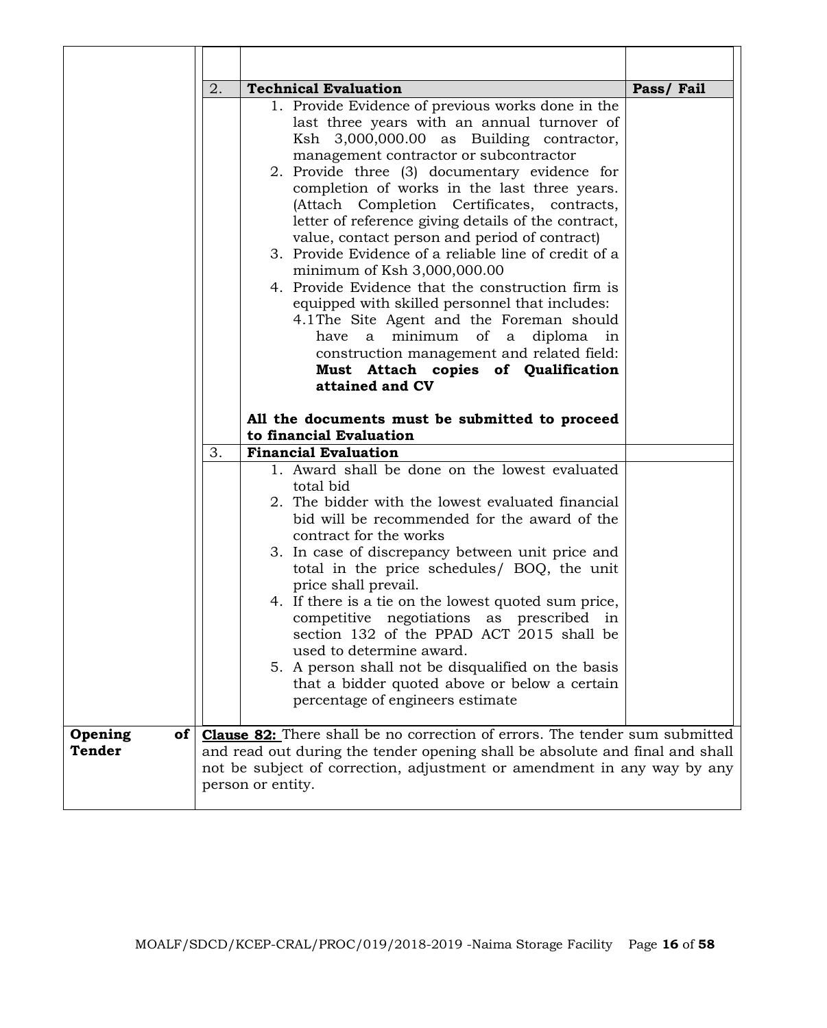|                         | 2. | <b>Technical Evaluation</b>                                                                                                                                                                                                                                                                                                                                                                                                                                                                                                                                                                                                                                                                                                                                                                                                                                                                  | Pass/Fail |
|-------------------------|----|----------------------------------------------------------------------------------------------------------------------------------------------------------------------------------------------------------------------------------------------------------------------------------------------------------------------------------------------------------------------------------------------------------------------------------------------------------------------------------------------------------------------------------------------------------------------------------------------------------------------------------------------------------------------------------------------------------------------------------------------------------------------------------------------------------------------------------------------------------------------------------------------|-----------|
|                         |    | 1. Provide Evidence of previous works done in the<br>last three years with an annual turnover of<br>Ksh 3,000,000.00 as Building contractor,<br>management contractor or subcontractor<br>2. Provide three (3) documentary evidence for<br>completion of works in the last three years.<br>(Attach Completion Certificates, contracts,<br>letter of reference giving details of the contract,<br>value, contact person and period of contract)<br>3. Provide Evidence of a reliable line of credit of a<br>minimum of Ksh 3,000,000.00<br>4. Provide Evidence that the construction firm is<br>equipped with skilled personnel that includes:<br>4.1 The Site Agent and the Foreman should<br>have a minimum<br>of a<br>diploma in<br>construction management and related field:<br>Must Attach copies of Qualification<br>attained and CV<br>All the documents must be submitted to proceed |           |
|                         |    | to financial Evaluation                                                                                                                                                                                                                                                                                                                                                                                                                                                                                                                                                                                                                                                                                                                                                                                                                                                                      |           |
|                         | 3. | <b>Financial Evaluation</b><br>1. Award shall be done on the lowest evaluated<br>total bid<br>2. The bidder with the lowest evaluated financial<br>bid will be recommended for the award of the<br>contract for the works<br>3. In case of discrepancy between unit price and<br>total in the price schedules/ BOQ, the unit<br>price shall prevail.<br>4. If there is a tie on the lowest quoted sum price,<br>competitive negotiations as prescribed in<br>section 132 of the PPAD ACT 2015 shall be<br>used to determine award.<br>5. A person shall not be disqualified on the basis<br>that a bidder quoted above or below a certain<br>percentage of engineers estimate                                                                                                                                                                                                                |           |
| of<br>Opening<br>Tender |    | <b>Clause 82:</b> There shall be no correction of errors. The tender sum submitted<br>and read out during the tender opening shall be absolute and final and shall<br>not be subject of correction, adjustment or amendment in any way by any<br>person or entity.                                                                                                                                                                                                                                                                                                                                                                                                                                                                                                                                                                                                                           |           |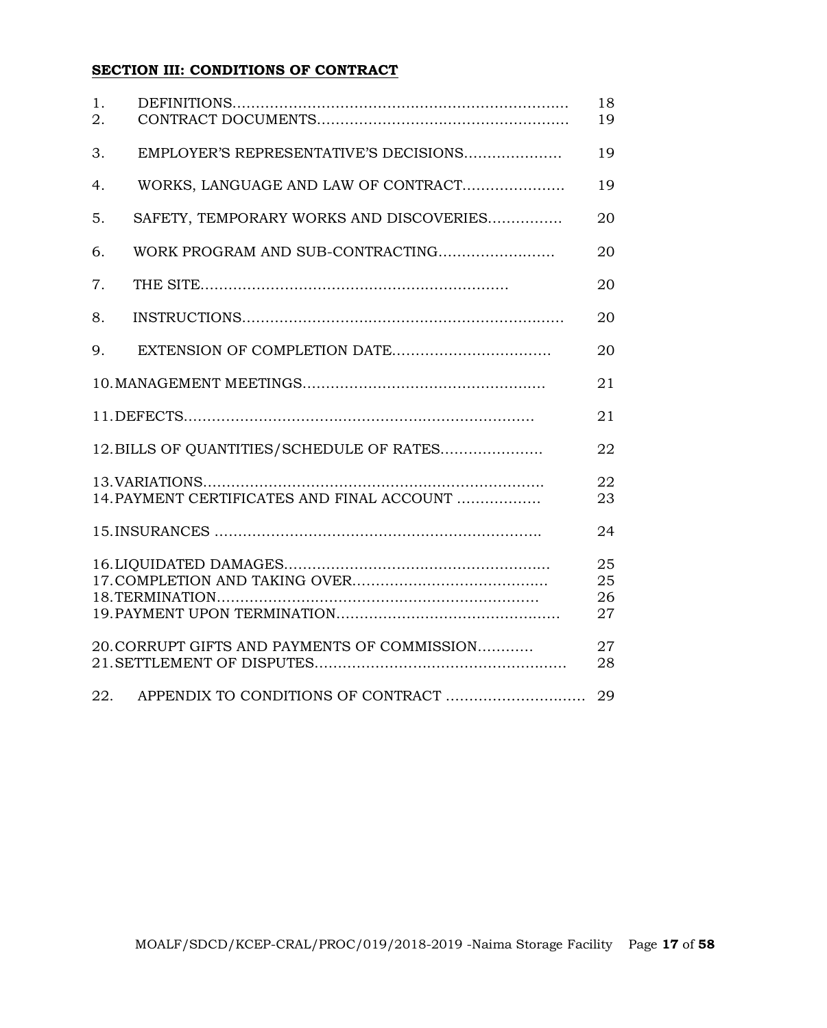# **SECTION III: CONDITIONS OF CONTRACT**

| 1.<br>2. |                                              | 18<br>19             |
|----------|----------------------------------------------|----------------------|
| 3.       | EMPLOYER'S REPRESENTATIVE'S DECISIONS        | 19                   |
| 4.       | WORKS, LANGUAGE AND LAW OF CONTRACT          | 19                   |
| 5.       | SAFETY, TEMPORARY WORKS AND DISCOVERIES      | 20                   |
| 6.       | WORK PROGRAM AND SUB-CONTRACTING             | 20                   |
| 7.       |                                              | 20                   |
| 8.       |                                              | 20                   |
| 9.       |                                              | 20                   |
|          |                                              | 21                   |
|          |                                              | 21                   |
|          | 12. BILLS OF QUANTITIES/SCHEDULE OF RATES    | 22                   |
|          | 14. PAYMENT CERTIFICATES AND FINAL ACCOUNT   | 22<br>23             |
|          |                                              | 24                   |
|          |                                              | 25<br>25<br>26<br>27 |
|          | 20. CORRUPT GIFTS AND PAYMENTS OF COMMISSION | 27<br>28             |
| 22.      |                                              |                      |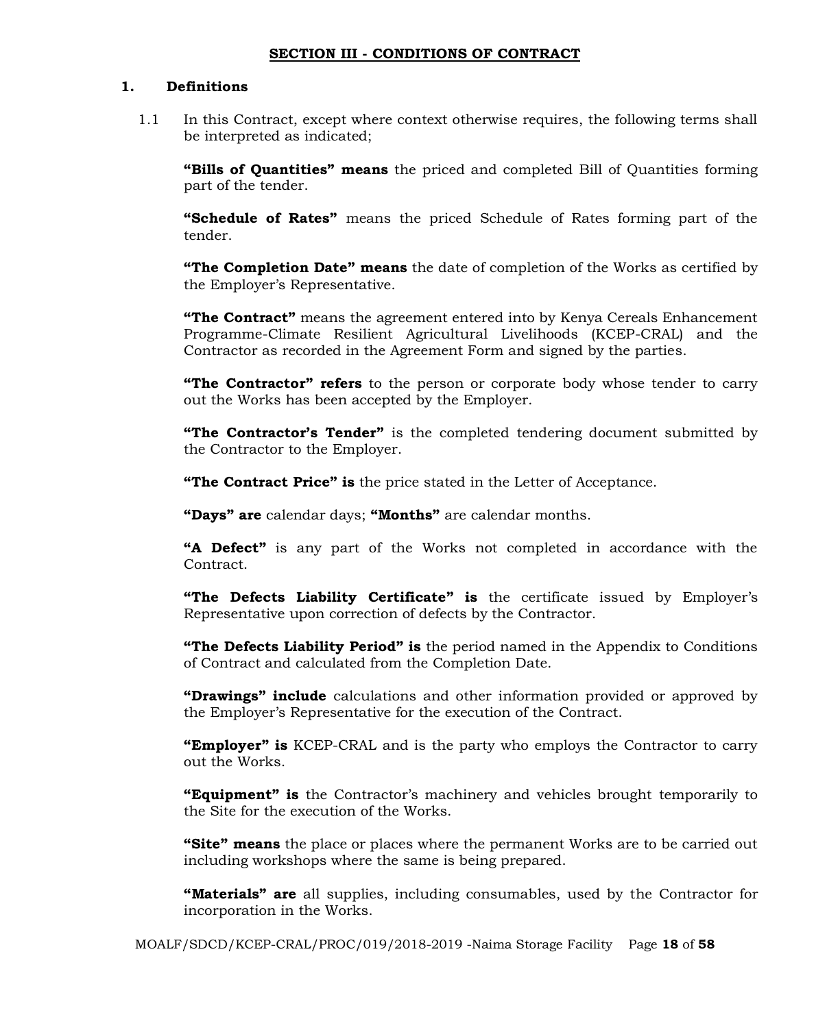#### **SECTION III - CONDITIONS OF CONTRACT**

#### **1. Definitions**

1.1 In this Contract, except where context otherwise requires, the following terms shall be interpreted as indicated;

**"Bills of Quantities" means** the priced and completed Bill of Quantities forming part of the tender.

**"Schedule of Rates"** means the priced Schedule of Rates forming part of the tender.

**"The Completion Date" means** the date of completion of the Works as certified by the Employer's Representative.

**"The Contract"** means the agreement entered into by Kenya Cereals Enhancement Programme-Climate Resilient Agricultural Livelihoods (KCEP-CRAL) and the Contractor as recorded in the Agreement Form and signed by the parties.

**"The Contractor" refers** to the person or corporate body whose tender to carry out the Works has been accepted by the Employer.

**"The Contractor's Tender"** is the completed tendering document submitted by the Contractor to the Employer.

**"The Contract Price" is** the price stated in the Letter of Acceptance.

**"Days" are** calendar days; **"Months"** are calendar months.

**"A Defect"** is any part of the Works not completed in accordance with the Contract.

**"The Defects Liability Certificate" is** the certificate issued by Employer's Representative upon correction of defects by the Contractor.

**"The Defects Liability Period" is** the period named in the Appendix to Conditions of Contract and calculated from the Completion Date.

**"Drawings" include** calculations and other information provided or approved by the Employer's Representative for the execution of the Contract.

**"Employer" is** KCEP-CRAL and is the party who employs the Contractor to carry out the Works.

**"Equipment" is** the Contractor's machinery and vehicles brought temporarily to the Site for the execution of the Works.

**"Site" means** the place or places where the permanent Works are to be carried out including workshops where the same is being prepared.

**"Materials" are** all supplies, including consumables, used by the Contractor for incorporation in the Works.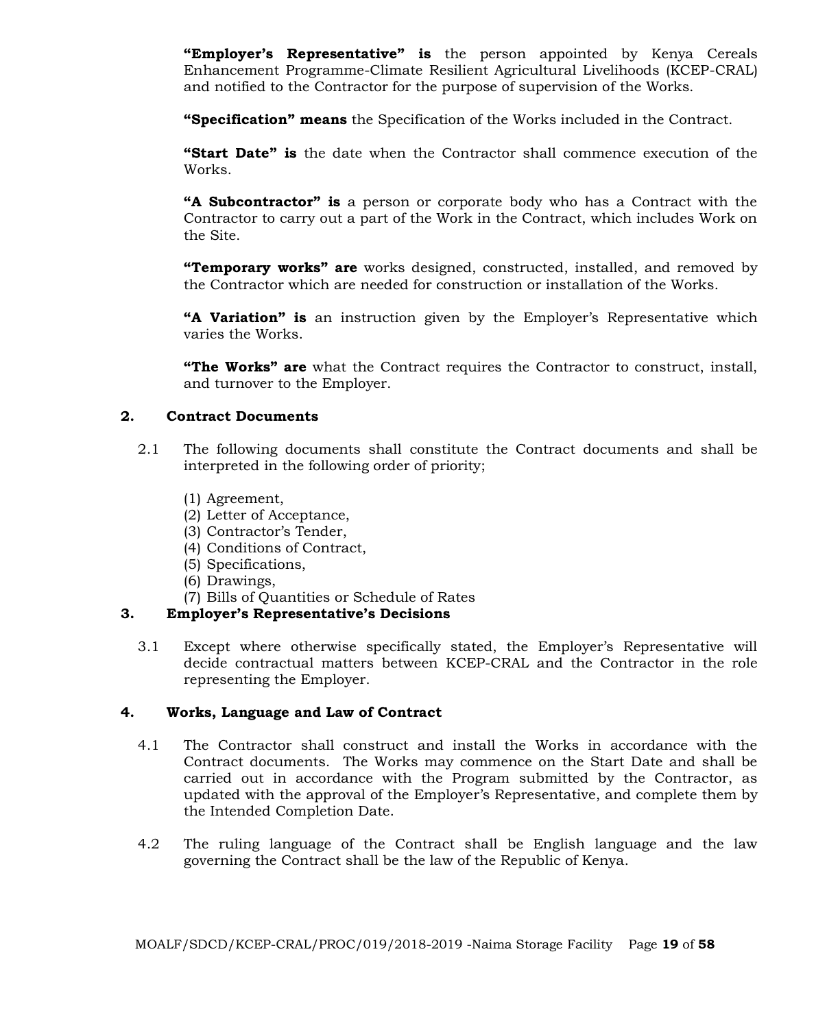**"Employer's Representative" is** the person appointed by Kenya Cereals Enhancement Programme-Climate Resilient Agricultural Livelihoods (KCEP-CRAL) and notified to the Contractor for the purpose of supervision of the Works.

**"Specification" means** the Specification of the Works included in the Contract.

**"Start Date" is** the date when the Contractor shall commence execution of the Works.

**"A Subcontractor" is** a person or corporate body who has a Contract with the Contractor to carry out a part of the Work in the Contract, which includes Work on the Site.

**"Temporary works" are** works designed, constructed, installed, and removed by the Contractor which are needed for construction or installation of the Works.

**"A Variation" is** an instruction given by the Employer's Representative which varies the Works.

**"The Works" are** what the Contract requires the Contractor to construct, install, and turnover to the Employer.

## **2. Contract Documents**

- 2.1 The following documents shall constitute the Contract documents and shall be interpreted in the following order of priority;
	- (1) Agreement,
	- (2) Letter of Acceptance,
	- (3) Contractor's Tender,
	- (4) Conditions of Contract,
	- (5) Specifications,
	- (6) Drawings,
	- (7) Bills of Quantities or Schedule of Rates

## **3. Employer's Representative's Decisions**

3.1 Except where otherwise specifically stated, the Employer's Representative will decide contractual matters between KCEP-CRAL and the Contractor in the role representing the Employer.

#### **4. Works, Language and Law of Contract**

- 4.1 The Contractor shall construct and install the Works in accordance with the Contract documents. The Works may commence on the Start Date and shall be carried out in accordance with the Program submitted by the Contractor, as updated with the approval of the Employer's Representative, and complete them by the Intended Completion Date.
- 4.2 The ruling language of the Contract shall be English language and the law governing the Contract shall be the law of the Republic of Kenya.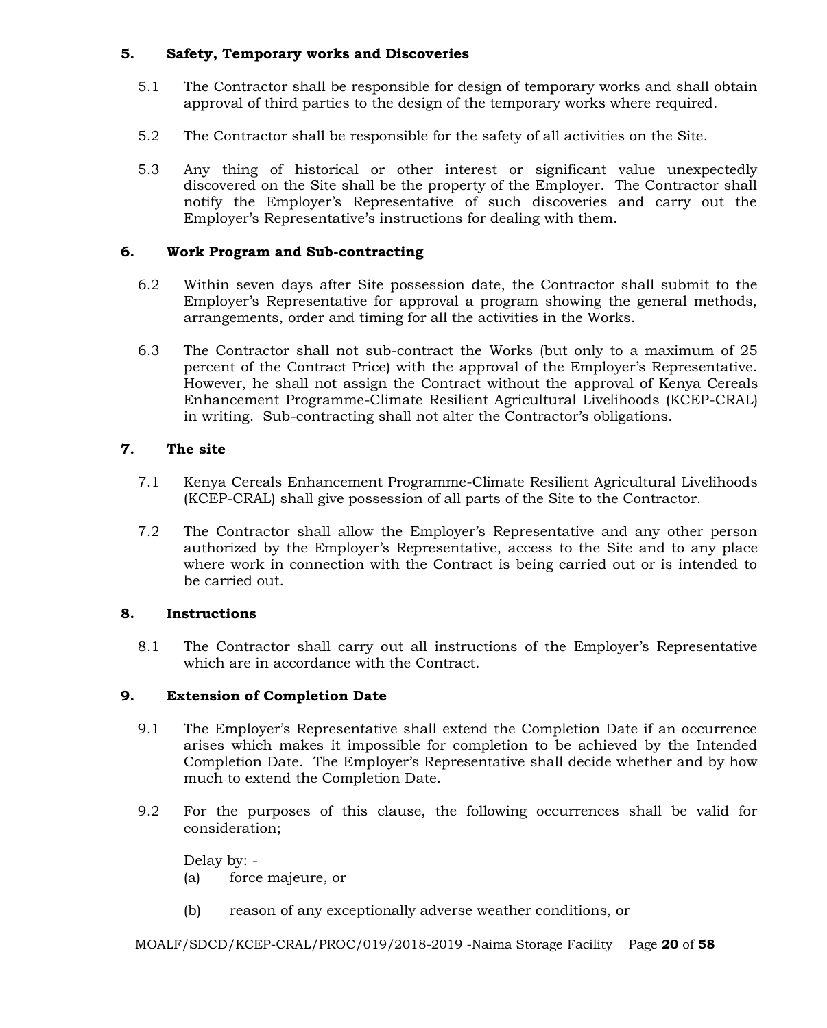# **5. Safety, Temporary works and Discoveries**

- 5.1 The Contractor shall be responsible for design of temporary works and shall obtain approval of third parties to the design of the temporary works where required.
- 5.2 The Contractor shall be responsible for the safety of all activities on the Site.
- 5.3 Any thing of historical or other interest or significant value unexpectedly discovered on the Site shall be the property of the Employer. The Contractor shall notify the Employer's Representative of such discoveries and carry out the Employer's Representative's instructions for dealing with them.

# **6. Work Program and Sub-contracting**

- 6.2 Within seven days after Site possession date, the Contractor shall submit to the Employer's Representative for approval a program showing the general methods, arrangements, order and timing for all the activities in the Works.
- 6.3 The Contractor shall not sub-contract the Works (but only to a maximum of 25 percent of the Contract Price) with the approval of the Employer's Representative. However, he shall not assign the Contract without the approval of Kenya Cereals Enhancement Programme-Climate Resilient Agricultural Livelihoods (KCEP-CRAL) in writing. Sub-contracting shall not alter the Contractor's obligations.

# **7. The site**

- 7.1 Kenya Cereals Enhancement Programme-Climate Resilient Agricultural Livelihoods (KCEP-CRAL) shall give possession of all parts of the Site to the Contractor.
- 7.2 The Contractor shall allow the Employer's Representative and any other person authorized by the Employer's Representative, access to the Site and to any place where work in connection with the Contract is being carried out or is intended to be carried out.

# **8. Instructions**

8.1 The Contractor shall carry out all instructions of the Employer's Representative which are in accordance with the Contract.

# **9. Extension of Completion Date**

- 9.1 The Employer's Representative shall extend the Completion Date if an occurrence arises which makes it impossible for completion to be achieved by the Intended Completion Date. The Employer's Representative shall decide whether and by how much to extend the Completion Date.
- 9.2 For the purposes of this clause, the following occurrences shall be valid for consideration;

Delay by: - (a) force majeure, or

(b) reason of any exceptionally adverse weather conditions, or

MOALF/SDCD/KCEP-CRAL/PROC/019/2018-2019 -Naima Storage Facility Page **20** of **58**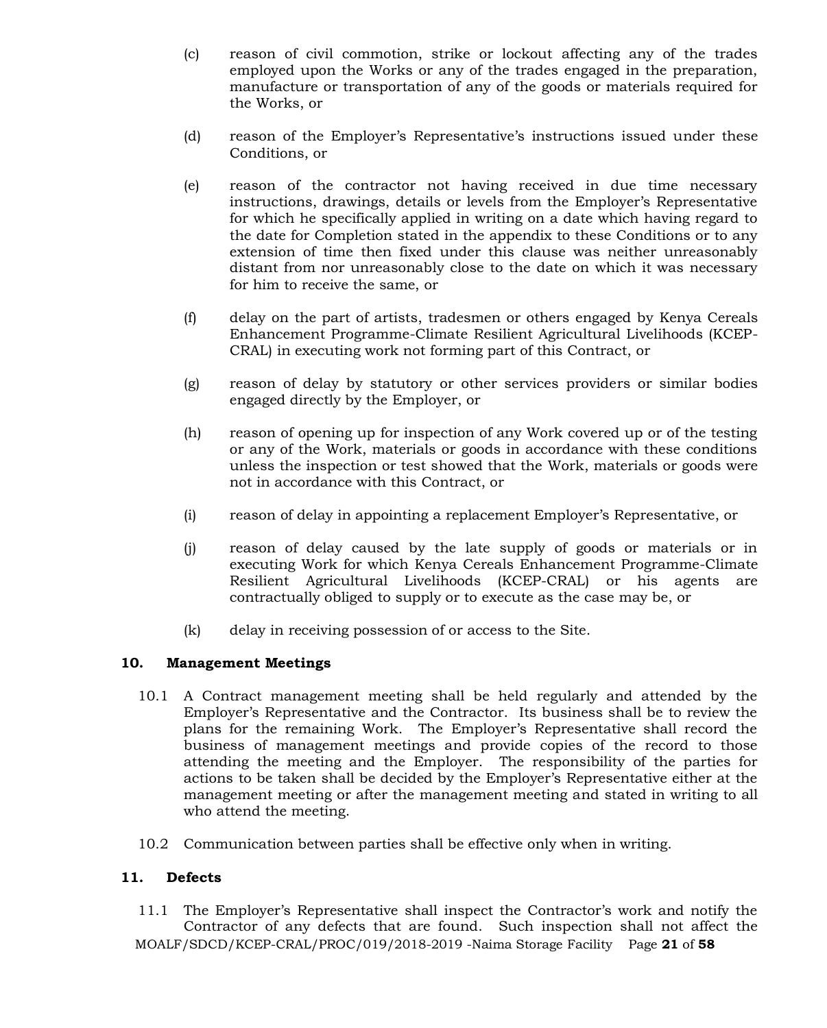- (c) reason of civil commotion, strike or lockout affecting any of the trades employed upon the Works or any of the trades engaged in the preparation, manufacture or transportation of any of the goods or materials required for the Works, or
- (d) reason of the Employer's Representative's instructions issued under these Conditions, or
- (e) reason of the contractor not having received in due time necessary instructions, drawings, details or levels from the Employer's Representative for which he specifically applied in writing on a date which having regard to the date for Completion stated in the appendix to these Conditions or to any extension of time then fixed under this clause was neither unreasonably distant from nor unreasonably close to the date on which it was necessary for him to receive the same, or
- (f) delay on the part of artists, tradesmen or others engaged by Kenya Cereals Enhancement Programme-Climate Resilient Agricultural Livelihoods (KCEP-CRAL) in executing work not forming part of this Contract, or
- (g) reason of delay by statutory or other services providers or similar bodies engaged directly by the Employer, or
- (h) reason of opening up for inspection of any Work covered up or of the testing or any of the Work, materials or goods in accordance with these conditions unless the inspection or test showed that the Work, materials or goods were not in accordance with this Contract, or
- (i) reason of delay in appointing a replacement Employer's Representative, or
- (j) reason of delay caused by the late supply of goods or materials or in executing Work for which Kenya Cereals Enhancement Programme-Climate Resilient Agricultural Livelihoods (KCEP-CRAL) or his agents are contractually obliged to supply or to execute as the case may be, or
- (k) delay in receiving possession of or access to the Site.

# **10. Management Meetings**

- 10.1 A Contract management meeting shall be held regularly and attended by the Employer's Representative and the Contractor. Its business shall be to review the plans for the remaining Work. The Employer's Representative shall record the business of management meetings and provide copies of the record to those attending the meeting and the Employer. The responsibility of the parties for actions to be taken shall be decided by the Employer's Representative either at the management meeting or after the management meeting and stated in writing to all who attend the meeting.
- 10.2 Communication between parties shall be effective only when in writing.

# **11. Defects**

MOALF/SDCD/KCEP-CRAL/PROC/019/2018-2019 -Naima Storage Facility Page **21** of **58** 11.1 The Employer's Representative shall inspect the Contractor's work and notify the Contractor of any defects that are found. Such inspection shall not affect the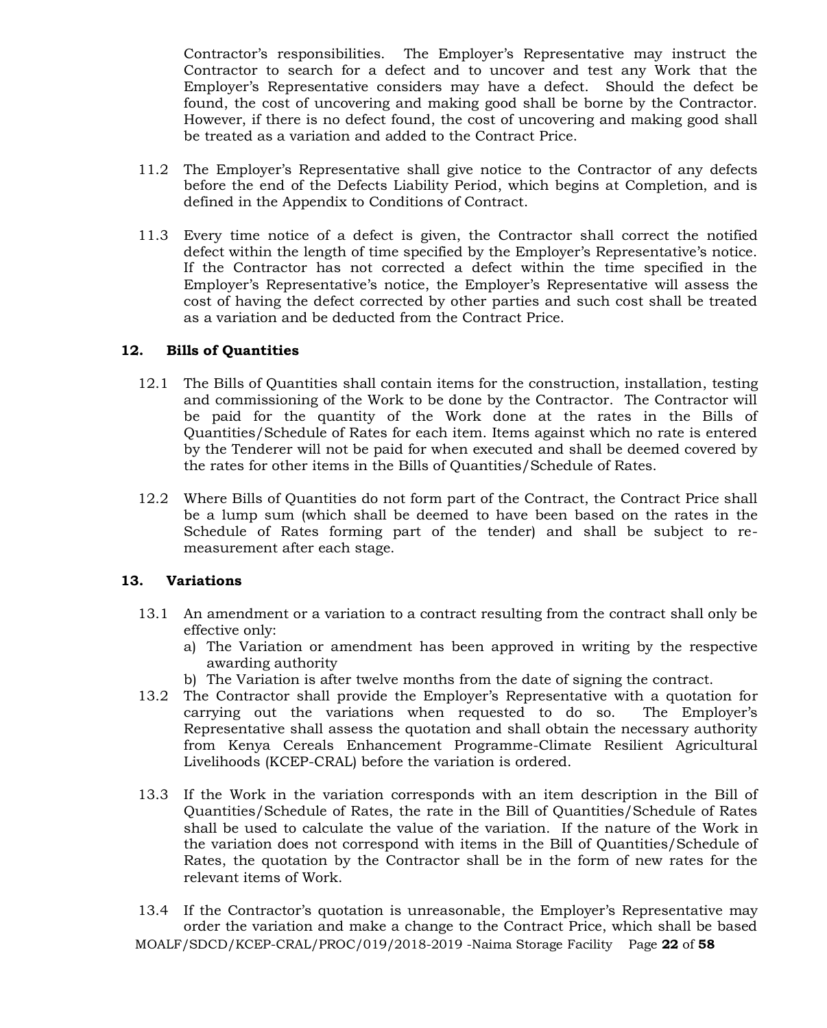Contractor's responsibilities. The Employer's Representative may instruct the Contractor to search for a defect and to uncover and test any Work that the Employer's Representative considers may have a defect. Should the defect be found, the cost of uncovering and making good shall be borne by the Contractor. However, if there is no defect found, the cost of uncovering and making good shall be treated as a variation and added to the Contract Price.

- 11.2 The Employer's Representative shall give notice to the Contractor of any defects before the end of the Defects Liability Period, which begins at Completion, and is defined in the Appendix to Conditions of Contract.
- 11.3 Every time notice of a defect is given, the Contractor shall correct the notified defect within the length of time specified by the Employer's Representative's notice. If the Contractor has not corrected a defect within the time specified in the Employer's Representative's notice, the Employer's Representative will assess the cost of having the defect corrected by other parties and such cost shall be treated as a variation and be deducted from the Contract Price.

## **12. Bills of Quantities**

- 12.1 The Bills of Quantities shall contain items for the construction, installation, testing and commissioning of the Work to be done by the Contractor. The Contractor will be paid for the quantity of the Work done at the rates in the Bills of Quantities/Schedule of Rates for each item. Items against which no rate is entered by the Tenderer will not be paid for when executed and shall be deemed covered by the rates for other items in the Bills of Quantities/Schedule of Rates.
- 12.2 Where Bills of Quantities do not form part of the Contract, the Contract Price shall be a lump sum (which shall be deemed to have been based on the rates in the Schedule of Rates forming part of the tender) and shall be subject to remeasurement after each stage.

# **13. Variations**

- 13.1 An amendment or a variation to a contract resulting from the contract shall only be effective only:
	- a) The Variation or amendment has been approved in writing by the respective awarding authority
	- b) The Variation is after twelve months from the date of signing the contract.
- 13.2 The Contractor shall provide the Employer's Representative with a quotation for carrying out the variations when requested to do so. The Employer's Representative shall assess the quotation and shall obtain the necessary authority from Kenya Cereals Enhancement Programme-Climate Resilient Agricultural Livelihoods (KCEP-CRAL) before the variation is ordered.
- 13.3 If the Work in the variation corresponds with an item description in the Bill of Quantities/Schedule of Rates, the rate in the Bill of Quantities/Schedule of Rates shall be used to calculate the value of the variation. If the nature of the Work in the variation does not correspond with items in the Bill of Quantities/Schedule of Rates, the quotation by the Contractor shall be in the form of new rates for the relevant items of Work.
- MOALF/SDCD/KCEP-CRAL/PROC/019/2018-2019 -Naima Storage Facility Page **22** of **58** 13.4 If the Contractor's quotation is unreasonable, the Employer's Representative may order the variation and make a change to the Contract Price, which shall be based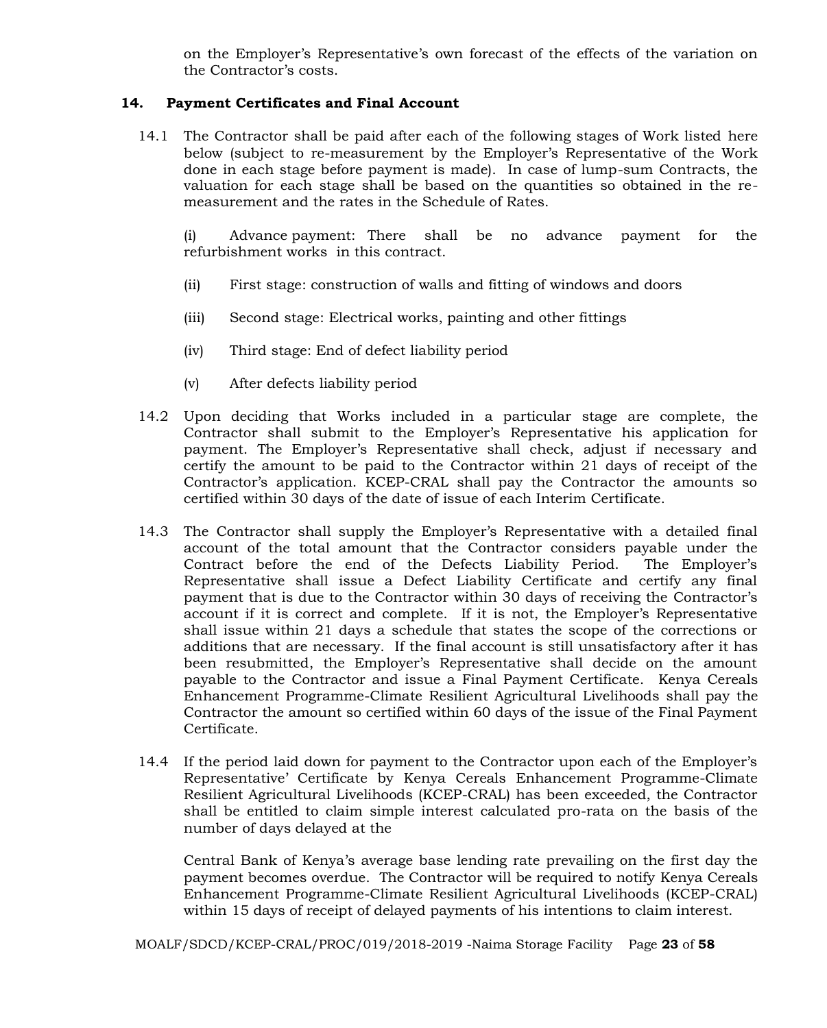on the Employer's Representative's own forecast of the effects of the variation on the Contractor's costs.

## **14. Payment Certificates and Final Account**

14.1 The Contractor shall be paid after each of the following stages of Work listed here below (subject to re-measurement by the Employer's Representative of the Work done in each stage before payment is made). In case of lump-sum Contracts, the valuation for each stage shall be based on the quantities so obtained in the remeasurement and the rates in the Schedule of Rates.

(i) Advance payment: There shall be no advance payment for the refurbishment works in this contract.

- (ii) First stage: construction of walls and fitting of windows and doors
- (iii) Second stage: Electrical works, painting and other fittings
- (iv) Third stage: End of defect liability period
- (v) After defects liability period
- 14.2 Upon deciding that Works included in a particular stage are complete, the Contractor shall submit to the Employer's Representative his application for payment. The Employer's Representative shall check, adjust if necessary and certify the amount to be paid to the Contractor within 21 days of receipt of the Contractor's application. KCEP-CRAL shall pay the Contractor the amounts so certified within 30 days of the date of issue of each Interim Certificate.
- 14.3 The Contractor shall supply the Employer's Representative with a detailed final account of the total amount that the Contractor considers payable under the Contract before the end of the Defects Liability Period. The Employer's Representative shall issue a Defect Liability Certificate and certify any final payment that is due to the Contractor within 30 days of receiving the Contractor's account if it is correct and complete. If it is not, the Employer's Representative shall issue within 21 days a schedule that states the scope of the corrections or additions that are necessary. If the final account is still unsatisfactory after it has been resubmitted, the Employer's Representative shall decide on the amount payable to the Contractor and issue a Final Payment Certificate. Kenya Cereals Enhancement Programme-Climate Resilient Agricultural Livelihoods shall pay the Contractor the amount so certified within 60 days of the issue of the Final Payment Certificate.
- 14.4 If the period laid down for payment to the Contractor upon each of the Employer's Representative' Certificate by Kenya Cereals Enhancement Programme-Climate Resilient Agricultural Livelihoods (KCEP-CRAL) has been exceeded, the Contractor shall be entitled to claim simple interest calculated pro-rata on the basis of the number of days delayed at the

Central Bank of Kenya's average base lending rate prevailing on the first day the payment becomes overdue. The Contractor will be required to notify Kenya Cereals Enhancement Programme-Climate Resilient Agricultural Livelihoods (KCEP-CRAL) within 15 days of receipt of delayed payments of his intentions to claim interest.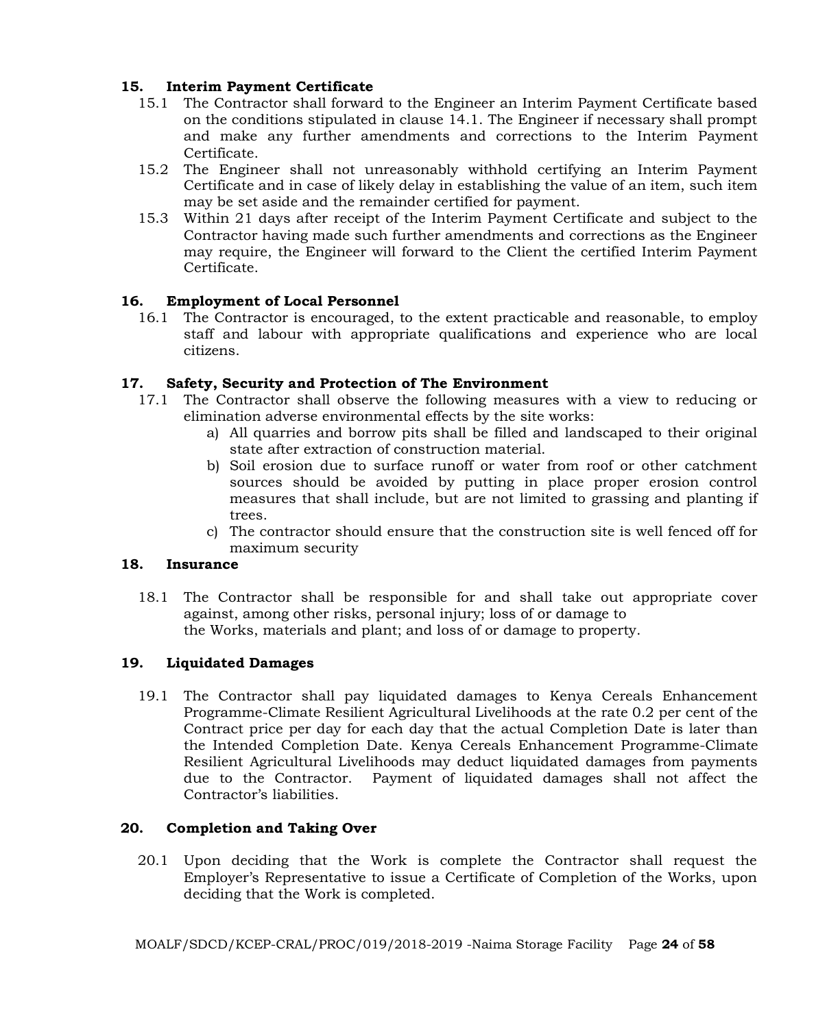# **15. Interim Payment Certificate**

- 15.1 The Contractor shall forward to the Engineer an Interim Payment Certificate based on the conditions stipulated in clause 14.1. The Engineer if necessary shall prompt and make any further amendments and corrections to the Interim Payment Certificate.
- 15.2 The Engineer shall not unreasonably withhold certifying an Interim Payment Certificate and in case of likely delay in establishing the value of an item, such item may be set aside and the remainder certified for payment.
- 15.3 Within 21 days after receipt of the Interim Payment Certificate and subject to the Contractor having made such further amendments and corrections as the Engineer may require, the Engineer will forward to the Client the certified Interim Payment Certificate.

# **16. Employment of Local Personnel**

16.1 The Contractor is encouraged, to the extent practicable and reasonable, to employ staff and labour with appropriate qualifications and experience who are local citizens.

# **17. Safety, Security and Protection of The Environment**

- 17.1 The Contractor shall observe the following measures with a view to reducing or elimination adverse environmental effects by the site works:
	- a) All quarries and borrow pits shall be filled and landscaped to their original state after extraction of construction material.
	- b) Soil erosion due to surface runoff or water from roof or other catchment sources should be avoided by putting in place proper erosion control measures that shall include, but are not limited to grassing and planting if trees.
	- c) The contractor should ensure that the construction site is well fenced off for maximum security

# **18. Insurance**

18.1 The Contractor shall be responsible for and shall take out appropriate cover against, among other risks, personal injury; loss of or damage to the Works, materials and plant; and loss of or damage to property.

# **19. Liquidated Damages**

19.1 The Contractor shall pay liquidated damages to Kenya Cereals Enhancement Programme-Climate Resilient Agricultural Livelihoods at the rate 0.2 per cent of the Contract price per day for each day that the actual Completion Date is later than the Intended Completion Date. Kenya Cereals Enhancement Programme-Climate Resilient Agricultural Livelihoods may deduct liquidated damages from payments due to the Contractor. Payment of liquidated damages shall not affect the Contractor's liabilities.

# **20. Completion and Taking Over**

20.1 Upon deciding that the Work is complete the Contractor shall request the Employer's Representative to issue a Certificate of Completion of the Works, upon deciding that the Work is completed.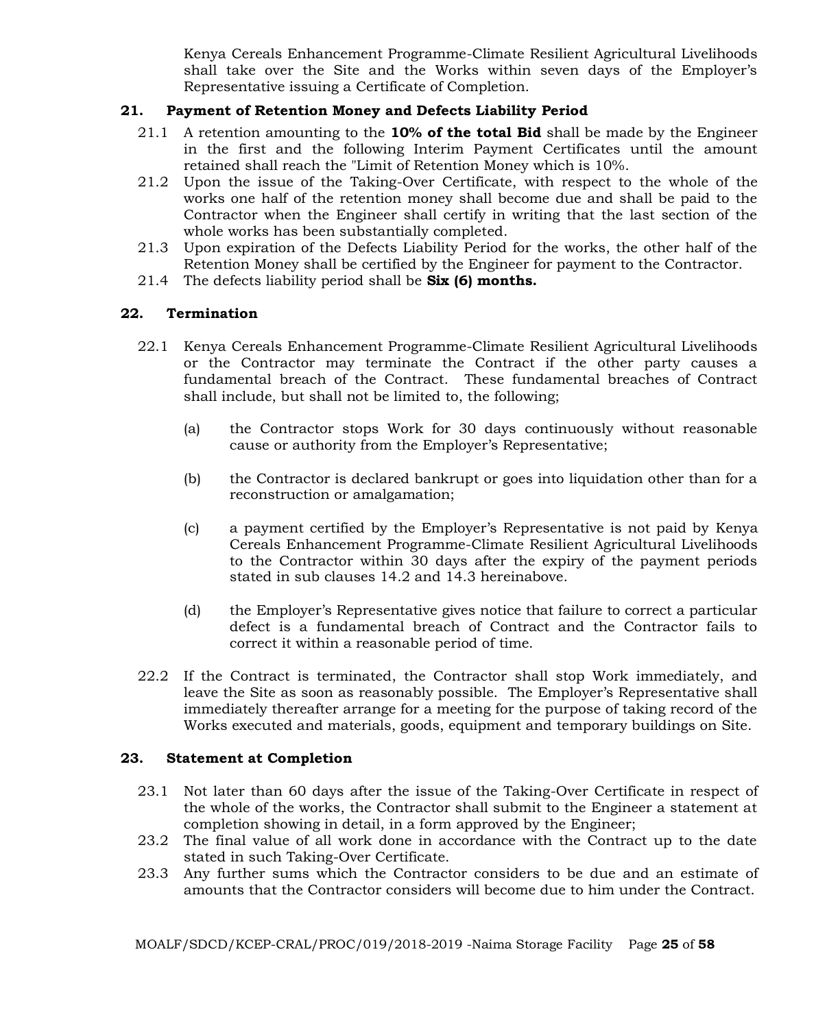Kenya Cereals Enhancement Programme-Climate Resilient Agricultural Livelihoods shall take over the Site and the Works within seven days of the Employer's Representative issuing a Certificate of Completion.

# **21. Payment of Retention Money and Defects Liability Period**

- 21.1 A retention amounting to the **10% of the total Bid** shall be made by the Engineer in the first and the following Interim Payment Certificates until the amount retained shall reach the "Limit of Retention Money which is 10%.
- 21.2 Upon the issue of the Taking-Over Certificate, with respect to the whole of the works one half of the retention money shall become due and shall be paid to the Contractor when the Engineer shall certify in writing that the last section of the whole works has been substantially completed.
- 21.3 Upon expiration of the Defects Liability Period for the works, the other half of the Retention Money shall be certified by the Engineer for payment to the Contractor.
- 21.4 The defects liability period shall be **Six (6) months.**

# **22. Termination**

- 22.1 Kenya Cereals Enhancement Programme-Climate Resilient Agricultural Livelihoods or the Contractor may terminate the Contract if the other party causes a fundamental breach of the Contract. These fundamental breaches of Contract shall include, but shall not be limited to, the following;
	- (a) the Contractor stops Work for 30 days continuously without reasonable cause or authority from the Employer's Representative;
	- (b) the Contractor is declared bankrupt or goes into liquidation other than for a reconstruction or amalgamation;
	- (c) a payment certified by the Employer's Representative is not paid by Kenya Cereals Enhancement Programme-Climate Resilient Agricultural Livelihoods to the Contractor within 30 days after the expiry of the payment periods stated in sub clauses 14.2 and 14.3 hereinabove.
	- (d) the Employer's Representative gives notice that failure to correct a particular defect is a fundamental breach of Contract and the Contractor fails to correct it within a reasonable period of time.
- 22.2 If the Contract is terminated, the Contractor shall stop Work immediately, and leave the Site as soon as reasonably possible. The Employer's Representative shall immediately thereafter arrange for a meeting for the purpose of taking record of the Works executed and materials, goods, equipment and temporary buildings on Site.

# **23. Statement at Completion**

- 23.1 Not later than 60 days after the issue of the Taking-Over Certificate in respect of the whole of the works, the Contractor shall submit to the Engineer a statement at completion showing in detail, in a form approved by the Engineer;
- 23.2 The final value of all work done in accordance with the Contract up to the date stated in such Taking-Over Certificate.
- 23.3 Any further sums which the Contractor considers to be due and an estimate of amounts that the Contractor considers will become due to him under the Contract.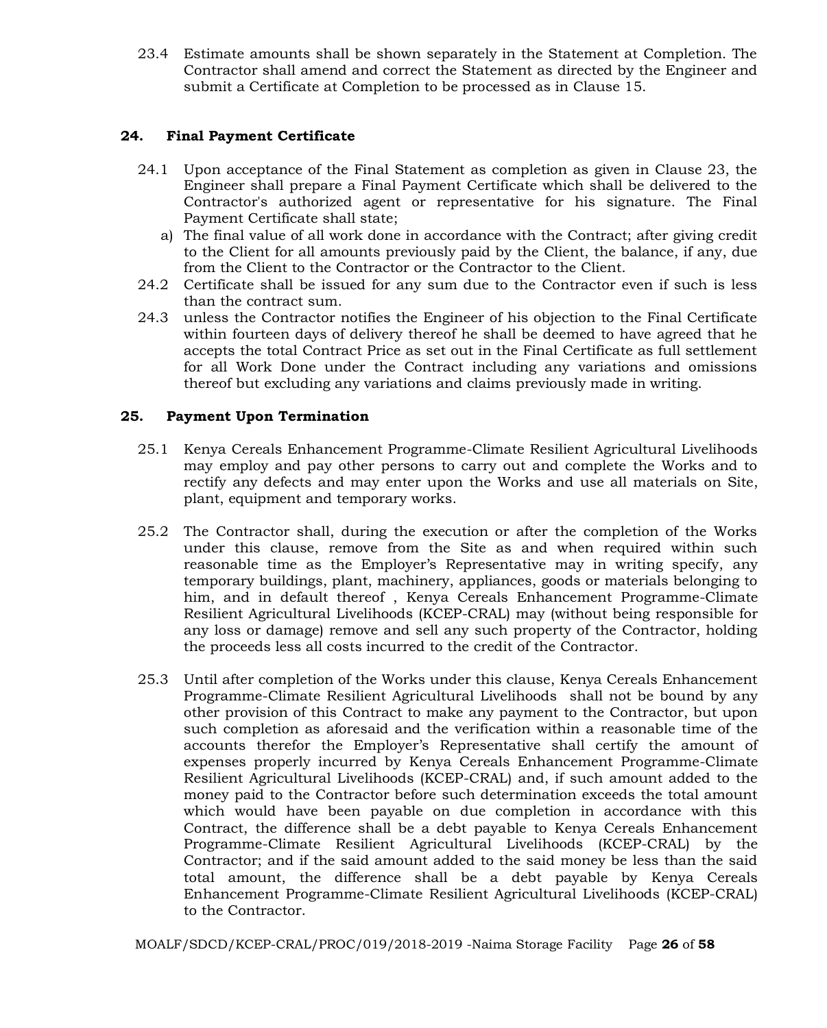23.4 Estimate amounts shall be shown separately in the Statement at Completion. The Contractor shall amend and correct the Statement as directed by the Engineer and submit a Certificate at Completion to be processed as in Clause 15.

# **24. Final Payment Certificate**

- 24.1 Upon acceptance of the Final Statement as completion as given in Clause 23, the Engineer shall prepare a Final Payment Certificate which shall be delivered to the Contractor's authorized agent or representative for his signature. The Final Payment Certificate shall state;
	- a) The final value of all work done in accordance with the Contract; after giving credit to the Client for all amounts previously paid by the Client, the balance, if any, due from the Client to the Contractor or the Contractor to the Client.
- 24.2 Certificate shall be issued for any sum due to the Contractor even if such is less than the contract sum.
- 24.3 unless the Contractor notifies the Engineer of his objection to the Final Certificate within fourteen days of delivery thereof he shall be deemed to have agreed that he accepts the total Contract Price as set out in the Final Certificate as full settlement for all Work Done under the Contract including any variations and omissions thereof but excluding any variations and claims previously made in writing.

# **25. Payment Upon Termination**

- 25.1 Kenya Cereals Enhancement Programme-Climate Resilient Agricultural Livelihoods may employ and pay other persons to carry out and complete the Works and to rectify any defects and may enter upon the Works and use all materials on Site, plant, equipment and temporary works.
- 25.2 The Contractor shall, during the execution or after the completion of the Works under this clause, remove from the Site as and when required within such reasonable time as the Employer's Representative may in writing specify, any temporary buildings, plant, machinery, appliances, goods or materials belonging to him, and in default thereof , Kenya Cereals Enhancement Programme-Climate Resilient Agricultural Livelihoods (KCEP-CRAL) may (without being responsible for any loss or damage) remove and sell any such property of the Contractor, holding the proceeds less all costs incurred to the credit of the Contractor.
- 25.3 Until after completion of the Works under this clause, Kenya Cereals Enhancement Programme-Climate Resilient Agricultural Livelihoods shall not be bound by any other provision of this Contract to make any payment to the Contractor, but upon such completion as aforesaid and the verification within a reasonable time of the accounts therefor the Employer's Representative shall certify the amount of expenses properly incurred by Kenya Cereals Enhancement Programme-Climate Resilient Agricultural Livelihoods (KCEP-CRAL) and, if such amount added to the money paid to the Contractor before such determination exceeds the total amount which would have been payable on due completion in accordance with this Contract, the difference shall be a debt payable to Kenya Cereals Enhancement Programme-Climate Resilient Agricultural Livelihoods (KCEP-CRAL) by the Contractor; and if the said amount added to the said money be less than the said total amount, the difference shall be a debt payable by Kenya Cereals Enhancement Programme-Climate Resilient Agricultural Livelihoods (KCEP-CRAL) to the Contractor.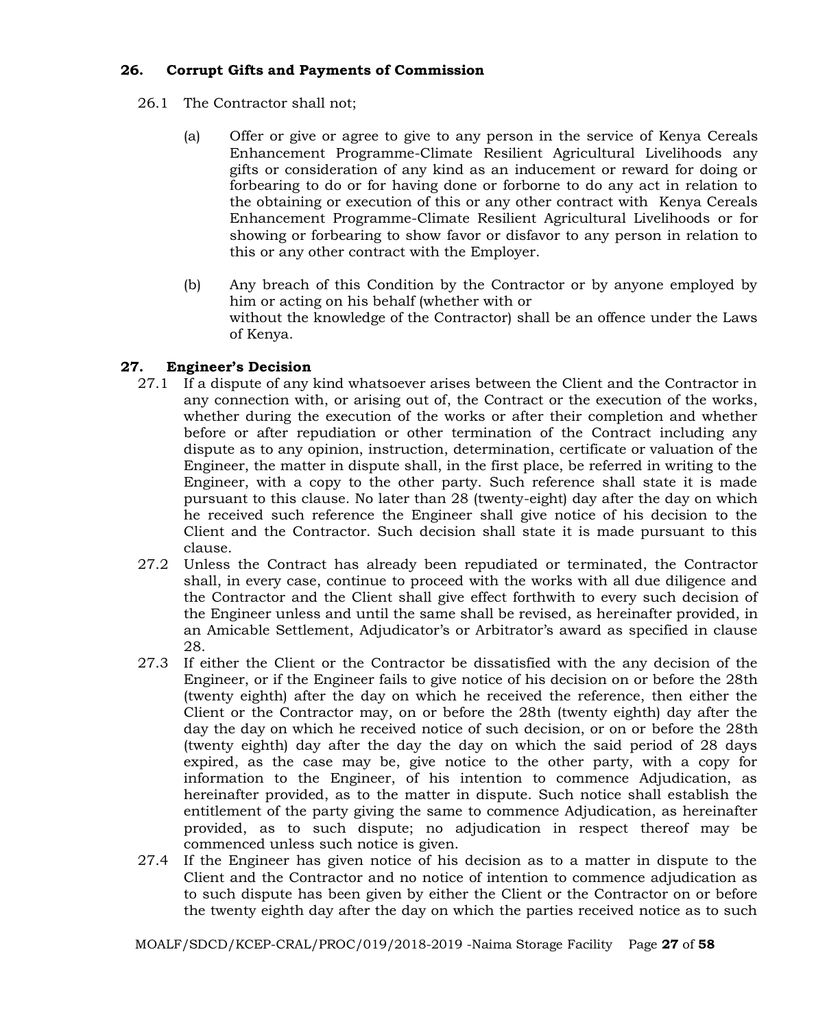# **26. Corrupt Gifts and Payments of Commission**

- 26.1 The Contractor shall not;
	- (a) Offer or give or agree to give to any person in the service of Kenya Cereals Enhancement Programme-Climate Resilient Agricultural Livelihoods any gifts or consideration of any kind as an inducement or reward for doing or forbearing to do or for having done or forborne to do any act in relation to the obtaining or execution of this or any other contract with Kenya Cereals Enhancement Programme-Climate Resilient Agricultural Livelihoods or for showing or forbearing to show favor or disfavor to any person in relation to this or any other contract with the Employer.
	- (b) Any breach of this Condition by the Contractor or by anyone employed by him or acting on his behalf (whether with or without the knowledge of the Contractor) shall be an offence under the Laws of Kenya.

# **27. Engineer's Decision**

- 27.1 If a dispute of any kind whatsoever arises between the Client and the Contractor in any connection with, or arising out of, the Contract or the execution of the works, whether during the execution of the works or after their completion and whether before or after repudiation or other termination of the Contract including any dispute as to any opinion, instruction, determination, certificate or valuation of the Engineer, the matter in dispute shall, in the first place, be referred in writing to the Engineer, with a copy to the other party. Such reference shall state it is made pursuant to this clause. No later than 28 (twenty-eight) day after the day on which he received such reference the Engineer shall give notice of his decision to the Client and the Contractor. Such decision shall state it is made pursuant to this clause.
- 27.2 Unless the Contract has already been repudiated or terminated, the Contractor shall, in every case, continue to proceed with the works with all due diligence and the Contractor and the Client shall give effect forthwith to every such decision of the Engineer unless and until the same shall be revised, as hereinafter provided, in an Amicable Settlement, Adjudicator's or Arbitrator's award as specified in clause 28.
- 27.3 If either the Client or the Contractor be dissatisfied with the any decision of the Engineer, or if the Engineer fails to give notice of his decision on or before the 28th (twenty eighth) after the day on which he received the reference, then either the Client or the Contractor may, on or before the 28th (twenty eighth) day after the day the day on which he received notice of such decision, or on or before the 28th (twenty eighth) day after the day the day on which the said period of 28 days expired, as the case may be, give notice to the other party, with a copy for information to the Engineer, of his intention to commence Adjudication, as hereinafter provided, as to the matter in dispute. Such notice shall establish the entitlement of the party giving the same to commence Adjudication, as hereinafter provided, as to such dispute; no adjudication in respect thereof may be commenced unless such notice is given.
- 27.4 If the Engineer has given notice of his decision as to a matter in dispute to the Client and the Contractor and no notice of intention to commence adjudication as to such dispute has been given by either the Client or the Contractor on or before the twenty eighth day after the day on which the parties received notice as to such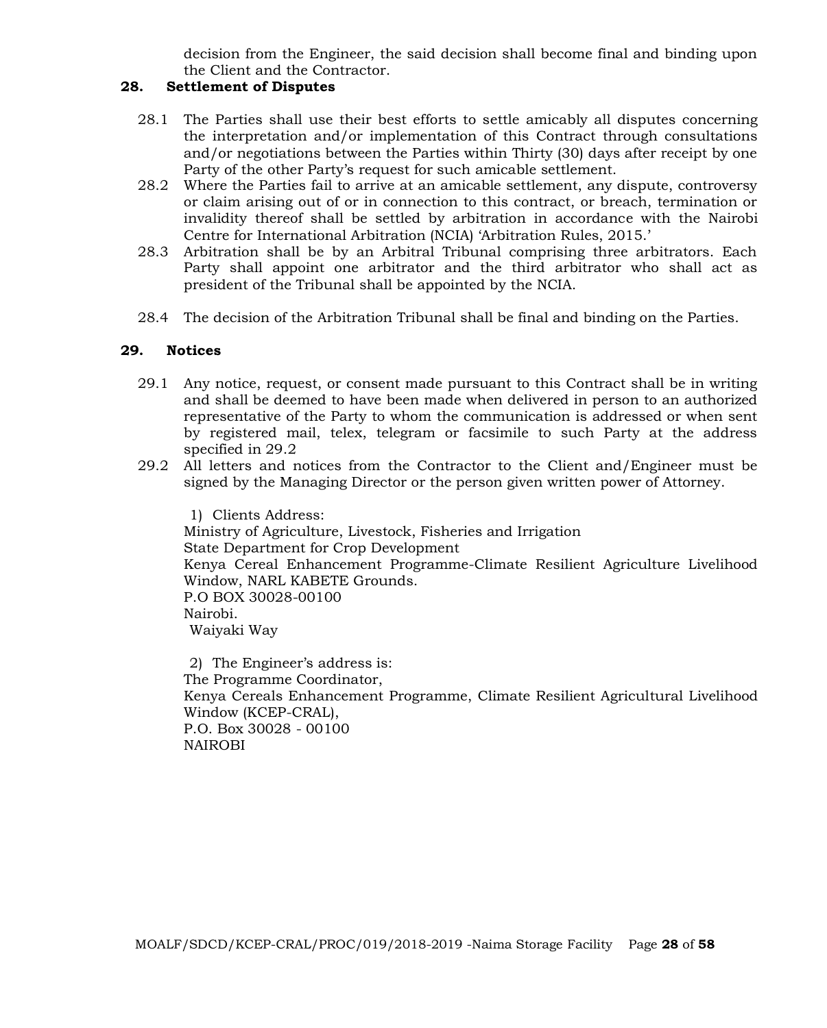decision from the Engineer, the said decision shall become final and binding upon the Client and the Contractor.

# **28. Settlement of Disputes**

- 28.1 The Parties shall use their best efforts to settle amicably all disputes concerning the interpretation and/or implementation of this Contract through consultations and/or negotiations between the Parties within Thirty (30) days after receipt by one Party of the other Party's request for such amicable settlement.
- 28.2 Where the Parties fail to arrive at an amicable settlement, any dispute, controversy or claim arising out of or in connection to this contract, or breach, termination or invalidity thereof shall be settled by arbitration in accordance with the Nairobi Centre for International Arbitration (NCIA) 'Arbitration Rules, 2015.'
- 28.3 Arbitration shall be by an Arbitral Tribunal comprising three arbitrators. Each Party shall appoint one arbitrator and the third arbitrator who shall act as president of the Tribunal shall be appointed by the NCIA.
- 28.4 The decision of the Arbitration Tribunal shall be final and binding on the Parties.

# **29. Notices**

- 29.1 Any notice, request, or consent made pursuant to this Contract shall be in writing and shall be deemed to have been made when delivered in person to an authorized representative of the Party to whom the communication is addressed or when sent by registered mail, telex, telegram or facsimile to such Party at the address specified in 29.2
- 29.2 All letters and notices from the Contractor to the Client and/Engineer must be signed by the Managing Director or the person given written power of Attorney.

1) Clients Address: Ministry of Agriculture, Livestock, Fisheries and Irrigation State Department for Crop Development Kenya Cereal Enhancement Programme-Climate Resilient Agriculture Livelihood Window, NARL KABETE Grounds. P.O BOX 30028-00100 Nairobi. Waiyaki Way

2) The Engineer's address is: The Programme Coordinator, Kenya Cereals Enhancement Programme, Climate Resilient Agricultural Livelihood Window (KCEP-CRAL), P.O. Box 30028 - 00100 NAIROBI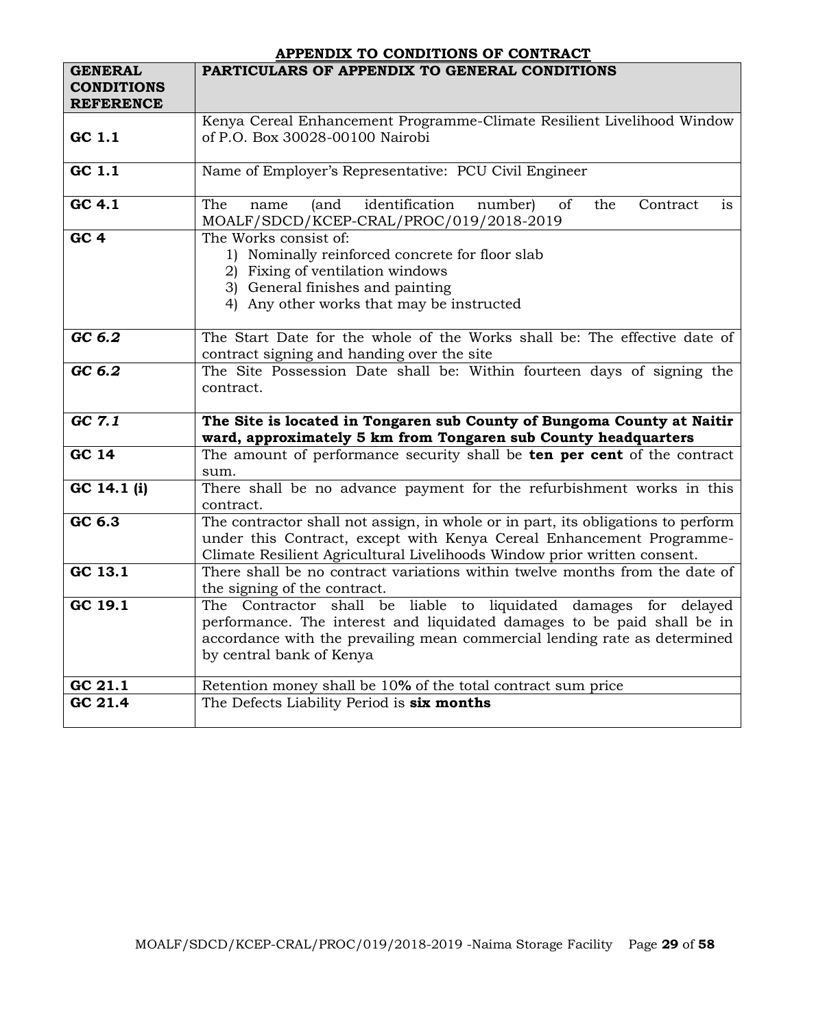# **APPENDIX TO CONDITIONS OF CONTRACT**

| <b>GENERAL</b><br><b>CONDITIONS</b><br><b>REFERENCE</b> | PARTICULARS OF APPENDIX TO GENERAL CONDITIONS                                                                                                                                                                                                        |
|---------------------------------------------------------|------------------------------------------------------------------------------------------------------------------------------------------------------------------------------------------------------------------------------------------------------|
| GC 1.1                                                  | Kenya Cereal Enhancement Programme-Climate Resilient Livelihood Window<br>of P.O. Box 30028-00100 Nairobi                                                                                                                                            |
| $GC$ 1.1                                                | Name of Employer's Representative: PCU Civil Engineer                                                                                                                                                                                                |
| GC 4.1                                                  | identification<br>number)<br>of<br>The<br>(and<br>the<br>Contract<br>name<br>is<br>MOALF/SDCD/KCEP-CRAL/PROC/019/2018-2019                                                                                                                           |
| GC <sub>4</sub>                                         | The Works consist of:<br>1) Nominally reinforced concrete for floor slab<br>2) Fixing of ventilation windows<br>3) General finishes and painting<br>4) Any other works that may be instructed                                                        |
| GC 6.2                                                  | The Start Date for the whole of the Works shall be: The effective date of<br>contract signing and handing over the site                                                                                                                              |
| GC 6.2                                                  | The Site Possession Date shall be: Within fourteen days of signing the<br>contract.                                                                                                                                                                  |
| GC 7.1                                                  | The Site is located in Tongaren sub County of Bungoma County at Naitir<br>ward, approximately 5 km from Tongaren sub County headquarters                                                                                                             |
| GC 14                                                   | The amount of performance security shall be <b>ten per cent</b> of the contract<br>sum.                                                                                                                                                              |
| GC $14.1$ (i)                                           | There shall be no advance payment for the refurbishment works in this<br>contract.                                                                                                                                                                   |
| GC <sub>6.3</sub>                                       | The contractor shall not assign, in whole or in part, its obligations to perform<br>under this Contract, except with Kenya Cereal Enhancement Programme-<br>Climate Resilient Agricultural Livelihoods Window prior written consent.                 |
| GC 13.1                                                 | There shall be no contract variations within twelve months from the date of<br>the signing of the contract.                                                                                                                                          |
| GC 19.1                                                 | The Contractor shall be liable to liquidated damages for delayed<br>performance. The interest and liquidated damages to be paid shall be in<br>accordance with the prevailing mean commercial lending rate as determined<br>by central bank of Kenya |
| GC 21.1                                                 | Retention money shall be 10% of the total contract sum price                                                                                                                                                                                         |
| GC 21.4                                                 | The Defects Liability Period is six months                                                                                                                                                                                                           |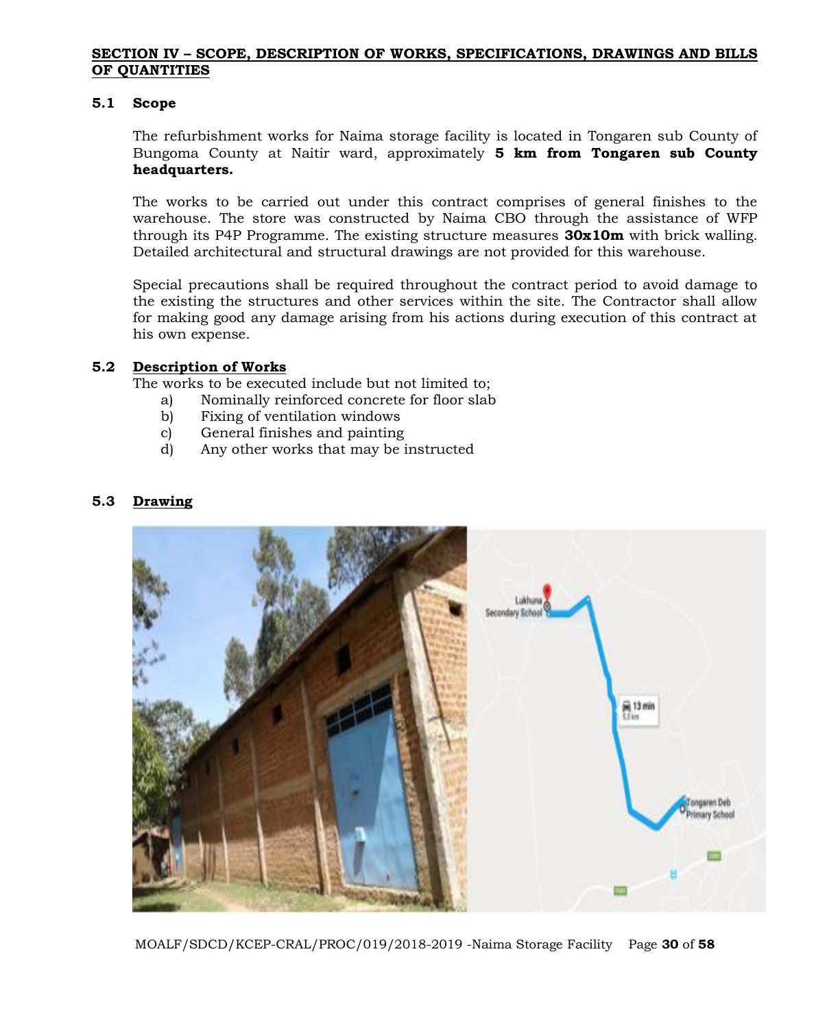#### **SECTION IV – SCOPE, DESCRIPTION OF WORKS, SPECIFICATIONS, DRAWINGS AND BILLS OF QUANTITIES**

#### **5.1 Scope**

The refurbishment works for Naima storage facility is located in Tongaren sub County of Bungoma County at Naitir ward, approximately **5 km from Tongaren sub County headquarters.**

The works to be carried out under this contract comprises of general finishes to the warehouse. The store was constructed by Naima CBO through the assistance of WFP through its P4P Programme. The existing structure measures **30x10m** with brick walling. Detailed architectural and structural drawings are not provided for this warehouse.

Special precautions shall be required throughout the contract period to avoid damage to the existing the structures and other services within the site. The Contractor shall allow for making good any damage arising from his actions during execution of this contract at his own expense.

#### **5.2 Description of Works**

The works to be executed include but not limited to;

a) Nominally reinforced concrete for floor slab

- b) Fixing of ventilation windows
- c) General finishes and painting
- d) Any other works that may be instructed

# **5.3 Drawing**



MOALF/SDCD/KCEP-CRAL/PROC/019/2018-2019 -Naima Storage Facility Page **30** of **58**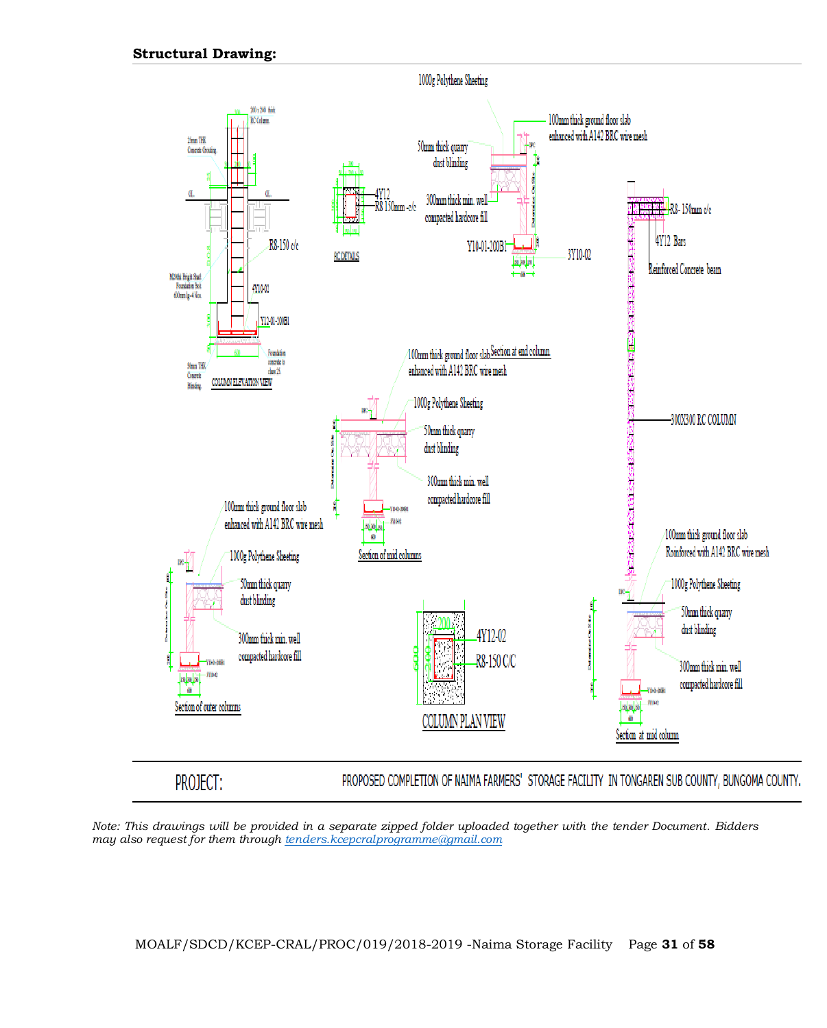

*Note: This drawings will be provided in a separate zipped folder uploaded together with the tender Document. Bidders may also request for them through [tenders.kcepcralprogramme@gmail.com](mailto:tenders.kcepcralprogramme@gmail.com)*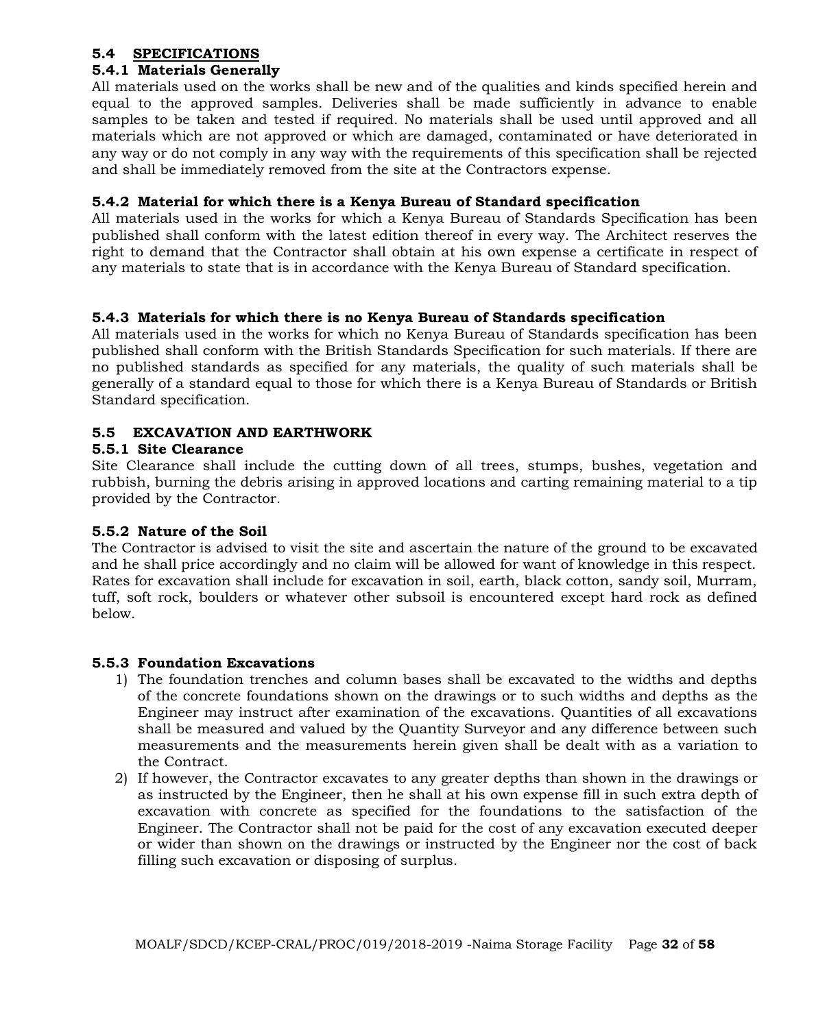## **5.4 SPECIFICATIONS**

# **5.4.1 Materials Generally**

All materials used on the works shall be new and of the qualities and kinds specified herein and equal to the approved samples. Deliveries shall be made sufficiently in advance to enable samples to be taken and tested if required. No materials shall be used until approved and all materials which are not approved or which are damaged, contaminated or have deteriorated in any way or do not comply in any way with the requirements of this specification shall be rejected and shall be immediately removed from the site at the Contractors expense.

## **5.4.2 Material for which there is a Kenya Bureau of Standard specification**

All materials used in the works for which a Kenya Bureau of Standards Specification has been published shall conform with the latest edition thereof in every way. The Architect reserves the right to demand that the Contractor shall obtain at his own expense a certificate in respect of any materials to state that is in accordance with the Kenya Bureau of Standard specification.

# **5.4.3 Materials for which there is no Kenya Bureau of Standards specification**

All materials used in the works for which no Kenya Bureau of Standards specification has been published shall conform with the British Standards Specification for such materials. If there are no published standards as specified for any materials, the quality of such materials shall be generally of a standard equal to those for which there is a Kenya Bureau of Standards or British Standard specification.

# **5.5 EXCAVATION AND EARTHWORK**

## **5.5.1 Site Clearance**

Site Clearance shall include the cutting down of all trees, stumps, bushes, vegetation and rubbish, burning the debris arising in approved locations and carting remaining material to a tip provided by the Contractor.

# **5.5.2 Nature of the Soil**

The Contractor is advised to visit the site and ascertain the nature of the ground to be excavated and he shall price accordingly and no claim will be allowed for want of knowledge in this respect. Rates for excavation shall include for excavation in soil, earth, black cotton, sandy soil, Murram, tuff, soft rock, boulders or whatever other subsoil is encountered except hard rock as defined below.

# **5.5.3 Foundation Excavations**

- 1) The foundation trenches and column bases shall be excavated to the widths and depths of the concrete foundations shown on the drawings or to such widths and depths as the Engineer may instruct after examination of the excavations. Quantities of all excavations shall be measured and valued by the Quantity Surveyor and any difference between such measurements and the measurements herein given shall be dealt with as a variation to the Contract.
- 2) If however, the Contractor excavates to any greater depths than shown in the drawings or as instructed by the Engineer, then he shall at his own expense fill in such extra depth of excavation with concrete as specified for the foundations to the satisfaction of the Engineer. The Contractor shall not be paid for the cost of any excavation executed deeper or wider than shown on the drawings or instructed by the Engineer nor the cost of back filling such excavation or disposing of surplus.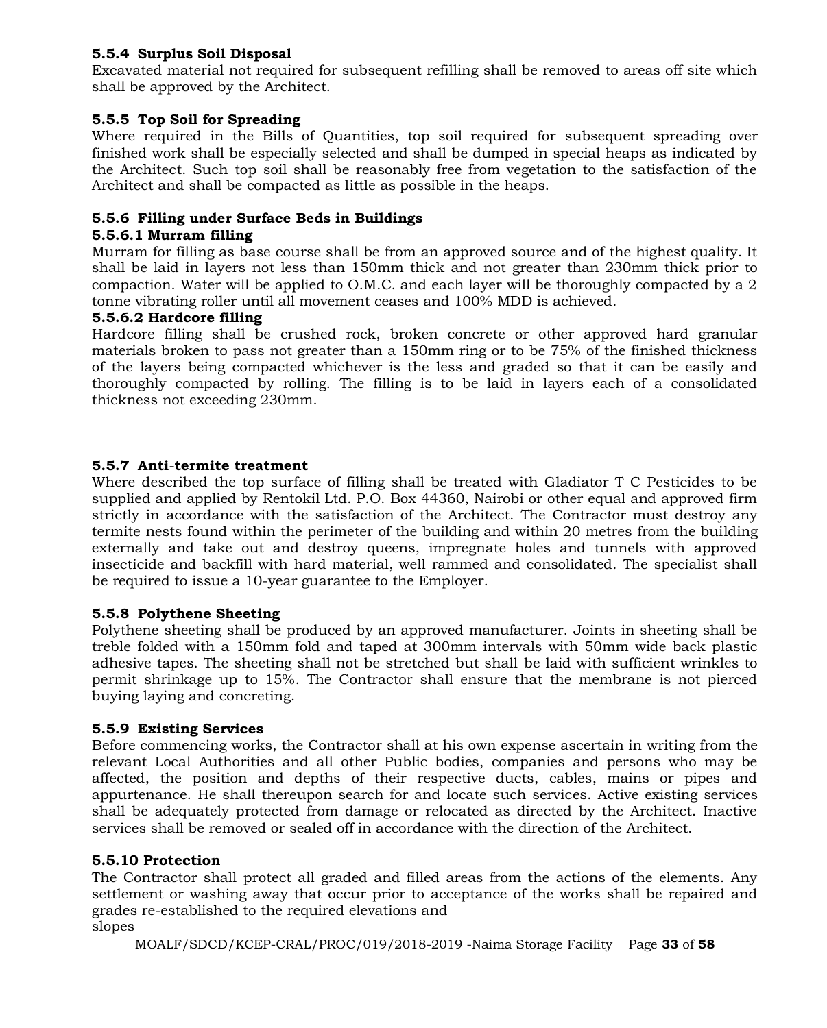# **5.5.4 Surplus Soil Disposal**

Excavated material not required for subsequent refilling shall be removed to areas off site which shall be approved by the Architect.

# **5.5.5 Top Soil for Spreading**

Where required in the Bills of Quantities, top soil required for subsequent spreading over finished work shall be especially selected and shall be dumped in special heaps as indicated by the Architect. Such top soil shall be reasonably free from vegetation to the satisfaction of the Architect and shall be compacted as little as possible in the heaps.

# **5.5.6 Filling under Surface Beds in Buildings**

## **5.5.6.1 Murram filling**

Murram for filling as base course shall be from an approved source and of the highest quality. It shall be laid in layers not less than 150mm thick and not greater than 230mm thick prior to compaction. Water will be applied to O.M.C. and each layer will be thoroughly compacted by a 2 tonne vibrating roller until all movement ceases and 100% MDD is achieved.

# **5.5.6.2 Hardcore filling**

Hardcore filling shall be crushed rock, broken concrete or other approved hard granular materials broken to pass not greater than a 150mm ring or to be 75% of the finished thickness of the layers being compacted whichever is the less and graded so that it can be easily and thoroughly compacted by rolling. The filling is to be laid in layers each of a consolidated thickness not exceeding 230mm.

# **5.5.7 Anti**-**termite treatment**

Where described the top surface of filling shall be treated with Gladiator T C Pesticides to be supplied and applied by Rentokil Ltd. P.O. Box 44360, Nairobi or other equal and approved firm strictly in accordance with the satisfaction of the Architect. The Contractor must destroy any termite nests found within the perimeter of the building and within 20 metres from the building externally and take out and destroy queens, impregnate holes and tunnels with approved insecticide and backfill with hard material, well rammed and consolidated. The specialist shall be required to issue a 10-year guarantee to the Employer.

# **5.5.8 Polythene Sheeting**

Polythene sheeting shall be produced by an approved manufacturer. Joints in sheeting shall be treble folded with a 150mm fold and taped at 300mm intervals with 50mm wide back plastic adhesive tapes. The sheeting shall not be stretched but shall be laid with sufficient wrinkles to permit shrinkage up to 15%. The Contractor shall ensure that the membrane is not pierced buying laying and concreting.

# **5.5.9 Existing Services**

Before commencing works, the Contractor shall at his own expense ascertain in writing from the relevant Local Authorities and all other Public bodies, companies and persons who may be affected, the position and depths of their respective ducts, cables, mains or pipes and appurtenance. He shall thereupon search for and locate such services. Active existing services shall be adequately protected from damage or relocated as directed by the Architect. Inactive services shall be removed or sealed off in accordance with the direction of the Architect.

# **5.5.10 Protection**

The Contractor shall protect all graded and filled areas from the actions of the elements. Any settlement or washing away that occur prior to acceptance of the works shall be repaired and grades re-established to the required elevations and slopes

MOALF/SDCD/KCEP-CRAL/PROC/019/2018-2019 -Naima Storage Facility Page **33** of **58**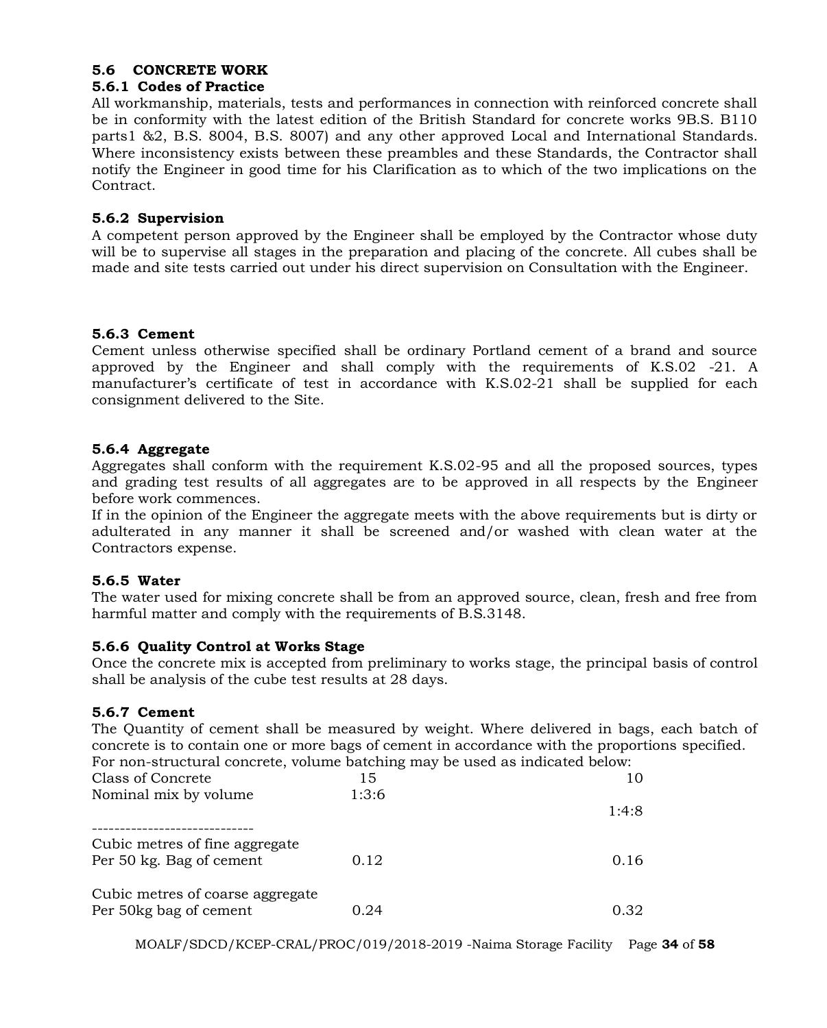# **5.6 CONCRETE WORK**

## **5.6.1 Codes of Practice**

All workmanship, materials, tests and performances in connection with reinforced concrete shall be in conformity with the latest edition of the British Standard for concrete works 9B.S. B110 parts1 &2, B.S. 8004, B.S. 8007) and any other approved Local and International Standards. Where inconsistency exists between these preambles and these Standards, the Contractor shall notify the Engineer in good time for his Clarification as to which of the two implications on the Contract.

#### **5.6.2 Supervision**

A competent person approved by the Engineer shall be employed by the Contractor whose duty will be to supervise all stages in the preparation and placing of the concrete. All cubes shall be made and site tests carried out under his direct supervision on Consultation with the Engineer.

## **5.6.3 Cement**

Cement unless otherwise specified shall be ordinary Portland cement of a brand and source approved by the Engineer and shall comply with the requirements of K.S.02 -21. A manufacturer's certificate of test in accordance with K.S.02-21 shall be supplied for each consignment delivered to the Site.

## **5.6.4 Aggregate**

Aggregates shall conform with the requirement K.S.02-95 and all the proposed sources, types and grading test results of all aggregates are to be approved in all respects by the Engineer before work commences.

If in the opinion of the Engineer the aggregate meets with the above requirements but is dirty or adulterated in any manner it shall be screened and/or washed with clean water at the Contractors expense.

#### **5.6.5 Water**

The water used for mixing concrete shall be from an approved source, clean, fresh and free from harmful matter and comply with the requirements of B.S.3148.

#### **5.6.6 Quality Control at Works Stage**

Once the concrete mix is accepted from preliminary to works stage, the principal basis of control shall be analysis of the cube test results at 28 days.

#### **5.6.7 Cement**

The Quantity of cement shall be measured by weight. Where delivered in bags, each batch of concrete is to contain one or more bags of cement in accordance with the proportions specified. For non-structural concrete, volume batching may be used as indicated below:

| Class of Concrete                                          | 15    | 10    |
|------------------------------------------------------------|-------|-------|
| Nominal mix by volume                                      | 1:3:6 | 1:4:8 |
| Cubic metres of fine aggregate<br>Per 50 kg. Bag of cement | 0.12  | 0.16  |
| Cubic metres of coarse aggregate<br>Per 50kg bag of cement | 0.24  | 0.32  |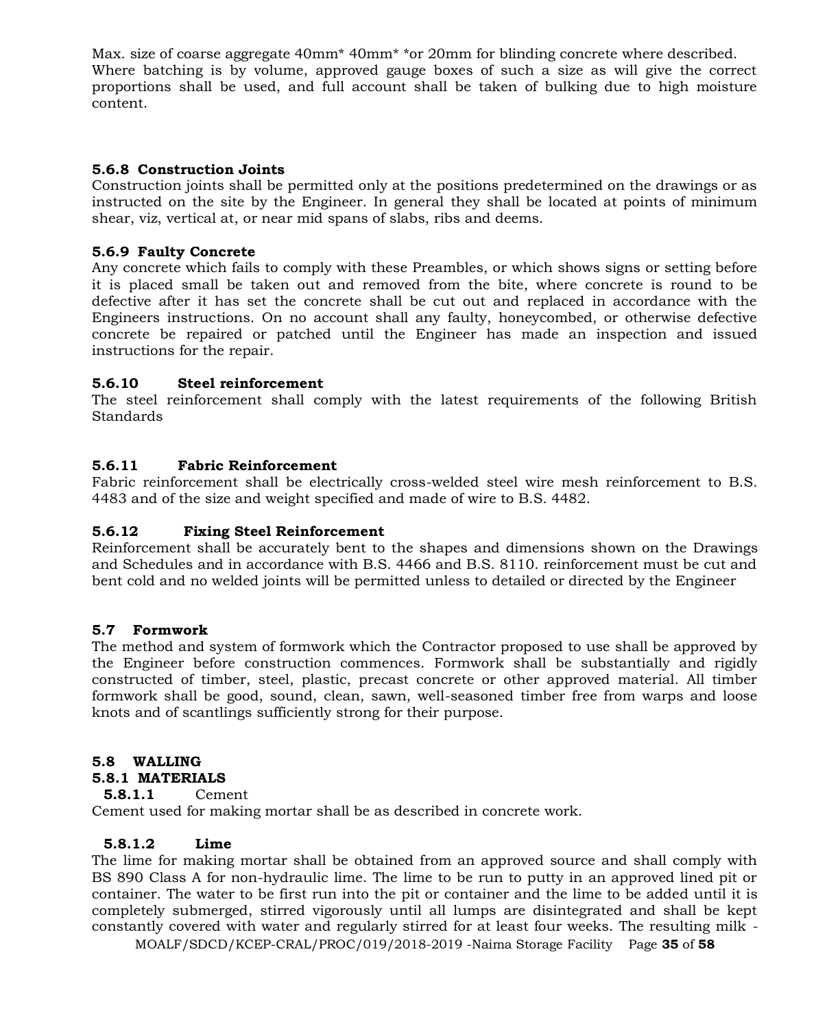Max. size of coarse aggregate 40mm<sup>\*</sup> 40mm<sup>\*</sup> \*or 20mm for blinding concrete where described. Where batching is by volume, approved gauge boxes of such a size as will give the correct proportions shall be used, and full account shall be taken of bulking due to high moisture content.

## **5.6.8 Construction Joints**

Construction joints shall be permitted only at the positions predetermined on the drawings or as instructed on the site by the Engineer. In general they shall be located at points of minimum shear, viz, vertical at, or near mid spans of slabs, ribs and deems.

## **5.6.9 Faulty Concrete**

Any concrete which fails to comply with these Preambles, or which shows signs or setting before it is placed small be taken out and removed from the bite, where concrete is round to be defective after it has set the concrete shall be cut out and replaced in accordance with the Engineers instructions. On no account shall any faulty, honeycombed, or otherwise defective concrete be repaired or patched until the Engineer has made an inspection and issued instructions for the repair.

## **5.6.10 Steel reinforcement**

The steel reinforcement shall comply with the latest requirements of the following British Standards

## **5.6.11 Fabric Reinforcement**

Fabric reinforcement shall be electrically cross-welded steel wire mesh reinforcement to B.S. 4483 and of the size and weight specified and made of wire to B.S. 4482.

# **5.6.12 Fixing Steel Reinforcement**

Reinforcement shall be accurately bent to the shapes and dimensions shown on the Drawings and Schedules and in accordance with B.S. 4466 and B.S. 8110. reinforcement must be cut and bent cold and no welded joints will be permitted unless to detailed or directed by the Engineer

#### **5.7 Formwork**

The method and system of formwork which the Contractor proposed to use shall be approved by the Engineer before construction commences. Formwork shall be substantially and rigidly constructed of timber, steel, plastic, precast concrete or other approved material. All timber formwork shall be good, sound, clean, sawn, well-seasoned timber free from warps and loose knots and of scantlings sufficiently strong for their purpose.

# **5.8 WALLING**

#### **5.8.1 MATERIALS**

#### **5.8.1.1** Cement

Cement used for making mortar shall be as described in concrete work.

#### **5.8.1.2 Lime**

The lime for making mortar shall be obtained from an approved source and shall comply with BS 890 Class A for non-hydraulic lime. The lime to be run to putty in an approved lined pit or container. The water to be first run into the pit or container and the lime to be added until it is completely submerged, stirred vigorously until all lumps are disintegrated and shall be kept constantly covered with water and regularly stirred for at least four weeks. The resulting milk -

MOALF/SDCD/KCEP-CRAL/PROC/019/2018-2019 -Naima Storage Facility Page **35** of **58**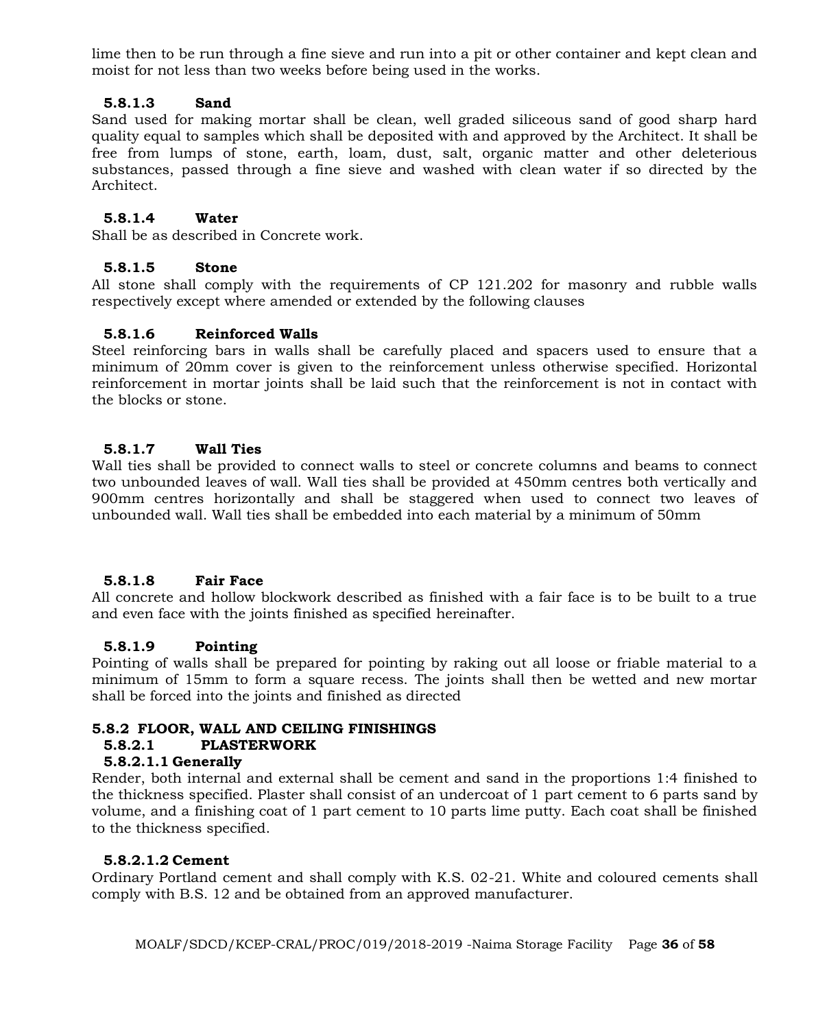lime then to be run through a fine sieve and run into a pit or other container and kept clean and moist for not less than two weeks before being used in the works.

# **5.8.1.3 Sand**

Sand used for making mortar shall be clean, well graded siliceous sand of good sharp hard quality equal to samples which shall be deposited with and approved by the Architect. It shall be free from lumps of stone, earth, loam, dust, salt, organic matter and other deleterious substances, passed through a fine sieve and washed with clean water if so directed by the Architect.

# **5.8.1.4 Water**

Shall be as described in Concrete work.

# **5.8.1.5 Stone**

All stone shall comply with the requirements of CP 121.202 for masonry and rubble walls respectively except where amended or extended by the following clauses

# **5.8.1.6 Reinforced Walls**

Steel reinforcing bars in walls shall be carefully placed and spacers used to ensure that a minimum of 20mm cover is given to the reinforcement unless otherwise specified. Horizontal reinforcement in mortar joints shall be laid such that the reinforcement is not in contact with the blocks or stone.

# **5.8.1.7 Wall Ties**

Wall ties shall be provided to connect walls to steel or concrete columns and beams to connect two unbounded leaves of wall. Wall ties shall be provided at 450mm centres both vertically and 900mm centres horizontally and shall be staggered when used to connect two leaves of unbounded wall. Wall ties shall be embedded into each material by a minimum of 50mm

# **5.8.1.8 Fair Face**

All concrete and hollow blockwork described as finished with a fair face is to be built to a true and even face with the joints finished as specified hereinafter.

# **5.8.1.9 Pointing**

Pointing of walls shall be prepared for pointing by raking out all loose or friable material to a minimum of 15mm to form a square recess. The joints shall then be wetted and new mortar shall be forced into the joints and finished as directed

# **5.8.2 FLOOR, WALL AND CEILING FINISHINGS**

# **5.8.2.1 PLASTERWORK**

# **5.8.2.1.1 Generally**

Render, both internal and external shall be cement and sand in the proportions 1:4 finished to the thickness specified. Plaster shall consist of an undercoat of 1 part cement to 6 parts sand by volume, and a finishing coat of 1 part cement to 10 parts lime putty. Each coat shall be finished to the thickness specified.

# **5.8.2.1.2 Cement**

Ordinary Portland cement and shall comply with K.S. 02-21. White and coloured cements shall comply with B.S. 12 and be obtained from an approved manufacturer.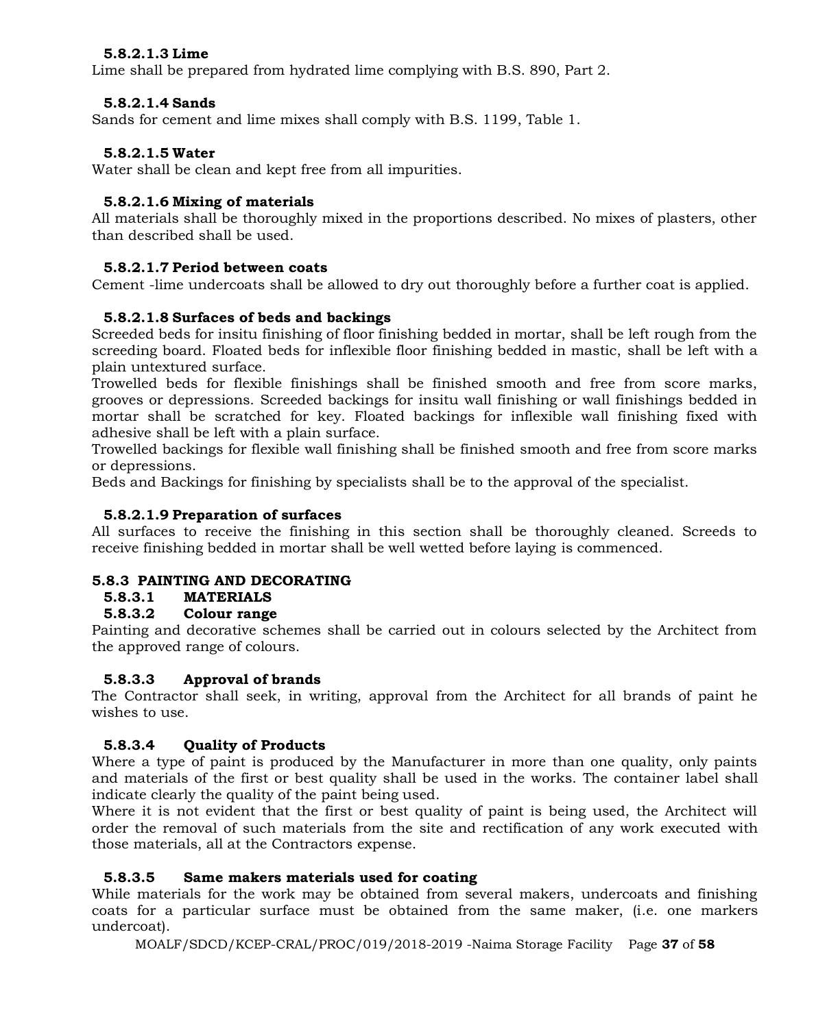# **5.8.2.1.3 Lime**

Lime shall be prepared from hydrated lime complying with B.S. 890, Part 2.

## **5.8.2.1.4 Sands**

Sands for cement and lime mixes shall comply with B.S. 1199, Table 1.

## **5.8.2.1.5 Water**

Water shall be clean and kept free from all impurities.

## **5.8.2.1.6 Mixing of materials**

All materials shall be thoroughly mixed in the proportions described. No mixes of plasters, other than described shall be used.

# **5.8.2.1.7 Period between coats**

Cement -lime undercoats shall be allowed to dry out thoroughly before a further coat is applied.

# **5.8.2.1.8 Surfaces of beds and backings**

Screeded beds for insitu finishing of floor finishing bedded in mortar, shall be left rough from the screeding board. Floated beds for inflexible floor finishing bedded in mastic, shall be left with a plain untextured surface.

Trowelled beds for flexible finishings shall be finished smooth and free from score marks, grooves or depressions. Screeded backings for insitu wall finishing or wall finishings bedded in mortar shall be scratched for key. Floated backings for inflexible wall finishing fixed with adhesive shall be left with a plain surface.

Trowelled backings for flexible wall finishing shall be finished smooth and free from score marks or depressions.

Beds and Backings for finishing by specialists shall be to the approval of the specialist.

### **5.8.2.1.9 Preparation of surfaces**

All surfaces to receive the finishing in this section shall be thoroughly cleaned. Screeds to receive finishing bedded in mortar shall be well wetted before laying is commenced.

# **5.8.3 PAINTING AND DECORATING**

# **5.8.3.1 MATERIALS**

# **5.8.3.2 Colour range**

Painting and decorative schemes shall be carried out in colours selected by the Architect from the approved range of colours.

# **5.8.3.3 Approval of brands**

The Contractor shall seek, in writing, approval from the Architect for all brands of paint he wishes to use.

# **5.8.3.4 Quality of Products**

Where a type of paint is produced by the Manufacturer in more than one quality, only paints and materials of the first or best quality shall be used in the works. The container label shall indicate clearly the quality of the paint being used.

Where it is not evident that the first or best quality of paint is being used, the Architect will order the removal of such materials from the site and rectification of any work executed with those materials, all at the Contractors expense.

#### **5.8.3.5 Same makers materials used for coating**

While materials for the work may be obtained from several makers, undercoats and finishing coats for a particular surface must be obtained from the same maker, (i.e. one markers undercoat).

MOALF/SDCD/KCEP-CRAL/PROC/019/2018-2019 -Naima Storage Facility Page **37** of **58**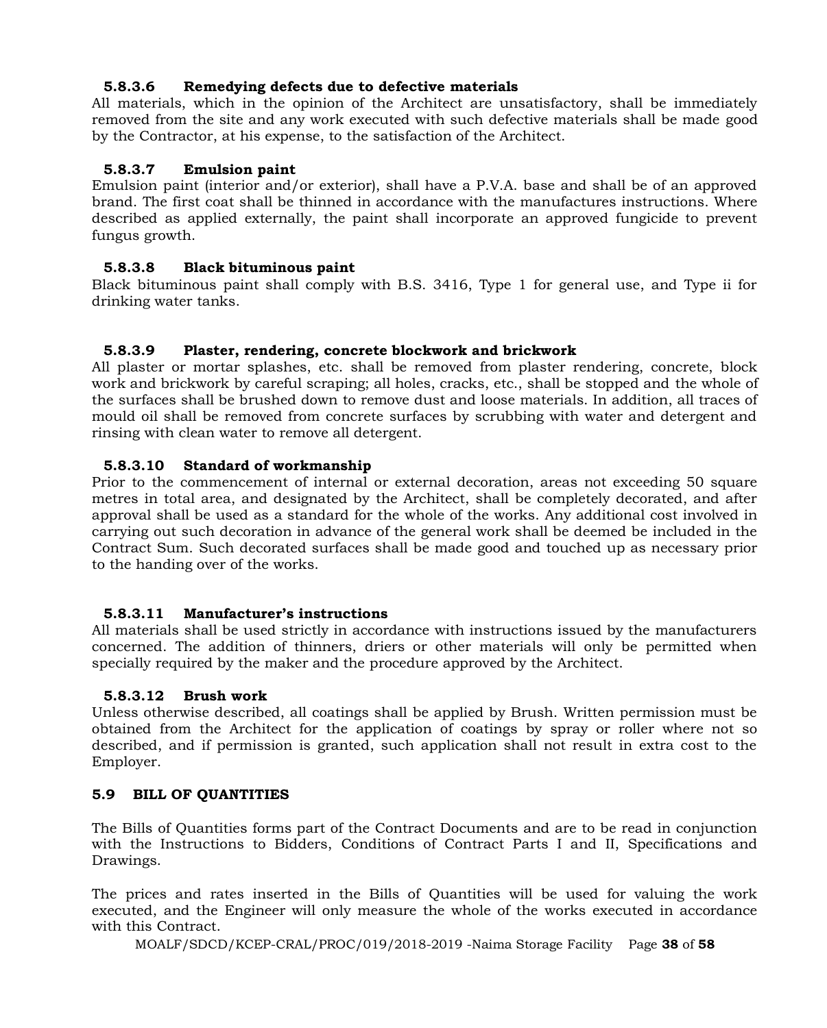# **5.8.3.6 Remedying defects due to defective materials**

All materials, which in the opinion of the Architect are unsatisfactory, shall be immediately removed from the site and any work executed with such defective materials shall be made good by the Contractor, at his expense, to the satisfaction of the Architect.

# **5.8.3.7 Emulsion paint**

Emulsion paint (interior and/or exterior), shall have a P.V.A. base and shall be of an approved brand. The first coat shall be thinned in accordance with the manufactures instructions. Where described as applied externally, the paint shall incorporate an approved fungicide to prevent fungus growth.

# **5.8.3.8 Black bituminous paint**

Black bituminous paint shall comply with B.S. 3416, Type 1 for general use, and Type ii for drinking water tanks.

# **5.8.3.9 Plaster, rendering, concrete blockwork and brickwork**

All plaster or mortar splashes, etc. shall be removed from plaster rendering, concrete, block work and brickwork by careful scraping; all holes, cracks, etc., shall be stopped and the whole of the surfaces shall be brushed down to remove dust and loose materials. In addition, all traces of mould oil shall be removed from concrete surfaces by scrubbing with water and detergent and rinsing with clean water to remove all detergent.

# **5.8.3.10 Standard of workmanship**

Prior to the commencement of internal or external decoration, areas not exceeding 50 square metres in total area, and designated by the Architect, shall be completely decorated, and after approval shall be used as a standard for the whole of the works. Any additional cost involved in carrying out such decoration in advance of the general work shall be deemed be included in the Contract Sum. Such decorated surfaces shall be made good and touched up as necessary prior to the handing over of the works.

# **5.8.3.11 Manufacturer's instructions**

All materials shall be used strictly in accordance with instructions issued by the manufacturers concerned. The addition of thinners, driers or other materials will only be permitted when specially required by the maker and the procedure approved by the Architect.

# **5.8.3.12 Brush work**

Unless otherwise described, all coatings shall be applied by Brush. Written permission must be obtained from the Architect for the application of coatings by spray or roller where not so described, and if permission is granted, such application shall not result in extra cost to the Employer.

# **5.9 BILL OF QUANTITIES**

The Bills of Quantities forms part of the Contract Documents and are to be read in conjunction with the Instructions to Bidders, Conditions of Contract Parts I and II, Specifications and Drawings.

The prices and rates inserted in the Bills of Quantities will be used for valuing the work executed, and the Engineer will only measure the whole of the works executed in accordance with this Contract.

MOALF/SDCD/KCEP-CRAL/PROC/019/2018-2019 -Naima Storage Facility Page **38** of **58**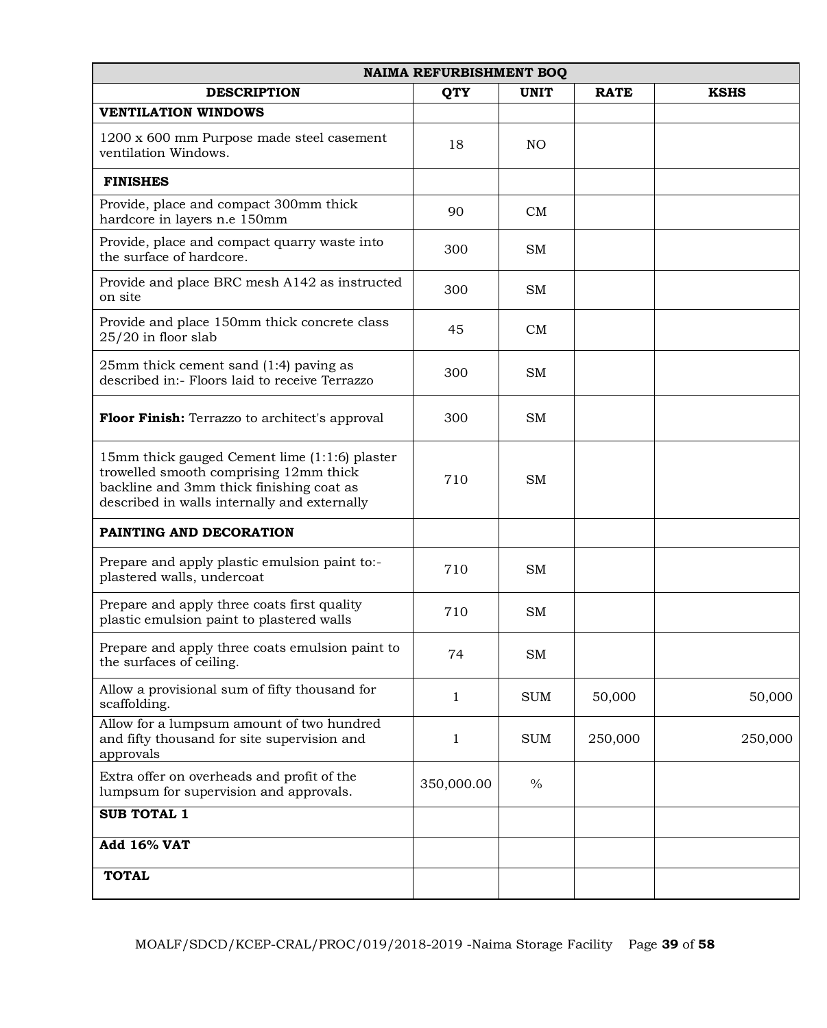| <b>NAIMA REFURBISHMENT BOQ</b>                                                                                                                                                      |              |                |             |             |
|-------------------------------------------------------------------------------------------------------------------------------------------------------------------------------------|--------------|----------------|-------------|-------------|
| <b>DESCRIPTION</b>                                                                                                                                                                  | <b>QTY</b>   | <b>UNIT</b>    | <b>RATE</b> | <b>KSHS</b> |
| <b>VENTILATION WINDOWS</b>                                                                                                                                                          |              |                |             |             |
| 1200 x 600 mm Purpose made steel casement<br>ventilation Windows.                                                                                                                   | 18           | N <sub>O</sub> |             |             |
| <b>FINISHES</b>                                                                                                                                                                     |              |                |             |             |
| Provide, place and compact 300mm thick<br>hardcore in layers n.e 150mm                                                                                                              | 90           | CM             |             |             |
| Provide, place and compact quarry waste into<br>the surface of hardcore.                                                                                                            | 300          | <b>SM</b>      |             |             |
| Provide and place BRC mesh A142 as instructed<br>on site                                                                                                                            | 300          | <b>SM</b>      |             |             |
| Provide and place 150mm thick concrete class<br>25/20 in floor slab                                                                                                                 | 45           | CM             |             |             |
| 25mm thick cement sand (1:4) paving as<br>described in:- Floors laid to receive Terrazzo                                                                                            | 300          | <b>SM</b>      |             |             |
| Floor Finish: Terrazzo to architect's approval                                                                                                                                      | 300          | <b>SM</b>      |             |             |
| 15mm thick gauged Cement lime (1:1:6) plaster<br>trowelled smooth comprising 12mm thick<br>backline and 3mm thick finishing coat as<br>described in walls internally and externally | 710          | <b>SM</b>      |             |             |
| PAINTING AND DECORATION                                                                                                                                                             |              |                |             |             |
| Prepare and apply plastic emulsion paint to:-<br>plastered walls, undercoat                                                                                                         | 710          | <b>SM</b>      |             |             |
| Prepare and apply three coats first quality<br>plastic emulsion paint to plastered walls                                                                                            | 710          | <b>SM</b>      |             |             |
| Prepare and apply three coats emulsion paint to<br>the surfaces of ceiling.                                                                                                         | 74           | <b>SM</b>      |             |             |
| Allow a provisional sum of fifty thousand for<br>scaffolding.                                                                                                                       | $\mathbf{1}$ | <b>SUM</b>     | 50,000      | 50,000      |
| Allow for a lumpsum amount of two hundred<br>and fifty thousand for site supervision and<br>approvals                                                                               | 1            | <b>SUM</b>     | 250,000     | 250,000     |
| Extra offer on overheads and profit of the<br>lumpsum for supervision and approvals.                                                                                                | 350,000.00   | $\%$           |             |             |
| <b>SUB TOTAL 1</b>                                                                                                                                                                  |              |                |             |             |
| Add 16% VAT                                                                                                                                                                         |              |                |             |             |
| <b>TOTAL</b>                                                                                                                                                                        |              |                |             |             |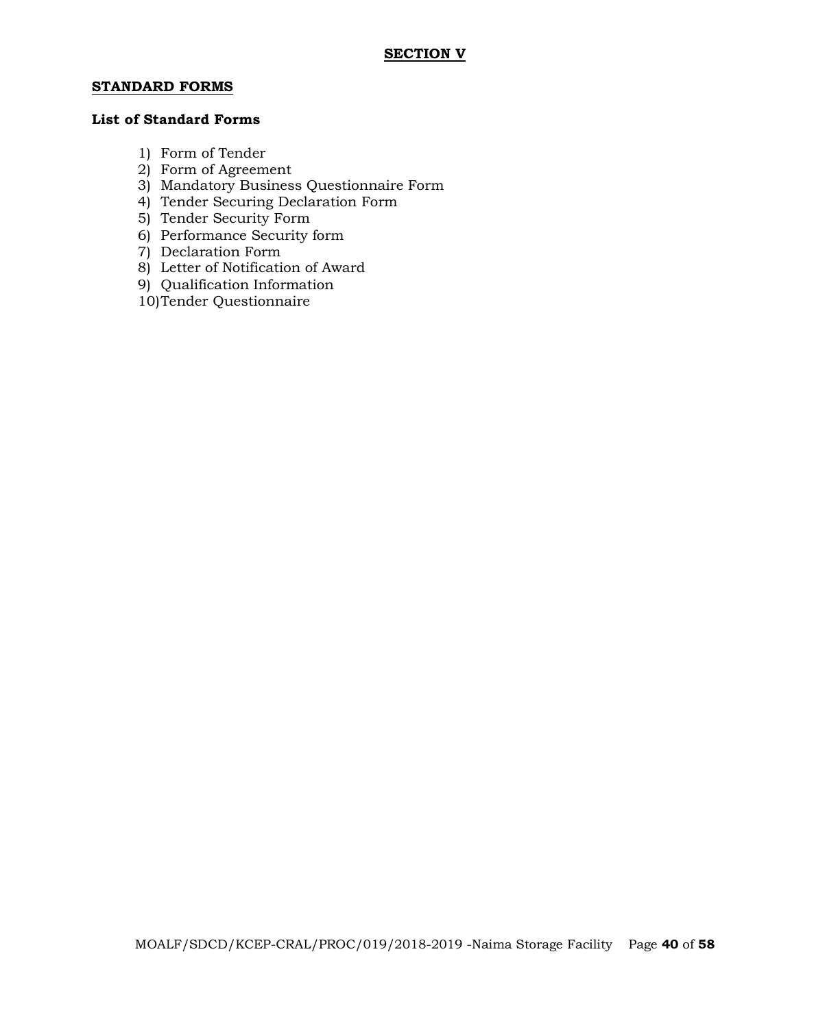#### **STANDARD FORMS**

## **List of Standard Forms**

- 1) Form of Tender
- 2) Form of Agreement
- 3) Mandatory Business Questionnaire Form
- 4) Tender Securing Declaration Form
- 5) Tender Security Form
- 6) Performance Security form
- 7) Declaration Form
- 8) Letter of Notification of Award
- 9) Qualification Information
- 10)Tender Questionnaire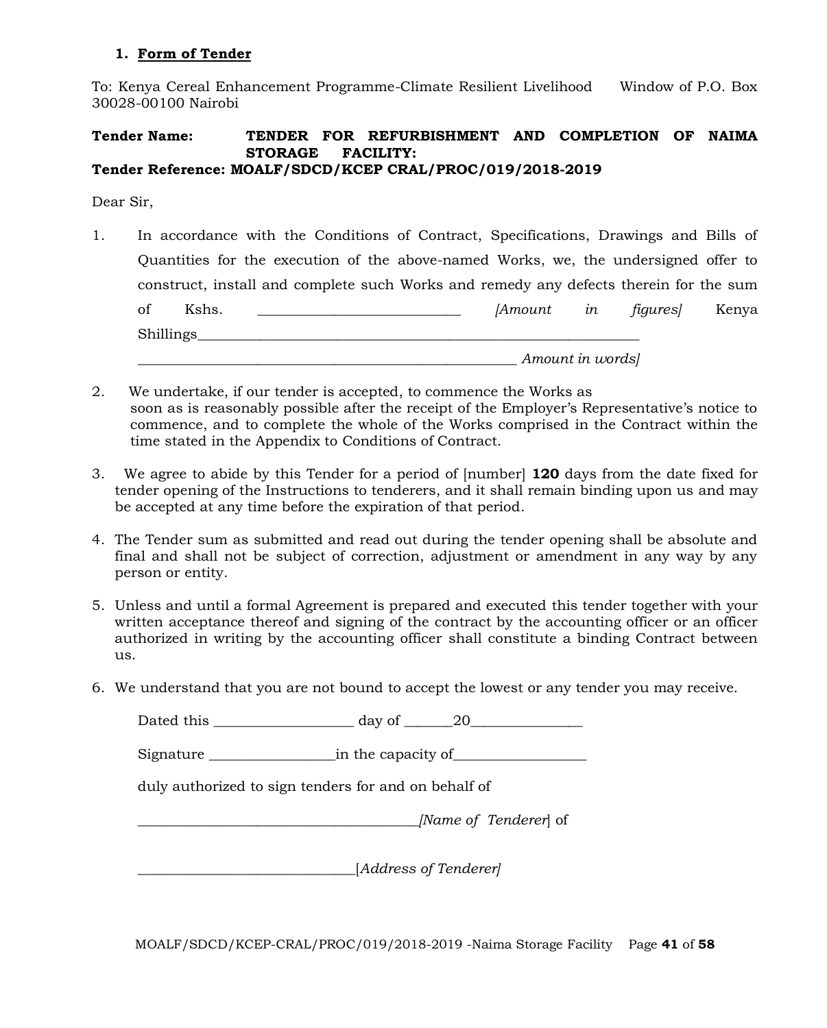## **1. Form of Tender**

To: Kenya Cereal Enhancement Programme-Climate Resilient Livelihood Window of P.O. Box 30028-00100 Nairobi

#### **Tender Name: TENDER FOR REFURBISHMENT AND COMPLETION OF NAIMA STORAGE FACILITY: Tender Reference: MOALF/SDCD/KCEP CRAL/PROC/019/2018-2019**

Dear Sir,

- 1. In accordance with the Conditions of Contract, Specifications, Drawings and Bills of Quantities for the execution of the above-named Works, we, the undersigned offer to construct, install and complete such Works and remedy any defects therein for the sum of Kshs. \_\_\_\_\_\_\_\_\_\_\_\_\_\_\_\_\_\_\_\_\_\_\_\_\_\_\_\_\_ *[Amount in figures]* Kenya Shillings*\_\_\_\_\_\_\_\_\_\_\_\_\_\_\_\_\_\_\_\_\_\_\_\_\_\_\_\_\_\_\_\_\_\_\_\_\_\_\_\_\_\_\_\_\_\_\_\_\_\_\_\_\_\_\_\_\_\_\_\_\_\_\_ \_\_\_\_\_\_\_\_\_\_\_\_\_\_\_\_\_\_\_\_\_\_\_\_\_\_\_\_\_\_\_\_\_\_\_\_\_\_\_\_\_\_\_\_\_\_\_\_\_\_\_\_\_\_ Amount in words]*
- 2. We undertake, if our tender is accepted, to commence the Works as soon as is reasonably possible after the receipt of the Employer's Representative's notice to commence, and to complete the whole of the Works comprised in the Contract within the time stated in the Appendix to Conditions of Contract.
- 3. We agree to abide by this Tender for a period of [number] **120** days from the date fixed for tender opening of the Instructions to tenderers, and it shall remain binding upon us and may be accepted at any time before the expiration of that period.
- 4. The Tender sum as submitted and read out during the tender opening shall be absolute and final and shall not be subject of correction, adjustment or amendment in any way by any person or entity.
- 5. Unless and until a formal Agreement is prepared and executed this tender together with your written acceptance thereof and signing of the contract by the accounting officer or an officer authorized in writing by the accounting officer shall constitute a binding Contract between us.
- 6. We understand that you are not bound to accept the lowest or any tender you may receive.

| Dated this the control of the control of the control of the control of the control of the control of the control of the control of the control of the control of the control of the control of the control of the control of t | $day of$ 20                                                                                                    |
|--------------------------------------------------------------------------------------------------------------------------------------------------------------------------------------------------------------------------------|----------------------------------------------------------------------------------------------------------------|
|                                                                                                                                                                                                                                | Signature in the capacity of the state of the state of the state of the state of the state of the state of the |
|                                                                                                                                                                                                                                | duly authorized to sign tenders for and on behalf of                                                           |
|                                                                                                                                                                                                                                | [Name of Tenderer] of                                                                                          |
|                                                                                                                                                                                                                                | [Address of Tenderer]                                                                                          |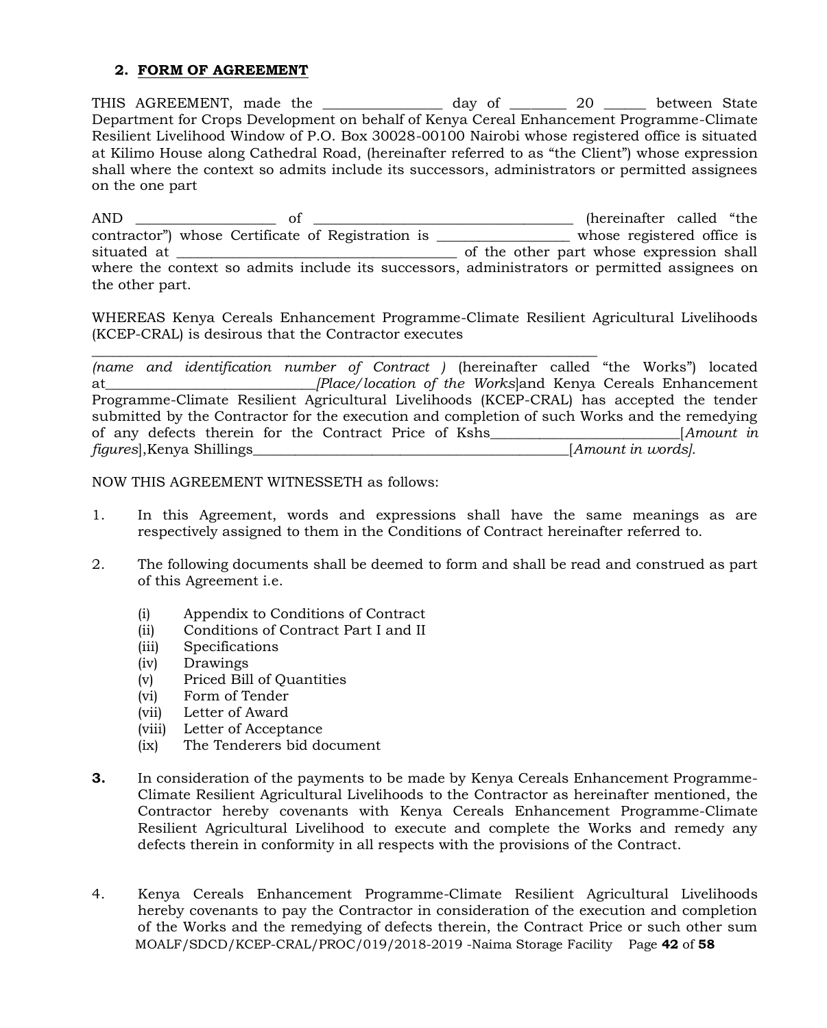## **2. FORM OF AGREEMENT**

THIS AGREEMENT, made the \_\_\_\_\_\_\_\_\_\_\_\_\_\_\_\_ day of \_\_\_\_\_\_\_\_ 20 \_\_\_\_\_\_ between State Department for Crops Development on behalf of Kenya Cereal Enhancement Programme-Climate Resilient Livelihood Window of P.O. Box 30028-00100 Nairobi whose registered office is situated at Kilimo House along Cathedral Road, (hereinafter referred to as "the Client") whose expression shall where the context so admits include its successors, administrators or permitted assignees on the one part

AND \_\_\_\_\_\_\_\_\_\_\_\_\_\_\_\_\_\_\_\_ of \_\_\_\_\_\_\_\_\_\_\_\_\_\_\_\_\_\_\_\_\_\_\_\_\_\_\_\_\_\_\_\_\_\_\_\_\_ (hereinafter called "the contractor") whose Certificate of Registration is \_\_\_\_\_\_\_\_\_\_\_\_\_\_\_\_\_\_\_ whose registered office is situated at \_\_\_\_\_\_\_\_\_\_\_\_\_\_\_\_\_\_\_\_\_\_\_\_\_\_\_\_\_\_\_\_\_\_\_\_\_\_\_\_ of the other part whose expression shall where the context so admits include its successors, administrators or permitted assignees on the other part.

WHEREAS Kenya Cereals Enhancement Programme-Climate Resilient Agricultural Livelihoods (KCEP-CRAL) is desirous that the Contractor executes

\_\_\_\_\_\_\_\_\_\_\_\_\_\_\_\_\_\_\_\_\_\_\_\_\_\_\_\_\_\_\_\_\_\_\_\_\_\_\_\_\_\_\_\_\_\_\_\_\_\_\_\_\_\_\_\_\_\_\_\_\_\_\_\_\_\_\_\_\_\_\_\_ *(name and identification number of Contract )* (hereinafter called "the Works") located at*\_\_\_\_\_\_\_\_\_\_\_\_\_\_\_\_\_\_\_\_\_\_\_\_\_\_\_\_\_\_[Place/location of the Works*]and Kenya Cereals Enhancement Programme-Climate Resilient Agricultural Livelihoods (KCEP-CRAL) has accepted the tender submitted by the Contractor for the execution and completion of such Works and the remedying of any defects therein for the Contract Price of Kshs\_\_\_\_\_\_\_\_\_\_\_\_\_\_\_\_\_\_\_\_\_\_\_\_\_\_\_[*Amount in figures*],Kenya Shillings\_\_\_\_\_\_\_\_\_\_\_\_\_\_\_\_\_\_\_\_\_\_\_\_\_\_\_\_\_\_\_\_\_\_\_\_\_\_\_\_\_\_\_\_\_[*Amount in words].*

NOW THIS AGREEMENT WITNESSETH as follows:

- 1. In this Agreement, words and expressions shall have the same meanings as are respectively assigned to them in the Conditions of Contract hereinafter referred to.
- 2. The following documents shall be deemed to form and shall be read and construed as part of this Agreement i.e.
	- (i) Appendix to Conditions of Contract
	- (ii) Conditions of Contract Part I and II
	- (iii) Specifications
	- (iv) Drawings
	- (v) Priced Bill of Quantities
	- (vi) Form of Tender
	- (vii) Letter of Award
	- (viii) Letter of Acceptance
	- (ix) The Tenderers bid document
- **3.** In consideration of the payments to be made by Kenya Cereals Enhancement Programme-Climate Resilient Agricultural Livelihoods to the Contractor as hereinafter mentioned, the Contractor hereby covenants with Kenya Cereals Enhancement Programme-Climate Resilient Agricultural Livelihood to execute and complete the Works and remedy any defects therein in conformity in all respects with the provisions of the Contract.
- MOALF/SDCD/KCEP-CRAL/PROC/019/2018-2019 -Naima Storage Facility Page **42** of **58** 4. Kenya Cereals Enhancement Programme-Climate Resilient Agricultural Livelihoods hereby covenants to pay the Contractor in consideration of the execution and completion of the Works and the remedying of defects therein, the Contract Price or such other sum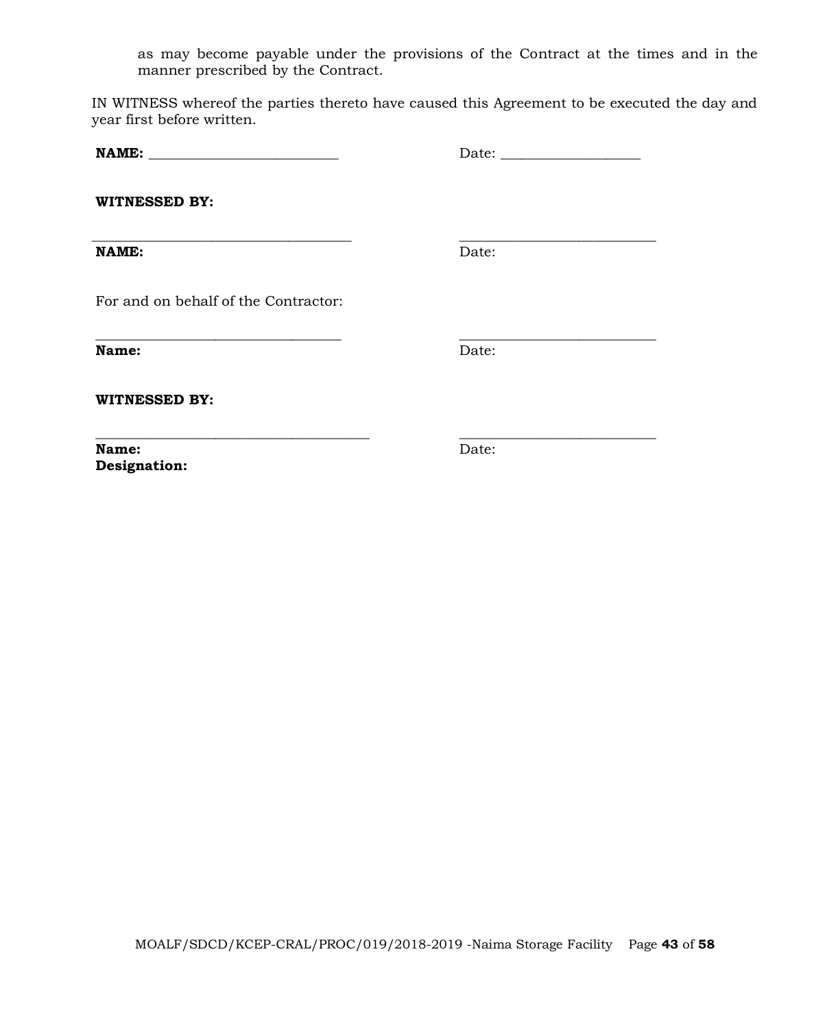as may become payable under the provisions of the Contract at the times and in the manner prescribed by the Contract.

IN WITNESS whereof the parties thereto have caused this Agreement to be executed the day and year first before written.

**\_\_\_\_\_\_\_\_\_\_\_\_\_\_\_\_\_\_\_\_\_\_\_\_\_\_\_\_\_\_\_\_\_\_\_ \_\_\_\_\_\_\_\_\_\_\_\_\_\_\_\_\_\_\_\_\_\_\_\_\_\_\_\_**

**NAME: \_\_\_\_\_\_\_\_\_\_\_\_\_\_\_\_\_\_\_\_\_\_\_\_\_\_\_** Date: \_\_\_\_\_\_\_\_\_\_\_\_\_\_\_\_\_\_\_\_

**WITNESSED BY:**

**\_\_\_\_\_\_\_\_\_\_\_\_\_\_\_\_\_\_\_\_\_\_\_\_\_\_\_\_\_\_\_\_\_\_\_\_\_ \_\_\_\_\_\_\_\_\_\_\_\_\_\_\_\_\_\_\_\_\_\_\_\_\_\_\_\_ NAME:** Date:

For and on behalf of the Contractor:

**Name:** Date:

**WITNESSED BY:**

**Name:** Date: **Designation:** 

**\_\_\_\_\_\_\_\_\_\_\_\_\_\_\_\_\_\_\_\_\_\_\_\_\_\_\_\_\_\_\_\_\_\_\_\_\_\_\_ \_\_\_\_\_\_\_\_\_\_\_\_\_\_\_\_\_\_\_\_\_\_\_\_\_\_\_\_**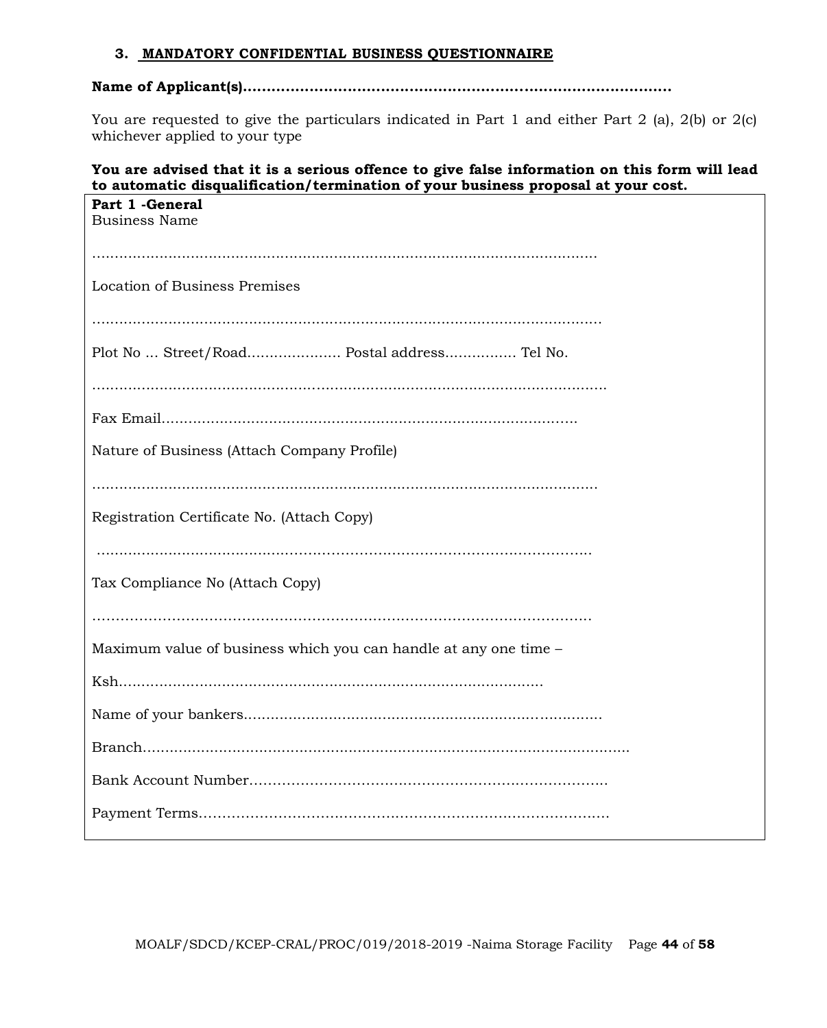## **3. MANDATORY CONFIDENTIAL BUSINESS QUESTIONNAIRE**

# **Name of Applicant(s)..........................................................................................**

You are requested to give the particulars indicated in Part 1 and either Part 2 (a), 2(b) or 2(c) whichever applied to your type

## **You are advised that it is a serious offence to give false information on this form will lead to automatic disqualification/termination of your business proposal at your cost.**

| Part 1 - General<br><b>Business Name</b>                         |
|------------------------------------------------------------------|
|                                                                  |
| Location of Business Premises                                    |
|                                                                  |
| Plot No  Street/Road Postal address Tel No.                      |
|                                                                  |
|                                                                  |
| Nature of Business (Attach Company Profile)                      |
|                                                                  |
| Registration Certificate No. (Attach Copy)                       |
|                                                                  |
| Tax Compliance No (Attach Copy)                                  |
|                                                                  |
| Maximum value of business which you can handle at any one time - |
|                                                                  |
|                                                                  |
|                                                                  |
|                                                                  |
|                                                                  |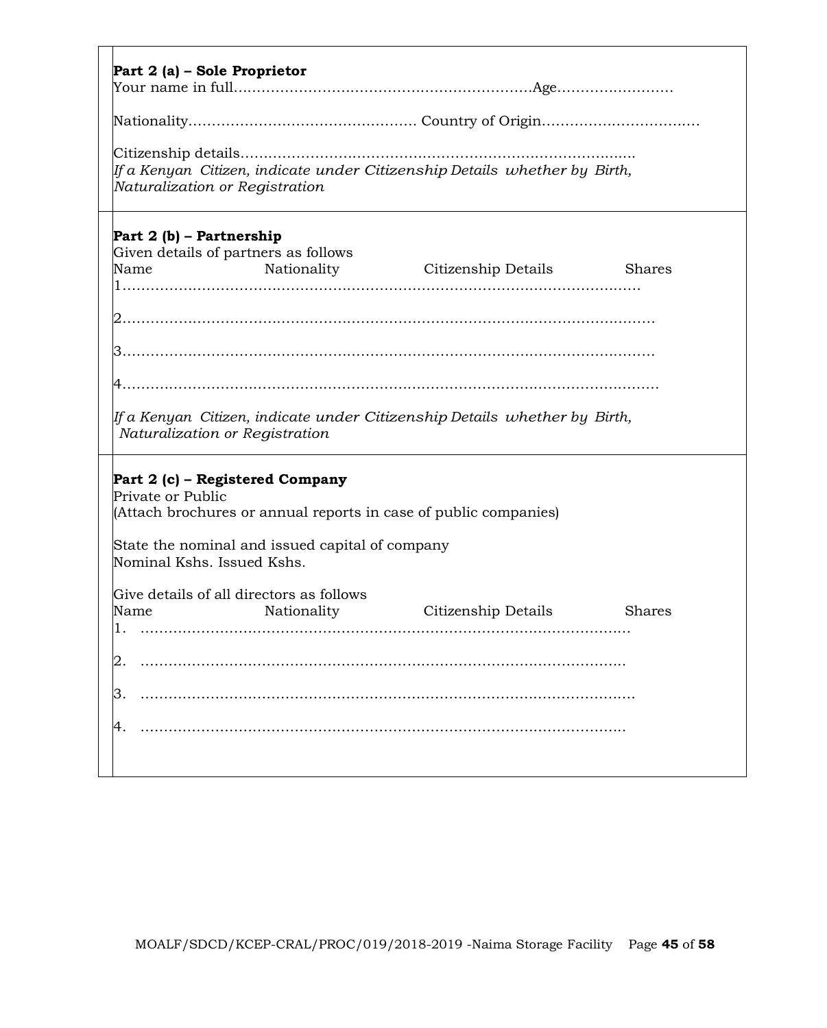| Part 2 (a) – Sole Proprietor                                                                                             |
|--------------------------------------------------------------------------------------------------------------------------|
|                                                                                                                          |
|                                                                                                                          |
|                                                                                                                          |
| If a Kenyan Citizen, indicate under Citizenship Details whether by Birth,<br>Naturalization or Registration              |
| Part 2 (b) – Partnership                                                                                                 |
| Given details of partners as follows<br>Nationality Citizenship Details<br>Name<br><b>Shares</b>                         |
|                                                                                                                          |
|                                                                                                                          |
|                                                                                                                          |
|                                                                                                                          |
| If a Kenyan  Citizen, indicate under Citizenship Details  whether by  Birth,<br>Naturalization or Registration           |
| Part 2 (c) – Registered Company<br>Private or Public<br>(Attach brochures or annual reports in case of public companies) |
| State the nominal and issued capital of company<br>Nominal Kshs. Issued Kshs.                                            |
| Give details of all directors as follows<br>Citizenship Details<br>Nationality<br><b>Shares</b><br>Name                  |
|                                                                                                                          |
|                                                                                                                          |
|                                                                                                                          |
|                                                                                                                          |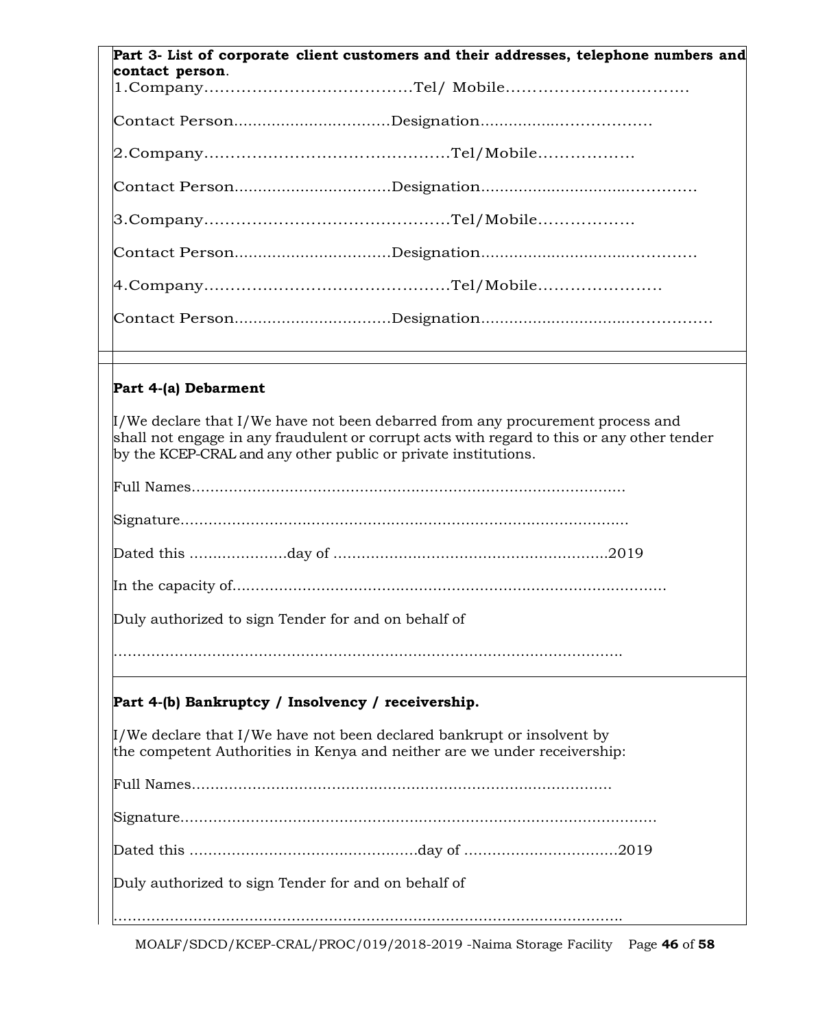| Part 3- List of corporate client customers and their addresses, telephone numbers and<br>contact person.                                                                                                                                                            |
|---------------------------------------------------------------------------------------------------------------------------------------------------------------------------------------------------------------------------------------------------------------------|
|                                                                                                                                                                                                                                                                     |
|                                                                                                                                                                                                                                                                     |
|                                                                                                                                                                                                                                                                     |
|                                                                                                                                                                                                                                                                     |
|                                                                                                                                                                                                                                                                     |
|                                                                                                                                                                                                                                                                     |
|                                                                                                                                                                                                                                                                     |
| Part 4-(a) Debarment                                                                                                                                                                                                                                                |
| $\mathcal{I}/\mathsf{We}$ declare that I/We have not been debarred from any procurement process and<br>shall not engage in any fraudulent or corrupt acts with regard to this or any other tender<br>by the KCEP-CRAL and any other public or private institutions. |
|                                                                                                                                                                                                                                                                     |
|                                                                                                                                                                                                                                                                     |
|                                                                                                                                                                                                                                                                     |
|                                                                                                                                                                                                                                                                     |
| Duly authorized to sign Tender for and on behalf of                                                                                                                                                                                                                 |
|                                                                                                                                                                                                                                                                     |
|                                                                                                                                                                                                                                                                     |
| Part 4-(b) Bankruptcy / Insolvency / receivership.                                                                                                                                                                                                                  |
| $\mathcal{I}/\mathsf{We}$ declare that I/We have not been declared bankrupt or insolvent by<br>the competent Authorities in Kenya and neither are we under receivership:                                                                                            |
|                                                                                                                                                                                                                                                                     |
|                                                                                                                                                                                                                                                                     |
|                                                                                                                                                                                                                                                                     |

Duly authorized to sign Tender for and on behalf of

……………………………………………………………………………………………….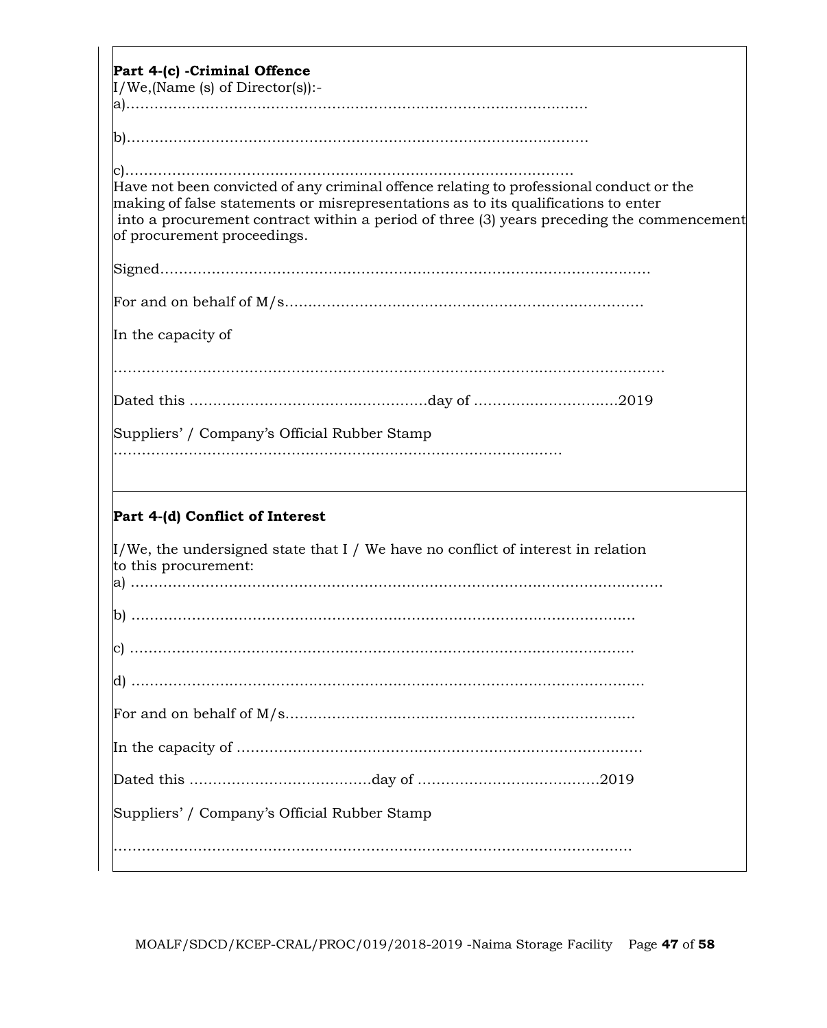| Part 4-(c) - Criminal Offence                                                                                                                                                                                                                                                                             |
|-----------------------------------------------------------------------------------------------------------------------------------------------------------------------------------------------------------------------------------------------------------------------------------------------------------|
| $\text{I/We, (Name (s) of Director(s)):-}$                                                                                                                                                                                                                                                                |
|                                                                                                                                                                                                                                                                                                           |
|                                                                                                                                                                                                                                                                                                           |
| Have not been convicted of any criminal offence relating to professional conduct or the<br>making of false statements or misrepresentations as to its qualifications to enter<br>into a procurement contract within a period of three (3) years preceding the commencement<br>of procurement proceedings. |
|                                                                                                                                                                                                                                                                                                           |
|                                                                                                                                                                                                                                                                                                           |
| In the capacity of                                                                                                                                                                                                                                                                                        |
|                                                                                                                                                                                                                                                                                                           |
|                                                                                                                                                                                                                                                                                                           |
| Suppliers' / Company's Official Rubber Stamp                                                                                                                                                                                                                                                              |
| Part 4-(d) Conflict of Interest                                                                                                                                                                                                                                                                           |
| $\mu$ /We, the undersigned state that I / We have no conflict of interest in relation<br>to this procurement:                                                                                                                                                                                             |
|                                                                                                                                                                                                                                                                                                           |
|                                                                                                                                                                                                                                                                                                           |
|                                                                                                                                                                                                                                                                                                           |
|                                                                                                                                                                                                                                                                                                           |
|                                                                                                                                                                                                                                                                                                           |
|                                                                                                                                                                                                                                                                                                           |
| Suppliers' / Company's Official Rubber Stamp                                                                                                                                                                                                                                                              |
|                                                                                                                                                                                                                                                                                                           |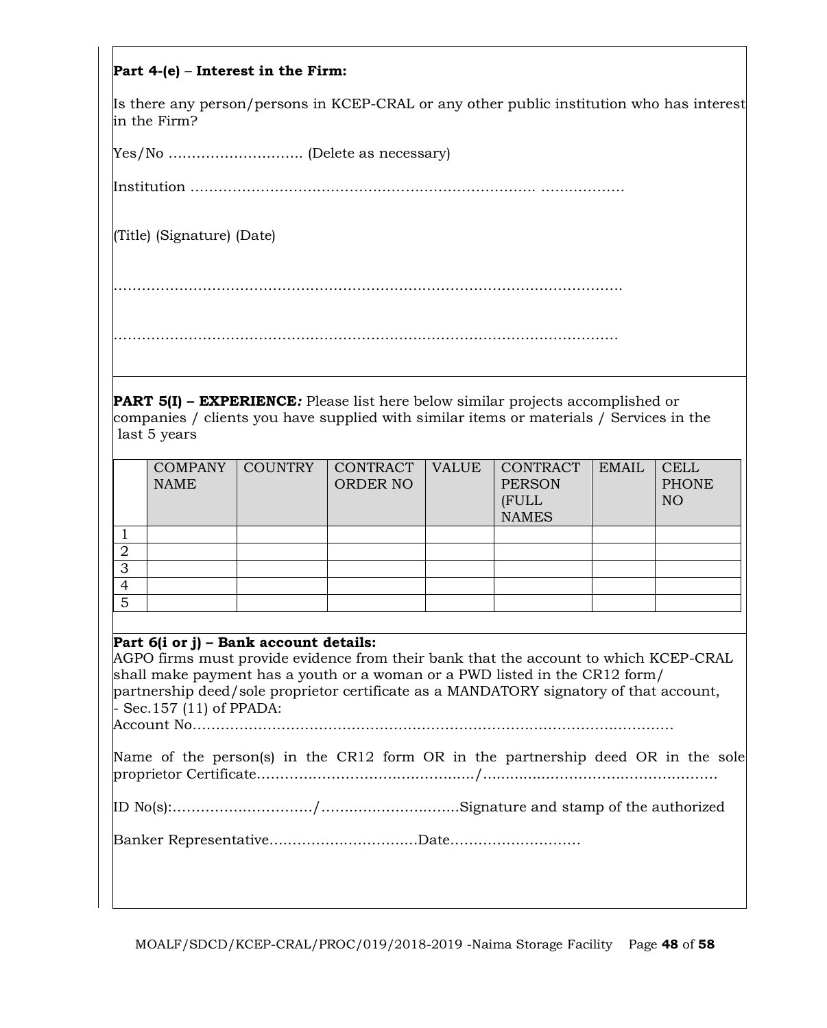# **Part 4-(e)** – **Interest in the Firm:**

Is there any person/persons in KCEP-CRAL or any other public institution who has interest in the Firm?

Yes/No ……………………….. (Delete as necessary)

Institution ………………………….……………………………………. ………………

(Title) (Signature) (Date)

………………………………………………………………………………………………

**PART 5(I) – EXPERIENCE***:* Please list here below similar projects accomplished or companies / clients you have supplied with similar items or materials / Services in the last 5 years

……………………………………………………………………………………………….

|   | <b>COMPANY</b><br><b>NAME</b> | <b>COUNTRY</b> | CONTRACT<br><b>ORDER NO</b> | <b>VALUE</b> | <b>CONTRACT</b><br><b>PERSON</b><br>(FULL<br><b>NAMES</b> | <b>EMAIL</b> | <b>CELL</b><br><b>PHONE</b><br>NO |
|---|-------------------------------|----------------|-----------------------------|--------------|-----------------------------------------------------------|--------------|-----------------------------------|
|   |                               |                |                             |              |                                                           |              |                                   |
|   |                               |                |                             |              |                                                           |              |                                   |
| З |                               |                |                             |              |                                                           |              |                                   |
| 4 |                               |                |                             |              |                                                           |              |                                   |
|   |                               |                |                             |              |                                                           |              |                                   |

#### **Part 6(i or j) – Bank account details:**

AGPO firms must provide evidence from their bank that the account to which KCEP-CRAL shall make payment has a youth or a woman or a PWD listed in the CR12 form/ partnership deed/sole proprietor certificate as a MANDATORY signatory of that account, - Sec.157 (11) of PPADA:

Account No………………………………………………………………………………………….

|  |  |  |  |  | Name of the person(s) in the CR12 form OR in the partnership deed OR in the sole |  |  |  |
|--|--|--|--|--|----------------------------------------------------------------------------------|--|--|--|
|  |  |  |  |  |                                                                                  |  |  |  |

ID No(s):…………………………/…….…..…….…..…...Signature and stamp of the authorized

Banker Representative……………..……………Date……………………….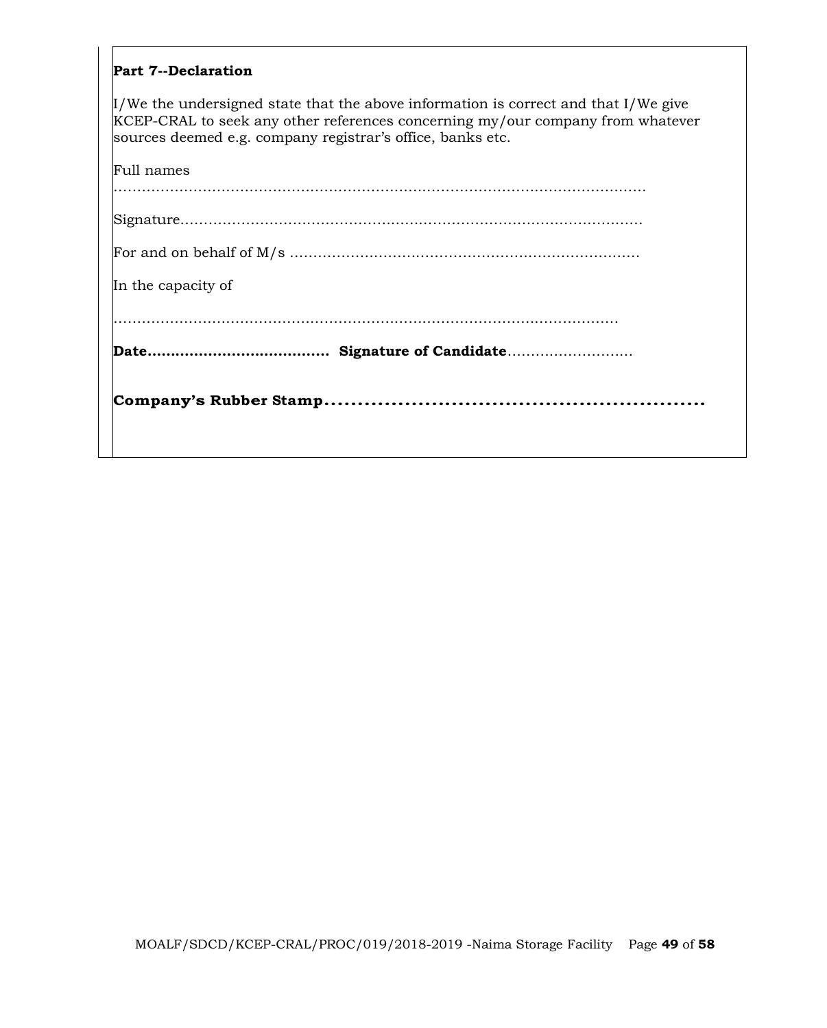### **Part 7--Declaration**

I/We the undersigned state that the above information is correct and that I/We give KCEP-CRAL to seek any other references concerning my/our company from whatever sources deemed e.g. company registrar's office, banks etc.

| In the capacity of |
|--------------------|
|                    |
|                    |
|                    |
| Full names         |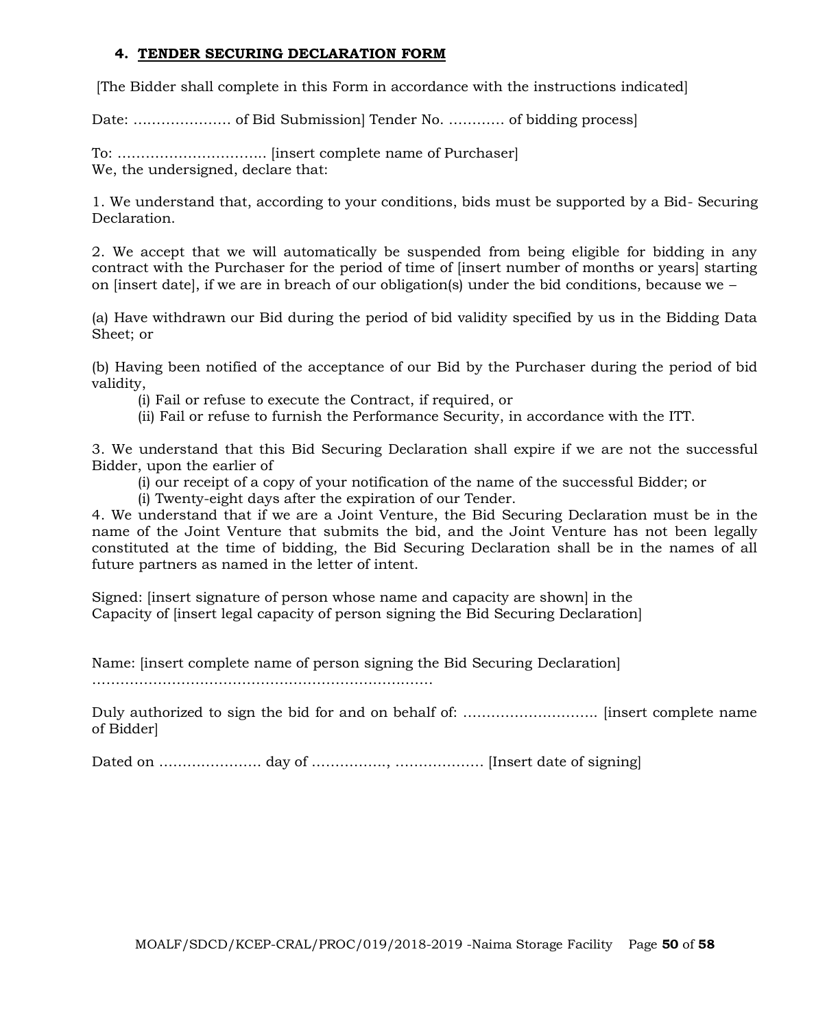# **4. TENDER SECURING DECLARATION FORM**

[The Bidder shall complete in this Form in accordance with the instructions indicated]

Date: ………………… of Bid Submission] Tender No. ………… of bidding process]

To: ………………………….. [insert complete name of Purchaser] We, the undersigned, declare that:

1. We understand that, according to your conditions, bids must be supported by a Bid- Securing Declaration.

2. We accept that we will automatically be suspended from being eligible for bidding in any contract with the Purchaser for the period of time of linsert number of months or years starting on [insert date], if we are in breach of our obligation(s) under the bid conditions, because we  $-$ 

(a) Have withdrawn our Bid during the period of bid validity specified by us in the Bidding Data Sheet; or

(b) Having been notified of the acceptance of our Bid by the Purchaser during the period of bid validity,

(i) Fail or refuse to execute the Contract, if required, or

(ii) Fail or refuse to furnish the Performance Security, in accordance with the ITT.

3. We understand that this Bid Securing Declaration shall expire if we are not the successful Bidder, upon the earlier of

(i) our receipt of a copy of your notification of the name of the successful Bidder; or

(i) Twenty-eight days after the expiration of our Tender.

4. We understand that if we are a Joint Venture, the Bid Securing Declaration must be in the name of the Joint Venture that submits the bid, and the Joint Venture has not been legally constituted at the time of bidding, the Bid Securing Declaration shall be in the names of all future partners as named in the letter of intent.

Signed: [insert signature of person whose name and capacity are shown] in the Capacity of [insert legal capacity of person signing the Bid Securing Declaration]

Name: [insert complete name of person signing the Bid Securing Declaration]

……………………………………………………………….

Duly authorized to sign the bid for and on behalf of: ……………………………………… [insert complete name of Bidder]

Dated on …………………. day of ……………., ………………. [Insert date of signing]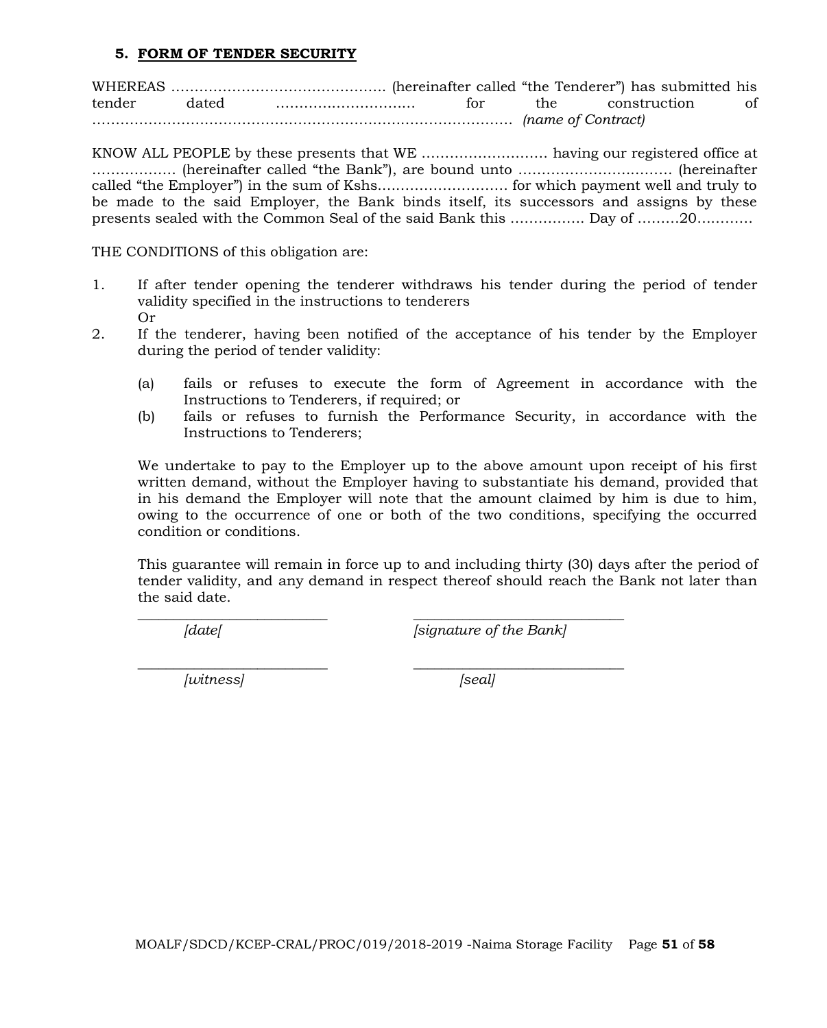#### **5. FORM OF TENDER SECURITY**

WHEREAS ………………………………………. (hereinafter called "the Tenderer") has submitted his tender dated ………………………… for the construction of ……………………………………………………………………………… *(name of Contract)*

KNOW ALL PEOPLE by these presents that WE ……………………… having our registered office at ……………… (hereinafter called "the Bank"), are bound unto …………………………… (hereinafter called "the Employer") in the sum of Kshs.……………………… for which payment well and truly to be made to the said Employer, the Bank binds itself, its successors and assigns by these presents sealed with the Common Seal of the said Bank this ……………. Day of ………20…………

THE CONDITIONS of this obligation are:

- 1. If after tender opening the tenderer withdraws his tender during the period of tender validity specified in the instructions to tenderers Or
- 2. If the tenderer, having been notified of the acceptance of his tender by the Employer during the period of tender validity:
	- (a) fails or refuses to execute the form of Agreement in accordance with the Instructions to Tenderers, if required; or
	- (b) fails or refuses to furnish the Performance Security, in accordance with the Instructions to Tenderers;

We undertake to pay to the Employer up to the above amount upon receipt of his first written demand, without the Employer having to substantiate his demand, provided that in his demand the Employer will note that the amount claimed by him is due to him, owing to the occurrence of one or both of the two conditions, specifying the occurred condition or conditions.

This guarantee will remain in force up to and including thirty (30) days after the period of tender validity, and any demand in respect thereof should reach the Bank not later than the said date.

\_\_\_\_\_\_\_\_\_\_\_\_\_\_\_\_\_\_\_\_\_\_\_\_\_\_\_ \_\_\_\_\_\_\_\_\_\_\_\_\_\_\_\_\_\_\_\_\_\_\_\_\_\_\_\_\_\_

*[date[ [signature of the Bank]*

*\_\_\_\_\_\_\_\_\_\_\_\_\_\_\_\_\_\_\_\_\_\_\_\_\_\_\_ \_\_\_\_\_\_\_\_\_\_\_\_\_\_\_\_\_\_\_\_\_\_\_\_\_\_\_\_\_\_ [witness] [seal]*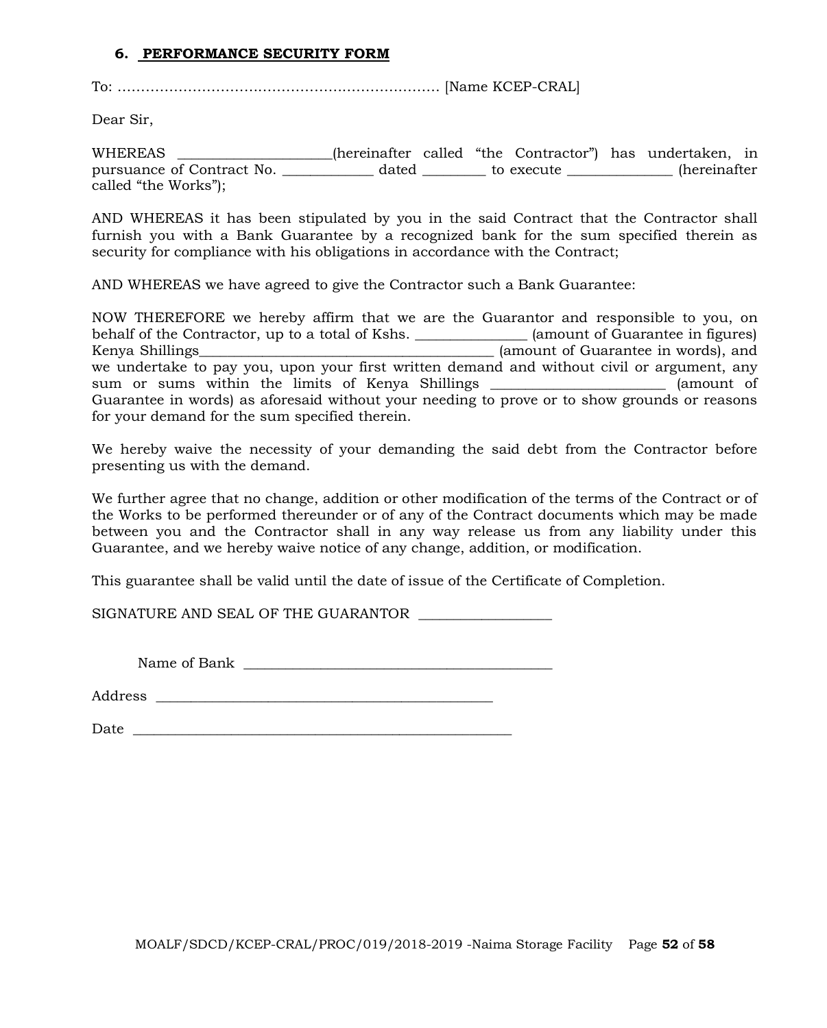## **6. PERFORMANCE SECURITY FORM**

To: …………………………………………………………… [Name KCEP-CRAL]

Dear Sir,

WHEREAS \_\_\_\_\_\_\_\_\_\_\_\_\_\_\_\_\_\_\_\_\_\_(hereinafter called "the Contractor") has undertaken, in pursuance of Contract No. <br>
dated to execute the secure (hereinafter called "the Works");

AND WHEREAS it has been stipulated by you in the said Contract that the Contractor shall furnish you with a Bank Guarantee by a recognized bank for the sum specified therein as security for compliance with his obligations in accordance with the Contract;

AND WHEREAS we have agreed to give the Contractor such a Bank Guarantee:

NOW THEREFORE we hereby affirm that we are the Guarantor and responsible to you, on behalf of the Contractor, up to a total of Kshs. \_\_\_\_\_\_\_\_\_\_\_\_\_\_\_\_ (amount of Guarantee in figures) Kenya Shillings\_\_\_\_\_\_\_\_\_\_\_\_\_\_\_\_\_\_\_\_\_\_\_\_\_\_\_\_\_\_\_\_\_\_\_\_\_\_\_\_\_\_ (amount of Guarantee in words), and we undertake to pay you, upon your first written demand and without civil or argument, any sum or sums within the limits of Kenya Shillings (amount of Guarantee in words) as aforesaid without your needing to prove or to show grounds or reasons for your demand for the sum specified therein.

We hereby waive the necessity of your demanding the said debt from the Contractor before presenting us with the demand.

We further agree that no change, addition or other modification of the terms of the Contract or of the Works to be performed thereunder or of any of the Contract documents which may be made between you and the Contractor shall in any way release us from any liability under this Guarantee, and we hereby waive notice of any change, addition, or modification.

This guarantee shall be valid until the date of issue of the Certificate of Completion.

SIGNATURE AND SEAL OF THE GUARANTOR \_\_\_\_\_\_\_\_\_\_\_\_\_\_\_\_\_\_\_

Name of Bank \_\_\_\_\_\_\_\_\_\_\_\_\_\_\_\_\_\_\_\_\_\_\_\_\_\_\_\_\_\_\_\_\_\_\_\_\_\_\_\_\_\_\_\_

Address \_\_\_\_\_\_\_\_\_\_\_\_\_\_\_\_\_\_\_\_\_\_\_\_\_\_\_\_\_\_\_\_\_\_\_\_\_\_\_\_\_\_\_\_\_\_\_\_

 $Date$   $\Box$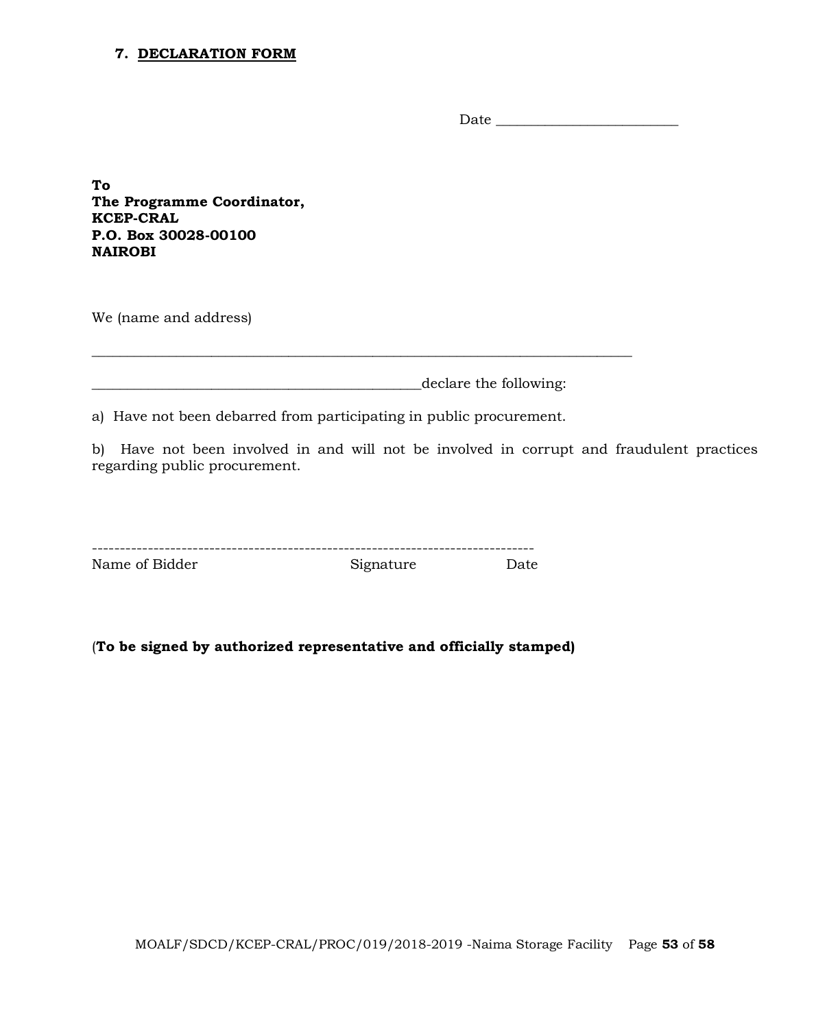#### **7. DECLARATION FORM**

Date \_\_\_\_\_\_\_\_\_\_\_\_\_\_\_\_\_\_\_\_\_\_\_\_\_\_

**To The Programme Coordinator, KCEP-CRAL P.O. Box 30028-00100 NAIROBI**

We (name and address)

\_\_\_\_\_\_\_\_\_\_\_\_\_\_\_\_\_\_\_\_\_\_\_\_\_\_\_\_\_\_\_\_\_\_\_\_\_\_\_\_\_\_\_\_\_\_\_declare the following:

a) Have not been debarred from participating in public procurement.

\_\_\_\_\_\_\_\_\_\_\_\_\_\_\_\_\_\_\_\_\_\_\_\_\_\_\_\_\_\_\_\_\_\_\_\_\_\_\_\_\_\_\_\_\_\_\_\_\_\_\_\_\_\_\_\_\_\_\_\_\_\_\_\_\_\_\_\_\_\_\_\_\_\_\_\_\_

b) Have not been involved in and will not be involved in corrupt and fraudulent practices regarding public procurement.

| Name of Bidder | Signature | Date |
|----------------|-----------|------|

(**To be signed by authorized representative and officially stamped)**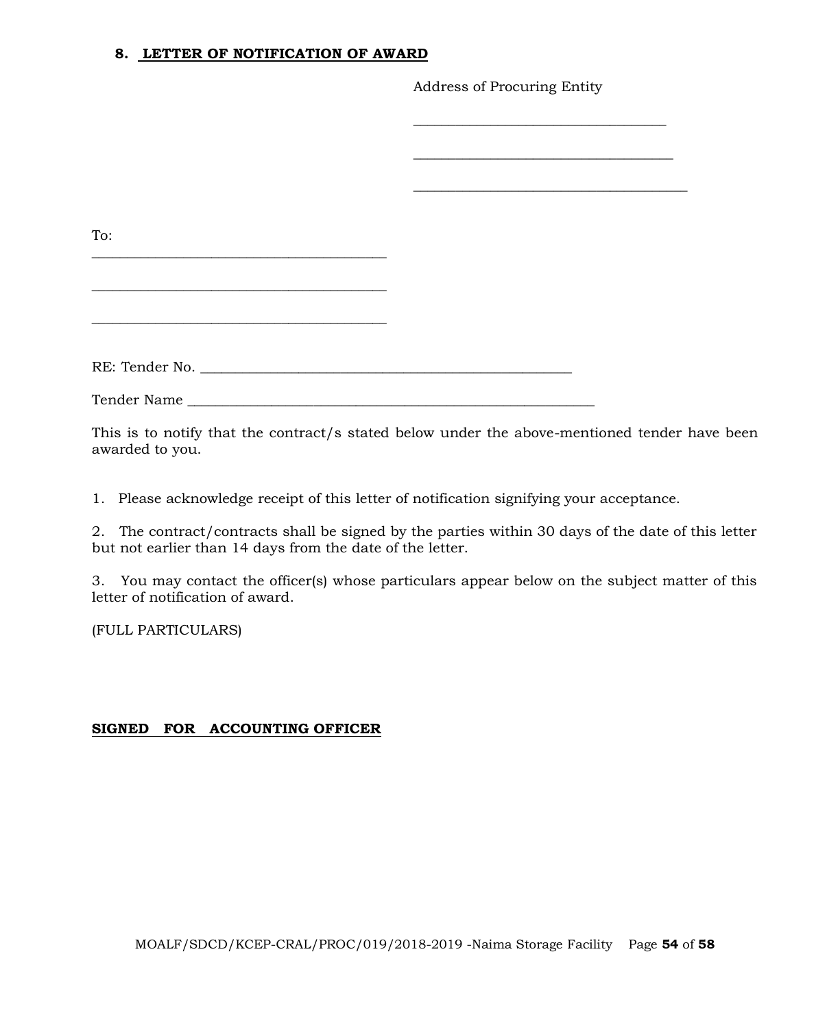#### **8. LETTER OF NOTIFICATION OF AWARD**

Address of Procuring Entity

| To:            |  |
|----------------|--|
|                |  |
|                |  |
|                |  |
|                |  |
|                |  |
| RE: Tender No. |  |
|                |  |
|                |  |

This is to notify that the contract/s stated below under the above-mentioned tender have been awarded to you.

1. Please acknowledge receipt of this letter of notification signifying your acceptance.

2. The contract/contracts shall be signed by the parties within 30 days of the date of this letter but not earlier than 14 days from the date of the letter.

3. You may contact the officer(s) whose particulars appear below on the subject matter of this letter of notification of award.

(FULL PARTICULARS)

# **SIGNED FOR ACCOUNTING OFFICER**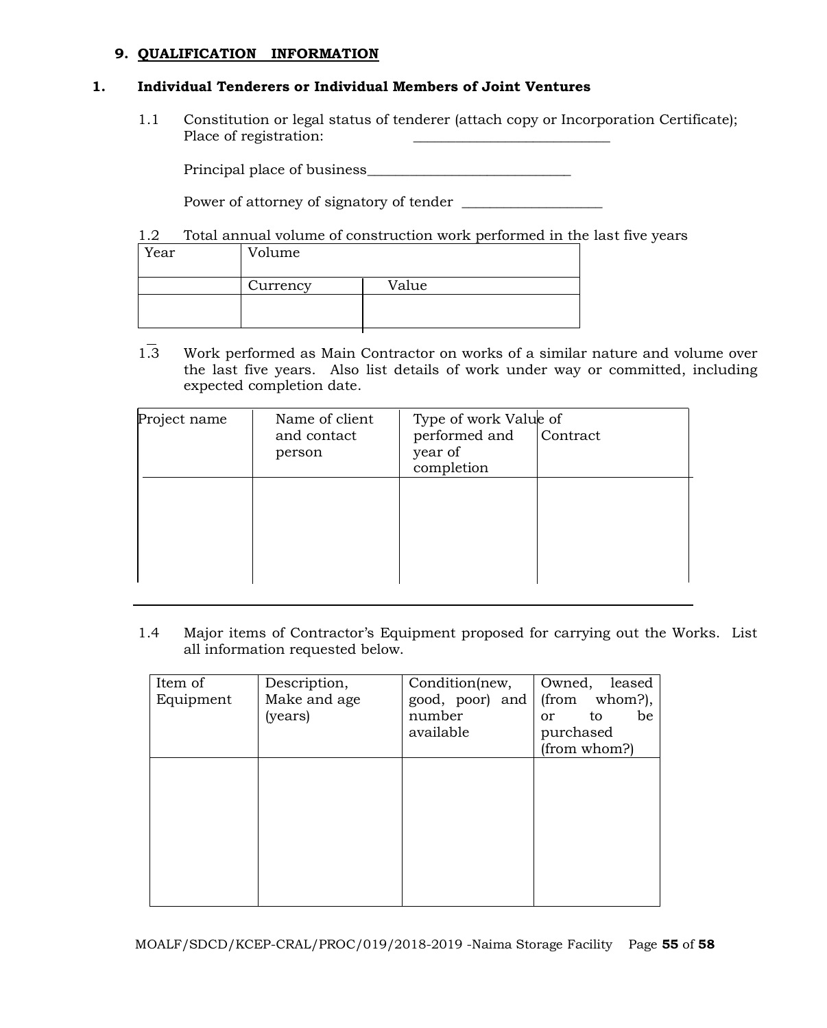## **9. QUALIFICATION INFORMATION**

#### **1. Individual Tenderers or Individual Members of Joint Ventures**

1.1 Constitution or legal status of tenderer (attach copy or Incorporation Certificate); Place of registration:

Principal place of business\_\_\_\_\_\_\_\_\_\_\_\_\_\_\_\_\_\_\_\_\_\_\_\_\_\_\_\_\_

Power of attorney of signatory of tender \_\_\_\_\_\_\_\_\_\_\_\_\_\_\_\_\_\_\_\_

## 1.2 Total annual volume of construction work performed in the last five years

| Year | Volume   |       |
|------|----------|-------|
|      | Currency | Value |
|      |          |       |

1.3 Work performed as Main Contractor on works of a similar nature and volume over the last five years. Also list details of work under way or committed, including expected completion date.

| Project name | Name of client<br>and contact<br>person | Type of work Value of<br>performed and<br>year of<br>completion | Contract |
|--------------|-----------------------------------------|-----------------------------------------------------------------|----------|
|              |                                         |                                                                 |          |
|              |                                         |                                                                 |          |

1.4 Major items of Contractor's Equipment proposed for carrying out the Works. List all information requested below.

| Item of<br>Equipment | Description,<br>Make and age<br>(years) | Condition(new,<br>good, poor) and<br>number<br>available | Owned,<br>leased<br>(from<br>whom?),<br>be<br>to<br><sub>or</sub><br>purchased<br>(from whom?) |
|----------------------|-----------------------------------------|----------------------------------------------------------|------------------------------------------------------------------------------------------------|
|                      |                                         |                                                          |                                                                                                |
|                      |                                         |                                                          |                                                                                                |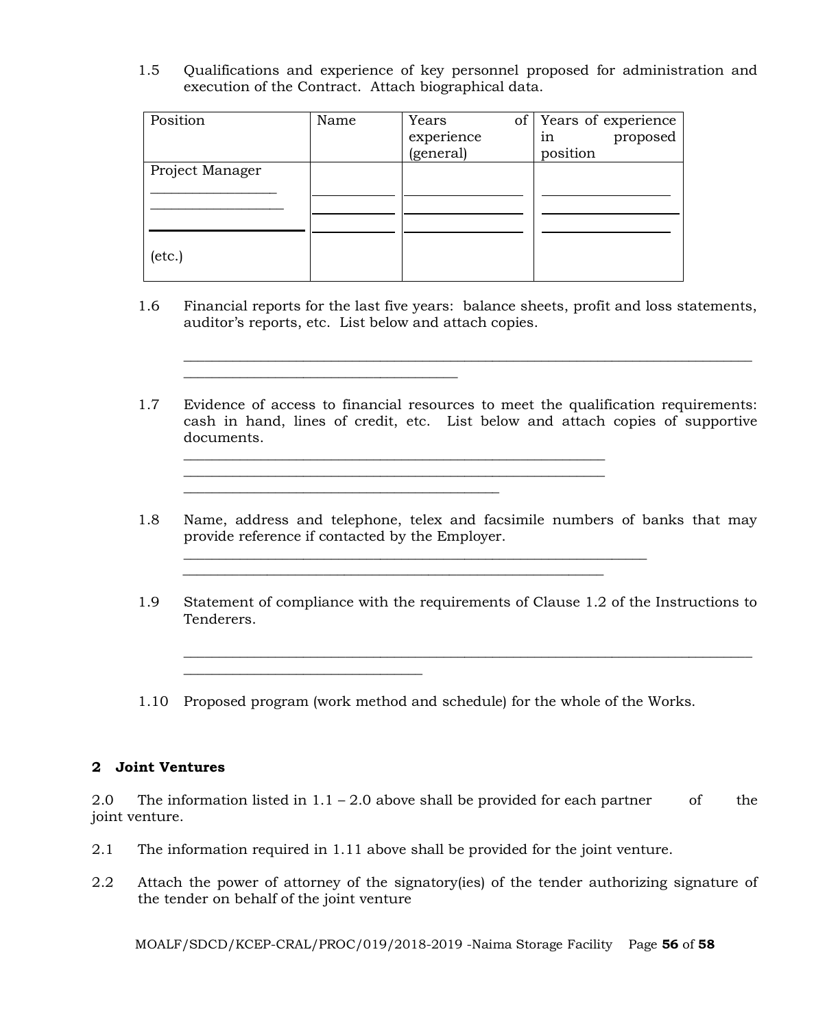1.5 Qualifications and experience of key personnel proposed for administration and execution of the Contract. Attach biographical data.

| Position        | Name | Years<br>of <sub>l</sub> | Years of experience |
|-----------------|------|--------------------------|---------------------|
|                 |      | experience               | proposed<br>1n      |
|                 |      | (general)                | position            |
| Project Manager |      |                          |                     |
|                 |      |                          |                     |
|                 |      |                          |                     |
|                 |      |                          |                     |
|                 |      |                          |                     |
| $(\text{etc.})$ |      |                          |                     |
|                 |      |                          |                     |

 $\overline{\phantom{a}}$  , and the set of the set of the set of the set of the set of the set of the set of the set of the set of the set of the set of the set of the set of the set of the set of the set of the set of the set of the s

\_\_\_\_\_\_\_\_\_\_\_\_\_\_\_\_\_\_\_\_\_\_\_\_\_\_\_\_\_\_\_\_\_\_

1.6 Financial reports for the last five years: balance sheets, profit and loss statements, auditor's reports, etc. List below and attach copies.

\_\_\_\_\_\_\_\_\_\_\_\_\_\_\_\_\_\_\_\_\_\_\_\_\_\_\_\_\_\_\_\_\_\_\_\_\_\_\_\_\_\_\_\_\_\_\_\_\_\_\_\_\_\_\_\_\_\_\_\_\_\_\_\_\_\_\_\_\_\_\_\_\_\_\_\_\_\_\_\_\_

1.7 Evidence of access to financial resources to meet the qualification requirements: cash in hand, lines of credit, etc. List below and attach copies of supportive documents.

\_\_\_\_\_\_\_\_\_\_\_\_\_\_\_\_\_\_\_\_\_\_\_\_\_\_\_\_\_\_\_\_\_\_\_\_\_\_\_\_\_\_\_\_\_\_\_\_\_\_\_\_\_\_\_\_\_\_\_\_

 $\frac{1}{2}$  ,  $\frac{1}{2}$  ,  $\frac{1}{2}$  ,  $\frac{1}{2}$  ,  $\frac{1}{2}$  ,  $\frac{1}{2}$  ,  $\frac{1}{2}$  ,  $\frac{1}{2}$  ,  $\frac{1}{2}$  ,  $\frac{1}{2}$  ,  $\frac{1}{2}$  ,  $\frac{1}{2}$  ,  $\frac{1}{2}$  ,  $\frac{1}{2}$  ,  $\frac{1}{2}$  ,  $\frac{1}{2}$  ,  $\frac{1}{2}$  ,  $\frac{1}{2}$  ,  $\frac{1$ 

\_\_\_\_\_\_\_\_\_\_\_\_\_\_\_\_\_\_\_\_\_\_\_\_\_\_\_\_\_\_\_\_\_\_\_\_\_\_\_\_\_\_\_\_\_

- 1.8 Name, address and telephone, telex and facsimile numbers of banks that may provide reference if contacted by the Employer.
- 1.9 Statement of compliance with the requirements of Clause 1.2 of the Instructions to Tenderers.

\_\_\_\_\_\_\_\_\_\_\_\_\_\_\_\_\_\_\_\_\_\_\_\_\_\_\_\_\_\_\_\_\_\_\_\_\_\_\_\_\_\_\_\_\_\_\_\_\_\_\_\_\_\_\_\_\_\_\_\_\_\_\_\_\_\_\_\_\_\_\_\_\_\_\_\_\_\_\_\_\_

1.10 Proposed program (work method and schedule) for the whole of the Works.

 $\mathcal{L}_\text{max}$  and  $\mathcal{L}_\text{max}$  and  $\mathcal{L}_\text{max}$  and  $\mathcal{L}_\text{max}$  and  $\mathcal{L}_\text{max}$  and  $\mathcal{L}_\text{max}$ 

#### **2 Joint Ventures**

2.0 The information listed in  $1.1 - 2.0$  above shall be provided for each partner of the joint venture.

- 2.1 The information required in 1.11 above shall be provided for the joint venture.
- 2.2 Attach the power of attorney of the signatory(ies) of the tender authorizing signature of the tender on behalf of the joint venture

MOALF/SDCD/KCEP-CRAL/PROC/019/2018-2019 -Naima Storage Facility Page **56** of **58**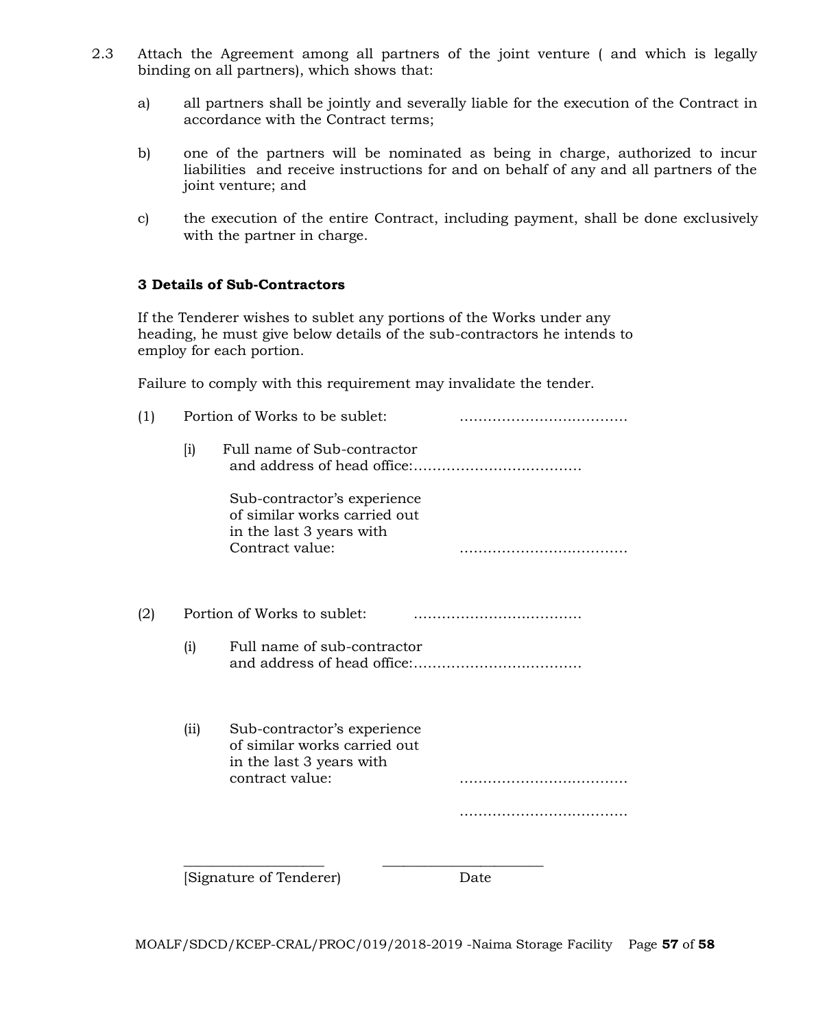- 2.3 Attach the Agreement among all partners of the joint venture ( and which is legally binding on all partners), which shows that:
	- a) all partners shall be jointly and severally liable for the execution of the Contract in accordance with the Contract terms;
	- b) one of the partners will be nominated as being in charge, authorized to incur liabilities and receive instructions for and on behalf of any and all partners of the joint venture; and
	- c) the execution of the entire Contract, including payment, shall be done exclusively with the partner in charge.

#### **3 Details of Sub-Contractors**

If the Tenderer wishes to sublet any portions of the Works under any heading, he must give below details of the sub-contractors he intends to employ for each portion.

Failure to comply with this requirement may invalidate the tender.

|                    | Portion of Works to be sublet: |                                                                                                            |      |  |  |  |  |  |
|--------------------|--------------------------------|------------------------------------------------------------------------------------------------------------|------|--|--|--|--|--|
| $\left[ i \right)$ |                                | Full name of Sub-contractor                                                                                |      |  |  |  |  |  |
|                    |                                | Sub-contractor's experience<br>of similar works carried out<br>in the last 3 years with<br>Contract value: |      |  |  |  |  |  |
|                    |                                | Portion of Works to sublet:                                                                                |      |  |  |  |  |  |
| (i)                |                                | Full name of sub-contractor                                                                                |      |  |  |  |  |  |
|                    | (i)                            | Sub-contractor's experience<br>of similar works carried out<br>in the last 3 years with<br>contract value: |      |  |  |  |  |  |
|                    |                                |                                                                                                            |      |  |  |  |  |  |
|                    |                                | Signature of Tenderer)                                                                                     | Date |  |  |  |  |  |